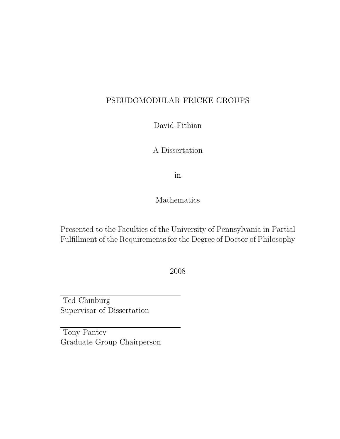### PSEUDOMODULAR FRICKE GROUPS

David Fithian

A Dissertation

in

Mathematics

Presented to the Faculties of the University of Pennsylvania in Partial Fulfillment of the Requirements for the Degree of Doctor of Philosophy

2008

Ted Chinburg Supervisor of Dissertation

Tony Pantev Graduate Group Chairperson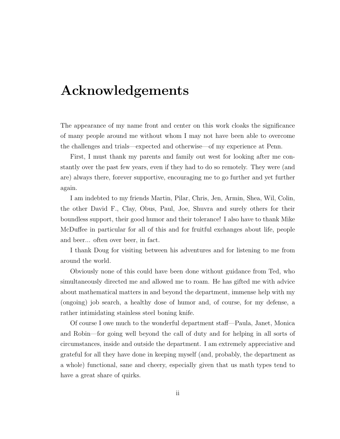## Acknowledgements

The appearance of my name front and center on this work cloaks the significance of many people around me without whom I may not have been able to overcome the challenges and trials—expected and otherwise—of my experience at Penn.

First, I must thank my parents and family out west for looking after me constantly over the past few years, even if they had to do so remotely. They were (and are) always there, forever supportive, encouraging me to go further and yet further again.

I am indebted to my friends Martin, Pilar, Chris, Jen, Armin, Shea, Wil, Colin, the other David F., Clay, Obus, Paul, Joe, Shuvra and surely others for their boundless support, their good humor and their tolerance! I also have to thank Mike McDuffee in particular for all of this and for fruitful exchanges about life, people and beer... often over beer, in fact.

I thank Doug for visiting between his adventures and for listening to me from around the world.

Obviously none of this could have been done without guidance from Ted, who simultaneously directed me and allowed me to roam. He has gifted me with advice about mathematical matters in and beyond the department, immense help with my (ongoing) job search, a healthy dose of humor and, of course, for my defense, a rather intimidating stainless steel boning knife.

Of course I owe much to the wonderful department staff—Paula, Janet, Monica and Robin—for going well beyond the call of duty and for helping in all sorts of circumstances, inside and outside the department. I am extremely appreciative and grateful for all they have done in keeping myself (and, probably, the department as a whole) functional, sane and cheery, especially given that us math types tend to have a great share of quirks.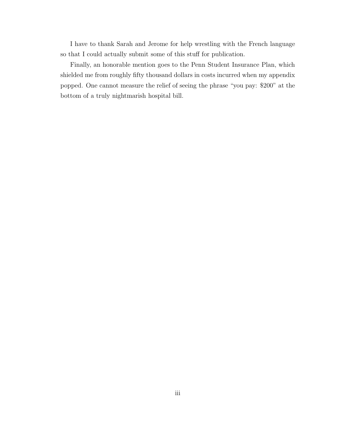I have to thank Sarah and Jerome for help wrestling with the French language so that I could actually submit some of this stuff for publication.

Finally, an honorable mention goes to the Penn Student Insurance Plan, which shielded me from roughly fifty thousand dollars in costs incurred when my appendix popped. One cannot measure the relief of seeing the phrase "you pay: \$200" at the bottom of a truly nightmarish hospital bill.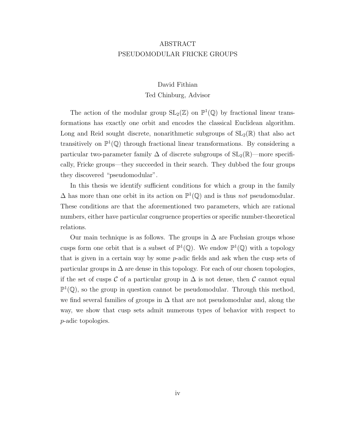#### ABSTRACT PSEUDOMODULAR FRICKE GROUPS

#### David Fithian Ted Chinburg, Advisor

The action of the modular group  $SL_2(\mathbb{Z})$  on  $\mathbb{P}^1(\mathbb{Q})$  by fractional linear transformations has exactly one orbit and encodes the classical Euclidean algorithm. Long and Reid sought discrete, nonarithmetic subgroups of  $SL_2(\mathbb{R})$  that also act transitively on  $\mathbb{P}^1(\mathbb{Q})$  through fractional linear transformations. By considering a particular two-parameter family  $\Delta$  of discrete subgroups of  $SL_2(\mathbb{R})$ —more specifically, Fricke groups—they succeeded in their search. They dubbed the four groups they discovered "pseudomodular".

In this thesis we identify sufficient conditions for which a group in the family  $\Delta$  has more than one orbit in its action on  $\mathbb{P}^1(\mathbb{Q})$  and is thus *not* pseudomodular. These conditions are that the aforementioned two parameters, which are rational numbers, either have particular congruence properties or specific number-theoretical relations.

Our main technique is as follows. The groups in  $\Delta$  are Fuchsian groups whose cusps form one orbit that is a subset of  $\mathbb{P}^1(\mathbb{Q})$ . We endow  $\mathbb{P}^1(\mathbb{Q})$  with a topology that is given in a certain way by some p-adic fields and ask when the cusp sets of particular groups in  $\Delta$  are dense in this topology. For each of our chosen topologies, if the set of cusps  $\mathcal C$  of a particular group in  $\Delta$  is not dense, then  $\mathcal C$  cannot equal  $\mathbb{P}^1(\mathbb{Q})$ , so the group in question cannot be pseudomodular. Through this method, we find several families of groups in  $\Delta$  that are not pseudomodular and, along the way, we show that cusp sets admit numerous types of behavior with respect to p-adic topologies.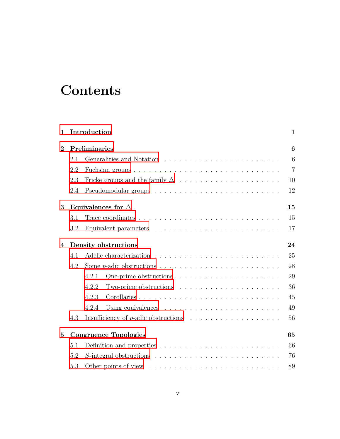# **Contents**

| 1              |                                 | Introduction                                                                                                      | $\mathbf{1}$   |  |  |  |  |  |  |  |  |  |  |  |  |
|----------------|---------------------------------|-------------------------------------------------------------------------------------------------------------------|----------------|--|--|--|--|--|--|--|--|--|--|--|--|
| $\mathbf{2}$   |                                 | Preliminaries                                                                                                     | 6              |  |  |  |  |  |  |  |  |  |  |  |  |
|                | 2.1                             |                                                                                                                   | 6              |  |  |  |  |  |  |  |  |  |  |  |  |
|                | 2.2                             |                                                                                                                   | $\overline{7}$ |  |  |  |  |  |  |  |  |  |  |  |  |
|                | 2.3                             | Fricke groups and the family $\Delta$ $\;\ldots\; \ldots\; \ldots\; \ldots\; \ldots\; \ldots\; \ldots\; \ldots\;$ | 10             |  |  |  |  |  |  |  |  |  |  |  |  |
|                | 2.4                             |                                                                                                                   | 12             |  |  |  |  |  |  |  |  |  |  |  |  |
| 3              | Equivalences for $\Delta$<br>15 |                                                                                                                   |                |  |  |  |  |  |  |  |  |  |  |  |  |
|                | 3.1                             | Trace coordinates $\ldots \ldots \ldots \ldots \ldots \ldots \ldots \ldots \ldots \ldots$                         | 15             |  |  |  |  |  |  |  |  |  |  |  |  |
|                | 3.2                             |                                                                                                                   | 17             |  |  |  |  |  |  |  |  |  |  |  |  |
| $\overline{4}$ | 24<br>Density obstructions      |                                                                                                                   |                |  |  |  |  |  |  |  |  |  |  |  |  |
|                | 4.1                             |                                                                                                                   | 25             |  |  |  |  |  |  |  |  |  |  |  |  |
|                | 4.2                             |                                                                                                                   | 28             |  |  |  |  |  |  |  |  |  |  |  |  |
|                |                                 | 4.2.1                                                                                                             | 29             |  |  |  |  |  |  |  |  |  |  |  |  |
|                |                                 | 4.2.2<br>Two-prime obstructions $\ldots \ldots \ldots \ldots \ldots \ldots \ldots$                                | 36             |  |  |  |  |  |  |  |  |  |  |  |  |
|                |                                 | 4.2.3                                                                                                             | 45             |  |  |  |  |  |  |  |  |  |  |  |  |
|                |                                 | 4.2.4                                                                                                             | 49             |  |  |  |  |  |  |  |  |  |  |  |  |
|                | 4.3                             |                                                                                                                   | 56             |  |  |  |  |  |  |  |  |  |  |  |  |
| $\bf{5}$       |                                 | 65<br><b>Congruence Topologies</b>                                                                                |                |  |  |  |  |  |  |  |  |  |  |  |  |
|                | 5.1                             | Definition and properties $\ldots \ldots \ldots \ldots \ldots \ldots \ldots \ldots$                               | 66             |  |  |  |  |  |  |  |  |  |  |  |  |
|                | 5.2                             |                                                                                                                   | 76             |  |  |  |  |  |  |  |  |  |  |  |  |
|                | 5.3                             |                                                                                                                   | 89             |  |  |  |  |  |  |  |  |  |  |  |  |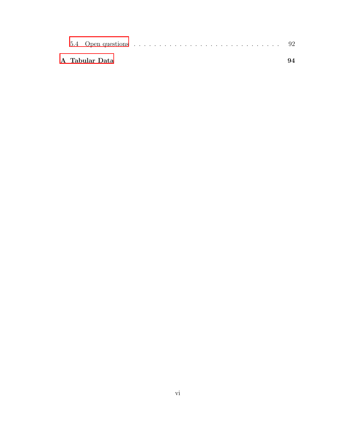|  | A Tabular Data |  |  |  |  |  |  |  |  |  |  |  |  |  | 94 |
|--|----------------|--|--|--|--|--|--|--|--|--|--|--|--|--|----|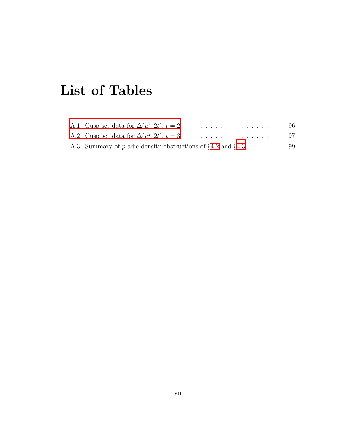# List of Tables

| A.3 Summary of p-adic density obstructions of $\S 4.2$ and $\S 4.3$ 99 |  |
|------------------------------------------------------------------------|--|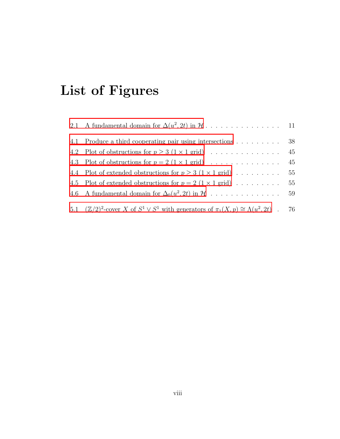# List of Figures

| 4.1 Produce a third cooperating pair using intersections                                                    | 38 |
|-------------------------------------------------------------------------------------------------------------|----|
|                                                                                                             | 45 |
| 4.3 Plot of obstructions for $p = 2$ $(1 \times 1$ grid) $\ldots \ldots \ldots \ldots \ldots$ 45            |    |
| 4.4 Plot of extended obstructions for $p \ge 3$ $(1 \times 1 \text{ grid}) \dots \dots \dots$               | 55 |
| 4.5 Plot of extended obstructions for $p = 2$ (1 $\times$ 1 grid)                                           | 55 |
|                                                                                                             |    |
| 5.1 $(\mathbb{Z}/2)^2$ -cover X of $S^1 \vee S^1$ with generators of $\pi_1(X, p) \cong \Lambda(u^2, 2t)$ . | 76 |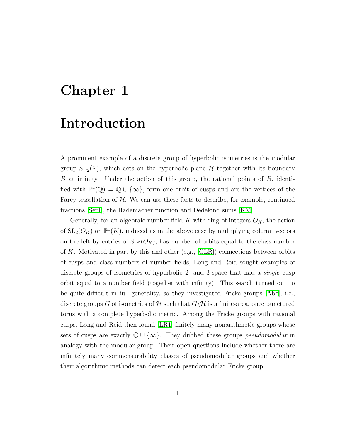## <span id="page-8-0"></span>Chapter 1

### Introduction

A prominent example of a discrete group of hyperbolic isometries is the modular group  $SL_2(\mathbb{Z})$ , which acts on the hyperbolic plane H together with its boundary B at infinity. Under the action of this group, the rational points of B, identified with  $\mathbb{P}^1(\mathbb{Q}) = \mathbb{Q} \cup \{\infty\}$ , form one orbit of cusps and are the vertices of the Farey tessellation of  $H$ . We can use these facts to describe, for example, continued fractions [\[Ser1\]](#page-80-0), the Rademacher function and Dedekind sums [\[KM\]](#page-80-1).

Generally, for an algebraic number field K with ring of integers  $O_K$ , the action of  $SL_2(O_K)$  on  $\mathbb{P}^1(K)$ , induced as in the above case by multiplying column vectors on the left by entries of  $SL_2(O_K)$ , has number of orbits equal to the class number of K. Motivated in part by this and other (e.g.,  $|CLR|$ ) connections between orbits of cusps and class numbers of number fields, Long and Reid sought examples of discrete groups of isometries of hyperbolic 2- and 3-space that had a single cusp orbit equal to a number field (together with infinity). This search turned out to be quite difficult in full generality, so they investigated Fricke groups [\[Abe\]](#page-79-1), i.e., discrete groups G of isometries of H such that  $G\backslash H$  is a finite-area, once punctured torus with a complete hyperbolic metric. Among the Fricke groups with rational cusps, Long and Reid then found [\[LR1\]](#page-80-2) finitely many nonarithmetic groups whose sets of cusps are exactly  $\mathbb{Q} \cup \{\infty\}$ . They dubbed these groups *pseudomodular* in analogy with the modular group. Their open questions include whether there are infinitely many commensurability classes of pseudomodular groups and whether their algorithmic methods can detect each pseudomodular Fricke group.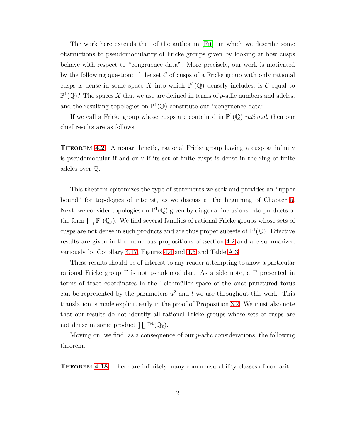The work here extends that of the author in [\[Fit\]](#page-79-2), in which we describe some obstructions to pseudomodularity of Fricke groups given by looking at how cusps behave with respect to "congruence data". More precisely, our work is motivated by the following question: if the set  $\mathcal C$  of cusps of a Fricke group with only rational cusps is dense in some space X into which  $\mathbb{P}^1(\mathbb{Q})$  densely includes, is C equal to  $\mathbb{P}^1(\mathbb{Q})$ ? The spaces X that we use are defined in terms of p-adic numbers and adeles, and the resulting topologies on  $\mathbb{P}^1(\mathbb{Q})$  constitute our "congruence data".

If we call a Fricke group whose cusps are contained in  $\mathbb{P}^1(\mathbb{Q})$  rational, then our chief results are as follows.

**THEOREM [4.2.](#page-24-0)** A nonarithmetic, rational Fricke group having a cusp at infinity is pseudomodular if and only if its set of finite cusps is dense in the ring of finite adeles over Q.

This theorem epitomizes the type of statements we seek and provides an "upper bound" for topologies of interest, as we discuss at the beginning of Chapter [5.](#page-53-0) Next, we consider topologies on  $\mathbb{P}^1(\mathbb{Q})$  given by diagonal inclusions into products of the form  $\prod_{\ell} \mathbb{P}^1(\mathbb{Q}_{\ell})$ . We find several families of rational Fricke groups whose sets of cusps are not dense in such products and are thus proper subsets of  $\mathbb{P}^1(\mathbb{Q})$ . Effective results are given in the numerous propositions of Section [4.2](#page-26-0) and are summarized variously by Corollary [4.17,](#page-39-0) Figures [4.4](#page-45-0) and [4.5](#page-46-1) and Table [A.3.](#page-78-0)

These results should be of interest to any reader attempting to show a particular rational Fricke group  $\Gamma$  is not pseudomodular. As a side note, a  $\Gamma$  presented in terms of trace coordinates in the Teichmüller space of the once-punctured torus can be represented by the parameters  $u^2$  and t we use throughout this work. This translation is made explicit early in the proof of Proposition [3.2.](#page-18-1) We must also note that our results do not identify all rational Fricke groups whose sets of cusps are not dense in some product  $\prod_{\ell} \mathbb{P}^1(\mathbb{Q}_{\ell}).$ 

Moving on, we find, as a consequence of our  $p$ -adic considerations, the following theorem.

THEOREM [4.18.](#page-40-0) There are infinitely many commensurability classes of non-arith-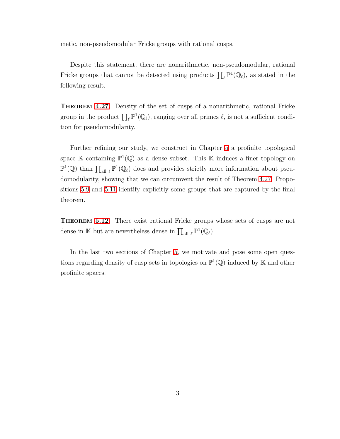metic, non-pseudomodular Fricke groups with rational cusps.

Despite this statement, there are nonarithmetic, non-pseudomodular, rational Fricke groups that cannot be detected using products  $\prod_{\ell} \mathbb{P}^1(\mathbb{Q}_{\ell})$ , as stated in the following result.

THEOREM [4.27.](#page-52-0) Density of the set of cusps of a nonarithmetic, rational Fricke group in the product  $\prod_{\ell} \mathbb{P}^1(\mathbb{Q}_{\ell})$ , ranging over all primes  $\ell$ , is not a sufficient condition for pseudomodularity.

Further refining our study, we construct in Chapter [5](#page-53-0) a profinite topological space K containing  $\mathbb{P}^1(\mathbb{Q})$  as a dense subset. This K induces a finer topology on  $\mathbb{P}^1(\mathbb{Q})$  than  $\prod_{\text{all } \ell} \mathbb{P}^1(\mathbb{Q}_\ell)$  does and provides strictly more information about pseudomodularity, showing that we can circumvent the result of Theorem [4.27.](#page-52-0) Propositions [5.9](#page-67-0) and [5.11](#page-69-0) identify explicitly some groups that are captured by the final theorem.

THEOREM [5.12.](#page-70-1) There exist rational Fricke groups whose sets of cusps are not dense in K but are nevertheless dense in  $\prod_{\text{all }\ell} \mathbb{P}^1(\mathbb{Q}_\ell)$ .

In the last two sections of Chapter [5,](#page-53-0) we motivate and pose some open questions regarding density of cusp sets in topologies on  $\mathbb{P}^1(\mathbb{Q})$  induced by K and other profinite spaces.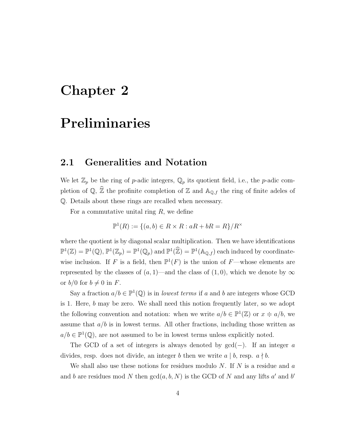### <span id="page-11-0"></span>Chapter 2

### Preliminaries

#### <span id="page-11-1"></span>2.1 Generalities and Notation

We let  $\mathbb{Z}_p$  be the ring of p-adic integers,  $\mathbb{Q}_p$  its quotient field, i.e., the p-adic completion of  $\mathbb{Q}$ ,  $\widehat{\mathbb{Z}}$  the profinite completion of  $\mathbb{Z}$  and  $\mathbb{A}_{\mathbb{Q},f}$  the ring of finite adeles of Q. Details about these rings are recalled when necessary.

For a commutative unital ring  $R$ , we define

$$
\mathbb{P}^1(R) := \{(a, b) \in R \times R : aR + bR = R\}/R^{\times}
$$

where the quotient is by diagonal scalar multiplication. Then we have identifications  $\mathbb{P}^1(\mathbb{Z}) = \mathbb{P}^1(\mathbb{Q}), \mathbb{P}^1(\mathbb{Z}_p) = \mathbb{P}^1(\mathbb{Q}_p)$  and  $\mathbb{P}^1(\mathbb{Z}) = \mathbb{P}^1(\mathbb{A}_{\mathbb{Q},f})$  each induced by coordinatewise inclusion. If F is a field, then  $\mathbb{P}^1(F)$  is the union of F—whose elements are represented by the classes of  $(a, 1)$ —and the class of  $(1, 0)$ , which we denote by  $\infty$ or  $b/0$  for  $b \neq 0$  in F.

Say a fraction  $a/b \in \mathbb{P}^1(\mathbb{Q})$  is in *lowest terms* if a and b are integers whose GCD is 1. Here, b may be zero. We shall need this notion frequently later, so we adopt the following convention and notation: when we write  $a/b \in \mathbb{P}^1(\mathbb{Z})$  or  $x \doteq a/b$ , we assume that  $a/b$  is in lowest terms. All other fractions, including those written as  $a/b \in \mathbb{P}^1(\mathbb{Q})$ , are not assumed to be in lowest terms unless explicitly noted.

The GCD of a set of integers is always denoted by  $gcd(-)$ . If an integer a divides, resp. does not divide, an integer b then we write  $a \mid b$ , resp.  $a \nmid b$ .

We shall also use these notions for residues modulo N. If N is a residue and  $a$ and b are residues mod N then  $gcd(a, b, N)$  is the GCD of N and any lifts a' and b'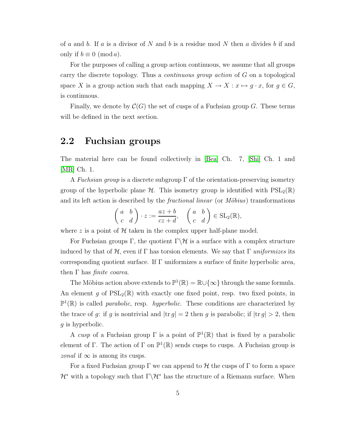of a and b. If a is a divisor of N and b is a residue mod N then a divides b if and only if  $b \equiv 0 \pmod{a}$ .

For the purposes of calling a group action continuous, we assume that all groups carry the discrete topology. Thus a continuous group action of G on a topological space X is a group action such that each mapping  $X \to X : x \mapsto g \cdot x$ , for  $g \in G$ , is continuous.

<span id="page-12-0"></span>Finally, we denote by  $\mathcal{C}(G)$  the set of cusps of a Fuchsian group G. These terms will be defined in the next section.

#### 2.2 Fuchsian groups

The material here can be found collectively in [\[Bea\]](#page-79-3) Ch. 7, [\[Shi\]](#page-80-3) Ch. 1 and [\[MR\]](#page-80-4) Ch. 1.

A Fuchsian group is a discrete subgroup  $\Gamma$  of the orientation-preserving isometry group of the hyperbolic plane  $H$ . This isometry group is identified with  $PSL_2(\mathbb{R})$ and its left action is described by the *fractional linear* (or  $M\ddot{o}bius$ ) transformations

$$
\begin{pmatrix} a & b \\ c & d \end{pmatrix} \cdot z := \frac{az+b}{cz+d}, \quad \begin{pmatrix} a & b \\ c & d \end{pmatrix} \in SL_2(\mathbb{R}),
$$

where z is a point of  $H$  taken in the complex upper half-plane model.

For Fuchsian groups Γ, the quotient  $\Gamma \backslash \mathcal{H}$  is a surface with a complex structure induced by that of H, even if  $\Gamma$  has torsion elements. We say that  $\Gamma$  uniformizes its corresponding quotient surface. If  $\Gamma$  uniformizes a surface of finite hyperbolic area, then  $\Gamma$  has *finite coarea*.

The Möbius action above extends to  $\mathbb{P}^1(\mathbb{R}) = \mathbb{R} \cup \{\infty\}$  through the same formula. An element q of  $PSL_2(\mathbb{R})$  with exactly one fixed point, resp. two fixed points, in  $\mathbb{P}^1(\mathbb{R})$  is called *parabolic*, resp. *hyperbolic*. These conditions are characterized by the trace of g: if g is nontrivial and  $|\text{tr } g| = 2$  then g is parabolic; if  $|\text{tr } g| > 2$ , then q is hyperbolic.

A cusp of a Fuchsian group  $\Gamma$  is a point of  $\mathbb{P}^1(\mathbb{R})$  that is fixed by a parabolic element of Γ. The action of Γ on  $\mathbb{P}^1(\mathbb{R})$  sends cusps to cusps. A Fuchsian group is *zonal* if  $\infty$  is among its cusps.

For a fixed Fuchsian group  $\Gamma$  we can append to  $\mathcal H$  the cusps of  $\Gamma$  to form a space  $\mathcal{H}^*$  with a topology such that  $\Gamma\backslash\mathcal{H}^*$  has the structure of a Riemann surface. When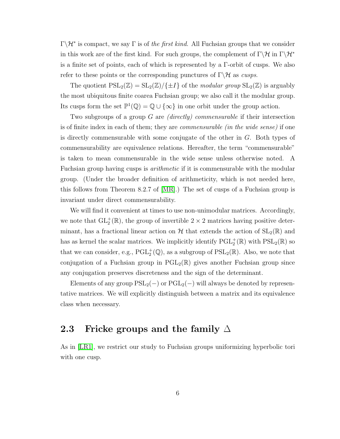$\Gamma \backslash \mathcal{H}^*$  is compact, we say  $\Gamma$  is of the first kind. All Fuchsian groups that we consider in this work are of the first kind. For such groups, the complement of  $\Gamma\backslash\mathcal{H}$  in  $\Gamma\backslash\mathcal{H}^*$ is a finite set of points, each of which is represented by a Γ-orbit of cusps. We also refer to these points or the corresponding punctures of  $\Gamma \backslash \mathcal{H}$  as cusps.

The quotient  $PSL_2(\mathbb{Z}) = SL_2(\mathbb{Z}) / {\{\pm I\}}$  of the modular group  $SL_2(\mathbb{Z})$  is arguably the most ubiquitous finite coarea Fuchsian group; we also call it the modular group. Its cusps form the set  $\mathbb{P}^1(\mathbb{Q}) = \mathbb{Q} \cup \{\infty\}$  in one orbit under the group action.

Two subgroups of a group  $G$  are *(directly)* commensurable if their intersection is of finite index in each of them; they are commensurable (in the wide sense) if one is directly commensurable with some conjugate of the other in G. Both types of commensurability are equivalence relations. Hereafter, the term "commensurable" is taken to mean commensurable in the wide sense unless otherwise noted. A Fuchsian group having cusps is *arithmetic* if it is commensurable with the modular group. (Under the broader definition of arithmeticity, which is not needed here, this follows from Theorem 8.2.7 of [\[MR\]](#page-80-4).) The set of cusps of a Fuchsian group is invariant under direct commensurability.

We will find it convenient at times to use non-unimodular matrices. Accordingly, we note that  $GL_2^+(\mathbb{R})$ , the group of invertible  $2 \times 2$  matrices having positive determinant, has a fractional linear action on  $H$  that extends the action of  $SL_2(\mathbb{R})$  and has as kernel the scalar matrices. We implicitly identify  $\mathrm{PGL}_2^+(\mathbb{R})$  with  $\mathrm{PSL}_2(\mathbb{R})$  so that we can consider, e.g.,  $PGL_2^+(\mathbb{Q})$ , as a subgroup of  $PSL_2(\mathbb{R})$ . Also, we note that conjugation of a Fuchsian group in  $PGL_2(\mathbb{R})$  gives another Fuchsian group since any conjugation preserves discreteness and the sign of the determinant.

Elements of any group  $PSL_2(-)$  or  $PGL_2(-)$  will always be denoted by representative matrices. We will explicitly distinguish between a matrix and its equivalence class when necessary.

#### <span id="page-13-0"></span>2.3 Fricke groups and the family  $\Delta$

<span id="page-13-1"></span>As in [\[LR1\]](#page-80-2), we restrict our study to Fuchsian groups uniformizing hyperbolic tori with one cusp.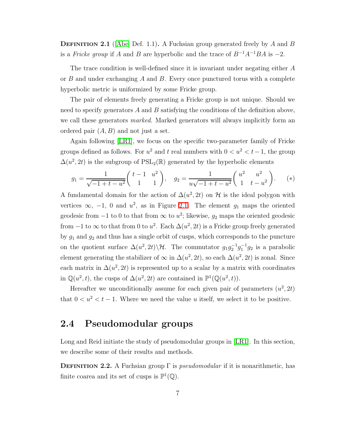**DEFINITION 2.1** (Abe) Def. 1.1). A Fuchsian group generated freely by A and B is a Fricke group if A and B are hyperbolic and the trace of  $B^{-1}A^{-1}BA$  is -2.

The trace condition is well-defined since it is invariant under negating either A or  $B$  and under exchanging  $A$  and  $B$ . Every once punctured torus with a complete hyperbolic metric is uniformized by some Fricke group.

The pair of elements freely generating a Fricke group is not unique. Should we need to specify generators A and B satisfying the conditions of the definition above, we call these generators *marked*. Marked generators will always implicitly form an ordered pair  $(A, B)$  and not just a set.

Again following [\[LR1\]](#page-80-2), we focus on the specific two-parameter family of Fricke groups defined as follows. For  $u^2$  and  $t$  real numbers with  $0 < u^2 < t-1$ , the group  $\Delta(u^2, 2t)$  is the subgroup of PSL<sub>2</sub>( $\mathbb{R}$ ) generated by the hyperbolic elements

<span id="page-14-1"></span>
$$
g_1 = \frac{1}{\sqrt{-1+t-u^2}} \begin{pmatrix} t-1 & u^2 \\ 1 & 1 \end{pmatrix}, \quad g_2 = \frac{1}{u\sqrt{-1+t-u^2}} \begin{pmatrix} u^2 & u^2 \\ 1 & t-u^2 \end{pmatrix}.
$$
 (\*)

A fundamental domain for the action of  $\Delta(u^2, 2t)$  on  $\mathcal H$  is the ideal polygon with vertices  $\infty$ , -1, 0 and  $u^2$ , as in Figure [2.1.](#page-15-0) The element  $g_1$  maps the oriented geodesic from  $-1$  to 0 to that from  $\infty$  to  $u^2$ ; likewise,  $g_2$  maps the oriented geodesic from  $-1$  to  $\infty$  to that from 0 to  $u^2$ . Each  $\Delta(u^2, 2t)$  is a Fricke group freely generated by  $g_1$  and  $g_2$  and thus has a single orbit of cusps, which corresponds to the puncture on the quotient surface  $\Delta(u^2, 2t) \backslash \mathcal{H}$ . The commutator  $g_1 g_2^{-1} g_1^{-1} g_2$  is a parabolic element generating the stabilizer of  $\infty$  in  $\Delta(u^2, 2t)$ , so each  $\Delta(u^2, 2t)$  is zonal. Since each matrix in  $\Delta(u^2, 2t)$  is represented up to a scalar by a matrix with coordinates in  $\mathbb{Q}(u^2, t)$ , the cusps of  $\Delta(u^2, 2t)$  are contained in  $\mathbb{P}^1(\mathbb{Q}(u^2, t))$ .

Hereafter we unconditionally assume for each given pair of parameters  $(u^2, 2t)$ that  $0 < u^2 < t - 1$ . Where we need the value u itself, we select it to be positive.

### <span id="page-14-0"></span>2.4 Pseudomodular groups

Long and Reid initiate the study of pseudomodular groups in [\[LR1\]](#page-80-2). In this section, we describe some of their results and methods.

**DEFINITION 2.2.** A Fuchsian group  $\Gamma$  is *pseudomodular* if it is nonarithmetic, has finite coarea and its set of cusps is  $\mathbb{P}^1(\mathbb{Q})$ .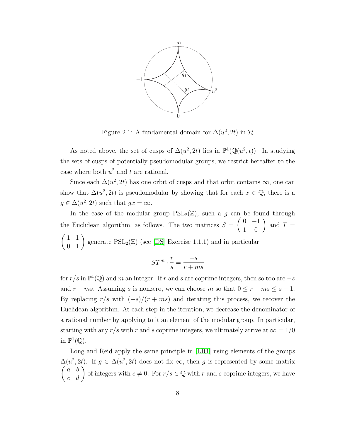

<span id="page-15-0"></span>Figure 2.1: A fundamental domain for  $\Delta(u^2, 2t)$  in  $\mathcal{H}$ 

As noted above, the set of cusps of  $\Delta(u^2, 2t)$  lies in  $\mathbb{P}^1(\mathbb{Q}(u^2, t))$ . In studying the sets of cusps of potentially pseudomodular groups, we restrict hereafter to the case where both  $u^2$  and t are rational.

Since each  $\Delta(u^2, 2t)$  has one orbit of cusps and that orbit contains  $\infty$ , one can show that  $\Delta(u^2, 2t)$  is pseudomodular by showing that for each  $x \in \mathbb{Q}$ , there is a  $g \in \Delta(u^2, 2t)$  such that  $gx = \infty$ .

In the case of the modular group  $PSL_2(\mathbb{Z})$ , such a g can be found through the Euclidean algorithm, as follows. The two matrices  $S =$  $\left(\begin{array}{cc} 0 & -1 \\ 1 & 0 \end{array}\right)$ and  $T =$  $\begin{pmatrix} 1 & 1 \\ 0 & 1 \end{pmatrix}$  generate  $PSL_2(\mathbb{Z})$  (see [\[DS\]](#page-79-4) Exercise 1.1.1) and in particular

$$
ST^m \cdot \frac{r}{s} = \frac{-s}{r + ms}
$$

for  $r/s$  in  $\mathbb{P}^1(\mathbb{Q})$  and m an integer. If r and s are coprime integers, then so too are  $-s$ and  $r + ms$ . Assuming s is nonzero, we can choose m so that  $0 \le r + ms \le s - 1$ . By replacing  $r/s$  with  $(-s)/(r + ms)$  and iterating this process, we recover the Euclidean algorithm. At each step in the iteration, we decrease the denominator of a rational number by applying to it an element of the modular group. In particular, starting with any r/s with r and s coprime integers, we ultimately arrive at  $\infty = 1/0$ in  $\mathbb{P}^1(\mathbb{Q})$ .

Long and Reid apply the same principle in [\[LR1\]](#page-80-2) using elements of the groups  $\Delta(u^2, 2t)$ . If  $g \in \Delta(u^2, 2t)$  does not fix  $\infty$ , then g is represented by some matrix  $\begin{pmatrix} a & b \\ c & d \end{pmatrix}$  of integers with  $c \neq 0$ . For  $r/s \in \mathbb{Q}$  with r and s coprime integers, we have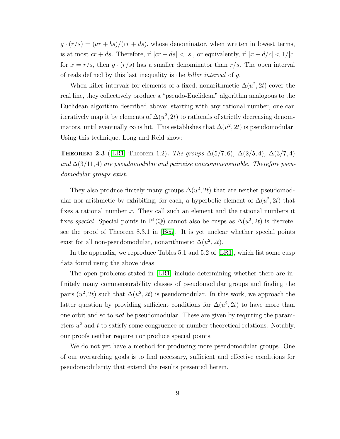$g \cdot (r/s) = (ar + bs)/(cr + ds)$ , whose denominator, when written in lowest terms, is at most  $cr + ds$ . Therefore, if  $|cr + ds| < |s|$ , or equivalently, if  $|x + d/c| < 1/|c|$ for  $x = r/s$ , then  $g \cdot (r/s)$  has a smaller denominator than  $r/s$ . The open interval of reals defined by this last inequality is the killer interval of g.

When killer intervals for elements of a fixed, nonarithmetic  $\Delta(u^2, 2t)$  cover the real line, they collectively produce a "pseudo-Euclidean" algorithm analogous to the Euclidean algorithm described above: starting with any rational number, one can iteratively map it by elements of  $\Delta(u^2, 2t)$  to rationals of strictly decreasing denominators, until eventually  $\infty$  is hit. This establishes that  $\Delta(u^2, 2t)$  is pseudomodular. Using this technique, Long and Reid show:

**THEOREM 2.3** ([\[LR1\]](#page-80-2) Theorem 1.2). The groups  $\Delta(5/7,6)$ ,  $\Delta(2/5,4)$ ,  $\Delta(3/7,4)$ and  $\Delta(3/11, 4)$  are pseudomodular and pairwise noncommensurable. Therefore pseudomodular groups exist.

They also produce finitely many groups  $\Delta(u^2, 2t)$  that are neither pseudomodular nor arithmetic by exhibiting, for each, a hyperbolic element of  $\Delta(u^2, 2t)$  that fixes a rational number x. They call such an element and the rational numbers it fixes special. Special points in  $\mathbb{P}^1(\mathbb{Q})$  cannot also be cusps as  $\Delta(u^2, 2t)$  is discrete; see the proof of Theorem 8.3.1 in [\[Bea\]](#page-79-3). It is yet unclear whether special points exist for all non-pseudomodular, nonarithmetic  $\Delta(u^2, 2t)$ .

In the appendix, we reproduce Tables 5.1 and 5.2 of [\[LR1\]](#page-80-2), which list some cusp data found using the above ideas.

The open problems stated in [\[LR1\]](#page-80-2) include determining whether there are infinitely many commensurability classes of pseudomodular groups and finding the pairs  $(u^2, 2t)$  such that  $\Delta(u^2, 2t)$  is pseudomodular. In this work, we approach the latter question by providing sufficient conditions for  $\Delta(u^2, 2t)$  to have more than one orbit and so to not be pseudomodular. These are given by requiring the parameters  $u^2$  and t to satisfy some congruence or number-theoretical relations. Notably, our proofs neither require nor produce special points.

We do not yet have a method for producing more pseudomodular groups. One of our overarching goals is to find necessary, sufficient and effective conditions for pseudomodularity that extend the results presented herein.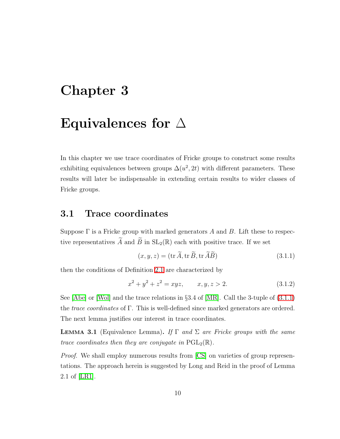### <span id="page-17-0"></span>Chapter 3

### Equivalences for  $\Delta$

In this chapter we use trace coordinates of Fricke groups to construct some results exhibiting equivalences between groups  $\Delta(u^2, 2t)$  with different parameters. These results will later be indispensable in extending certain results to wider classes of Fricke groups.

### <span id="page-17-1"></span>3.1 Trace coordinates

Suppose  $\Gamma$  is a Fricke group with marked generators A and B. Lift these to respective representatives  $\widetilde{A}$  and  $\widetilde{B}$  in  $SL_2(\mathbb{R})$  each with positive trace. If we set

<span id="page-17-2"></span>
$$
(x, y, z) = (\text{tr }\widetilde{A}, \text{tr }\widetilde{B}, \text{tr }\widetilde{A}\widetilde{B})
$$
\n(3.1.1)

<span id="page-17-3"></span>then the conditions of Definition [2.1](#page-13-1) are characterized by

$$
x^2 + y^2 + z^2 = xyz, \qquad x, y, z > 2. \tag{3.1.2}
$$

See [\[Abe\]](#page-79-1) or [\[Wol\]](#page-81-0) and the trace relations in §3.4 of [\[MR\]](#page-80-4). Call the 3-tuple of [\(3.1.1\)](#page-17-2) the trace coordinates of Γ. This is well-defined since marked generators are ordered. The next lemma justifies our interest in trace coordinates.

**LEMMA 3.1** (Equivalence Lemma). If  $\Gamma$  and  $\Sigma$  are Fricke groups with the same trace coordinates then they are conjugate in  $PGL_2(\mathbb{R})$ .

*Proof.* We shall employ numerous results from [\[CS\]](#page-79-5) on varieties of group representations. The approach herein is suggested by Long and Reid in the proof of Lemma 2.1 of [\[LR1\]](#page-80-2).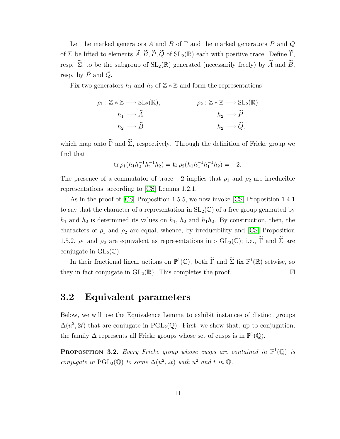Let the marked generators A and B of  $\Gamma$  and the marked generators P and Q of Σ be lifted to elements  $\widetilde{A}, \widetilde{B}, \widetilde{P}, \widetilde{Q}$  of  $SL_2(\mathbb{R})$  each with positive trace. Define  $\widetilde{\Gamma}$ , resp.  $\widetilde{\Sigma}$ , to be the subgroup of  $SL_2(\mathbb{R})$  generated (necessarily freely) by  $\widetilde{A}$  and  $\widetilde{B}$ , resp. by  $\widetilde{P}$  and  $\widetilde{Q}$ .

Fix two generators  $h_1$  and  $h_2$  of  $\mathbb{Z} \times \mathbb{Z}$  and form the representations

$$
\rho_1: \mathbb{Z} * \mathbb{Z} \longrightarrow SL_2(\mathbb{R}), \qquad \rho_2: \mathbb{Z} * \mathbb{Z} \longrightarrow SL_2(\mathbb{R})
$$

$$
h_1 \longmapsto \widetilde{A} \qquad \qquad h_2 \longmapsto \widetilde{P}
$$

$$
h_2 \longmapsto \widetilde{B} \qquad \qquad h_2 \longmapsto \widetilde{Q},
$$

which map onto  $\widetilde{\Gamma}$  and  $\widetilde{\Sigma}$ , respectively. Through the definition of Fricke group we find that

$$
\operatorname{tr}\rho_1(h_1h_2^{-1}h_1^{-1}h_2)=\operatorname{tr}\rho_2(h_1h_2^{-1}h_1^{-1}h_2)=-2.
$$

The presence of a commutator of trace  $-2$  implies that  $\rho_1$  and  $\rho_2$  are irreducible representations, according to [\[CS\]](#page-79-5) Lemma 1.2.1.

As in the proof of [\[CS\]](#page-79-5) Proposition 1.5.5, we now invoke [\[CS\]](#page-79-5) Proposition 1.4.1 to say that the character of a representation in  $SL_2(\mathbb{C})$  of a free group generated by  $h_1$  and  $h_2$  is determined its values on  $h_1$ ,  $h_2$  and  $h_1h_2$ . By construction, then, the characters of  $\rho_1$  and  $\rho_2$  are equal, whence, by irreducibility and [\[CS\]](#page-79-5) Proposition 1.5.2,  $\rho_1$  and  $\rho_2$  are equivalent as representations into  $GL_2(\mathbb{C})$ ; i.e.,  $\widetilde{\Gamma}$  and  $\widetilde{\Sigma}$  are conjugate in  $GL_2(\mathbb{C})$ .

In their fractional linear actions on  $\mathbb{P}^1(\mathbb{C})$ , both  $\Gamma$  and  $\Sigma$  fix  $\mathbb{P}^1(\mathbb{R})$  setwise, so they in fact conjugate in  $GL_2(\mathbb{R})$ . This completes the proof.  $\Box$ 

### <span id="page-18-0"></span>3.2 Equivalent parameters

Below, we will use the Equivalence Lemma to exhibit instances of distinct groups  $\Delta(u^2, 2t)$  that are conjugate in PGL<sub>2</sub>(Q). First, we show that, up to conjugation, the family  $\Delta$  represents all Fricke groups whose set of cusps is in  $\mathbb{P}^1(\mathbb{Q})$ .

<span id="page-18-1"></span>**PROPOSITION 3.2.** Every Fricke group whose cusps are contained in  $\mathbb{P}^1(\mathbb{Q})$  is conjugate in  $\text{PGL}_2(\mathbb{Q})$  to some  $\Delta(u^2, 2t)$  with  $u^2$  and t in  $\mathbb{Q}$ .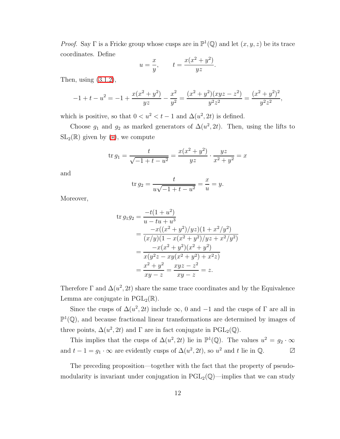*Proof.* Say  $\Gamma$  is a Fricke group whose cusps are in  $\mathbb{P}^1(\mathbb{Q})$  and let  $(x, y, z)$  be its trace coordinates. Define

$$
u = \frac{x}{y}, \qquad t = \frac{x(x^2 + y^2)}{yz}.
$$

Then, using [\(3.1.2\)](#page-17-3),

$$
-1 + t - u^{2} = -1 + \frac{x(x^{2} + y^{2})}{yz} - \frac{x^{2}}{y^{2}} = \frac{(x^{2} + y^{2})(xyz - z^{2})}{y^{2}z^{2}} = \frac{(x^{2} + y^{2})^{2}}{y^{2}z^{2}},
$$

which is positive, so that  $0 < u^2 < t - 1$  and  $\Delta(u^2, 2t)$  is defined.

Choose  $g_1$  and  $g_2$  as marked generators of  $\Delta(u^2, 2t)$ . Then, using the lifts to  $SL_2(\mathbb{R})$  given by  $(*)$ , we compute

$$
\operatorname{tr} g_1 = \frac{t}{\sqrt{-1 + t - u^2}} = \frac{x(x^2 + y^2)}{yz} \cdot \frac{yz}{x^2 + y^2} = x
$$

and

$$
\operatorname{tr} g_2 = \frac{t}{u\sqrt{-1 + t - u^2}} = \frac{x}{u} = y.
$$

Moreover,

$$
\begin{aligned} \n\text{tr } g_1 g_2 &= \frac{-t(1+u^2)}{u - tu + u^3} \\ \n&= \frac{-x((x^2 + y^2)/yz)(1 + x^2/y^2)}{(x/y)(1 - x(x^2 + y^2)/yz + x^2/y^2)} \\ \n&= \frac{-x(x^2 + y^2)(x^2 + y^2)}{x(y^2z - xy(x^2 + y^2) + x^2z)} \\ \n&= \frac{x^2 + y^2}{xy - z} = \frac{xyz - z^2}{xy - z} = z. \n\end{aligned}
$$

Therefore  $\Gamma$  and  $\Delta(u^2, 2t)$  share the same trace coordinates and by the Equivalence Lemma are conjugate in  $PGL_2(\mathbb{R})$ .

Since the cusps of  $\Delta(u^2, 2t)$  include  $\infty$ , 0 and -1 and the cusps of  $\Gamma$  are all in  $\mathbb{P}^1(\mathbb{Q})$ , and because fractional linear transformations are determined by images of three points,  $\Delta(u^2, 2t)$  and  $\Gamma$  are in fact conjugate in PGL<sub>2</sub>( $\mathbb{Q}$ ).

This implies that the cusps of  $\Delta(u^2, 2t)$  lie in  $\mathbb{P}^1(\mathbb{Q})$ . The values  $u^2 = g_2 \cdot \infty$ and  $t - 1 = g_1 \cdot \infty$  are evidently cusps of  $\Delta(u^2, 2t)$ , so  $u^2$  and  $t$  lie in  $\mathbb{Q}$ .  $\Box$ 

The preceding proposition—together with the fact that the property of pseudomodularity is invariant under conjugation in  $PGL_2(\mathbb{Q})$ —implies that we can study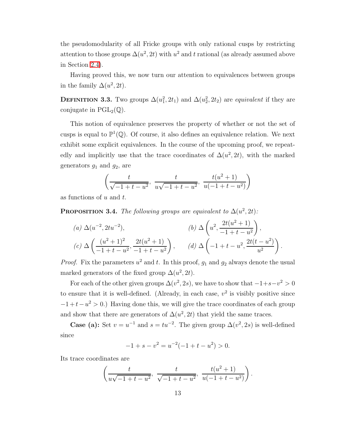the pseudomodularity of all Fricke groups with only rational cusps by restricting attention to those groups  $\Delta(u^2, 2t)$  with  $u^2$  and t rational (as already assumed above in Section [2.4\)](#page-14-0).

Having proved this, we now turn our attention to equivalences between groups in the family  $\Delta(u^2, 2t)$ .

**DEFINITION 3.3.** Two groups  $\Delta(u_1^2, 2t_1)$  and  $\Delta(u_2^2, 2t_2)$  are *equivalent* if they are conjugate in  $PGL_2(\mathbb{Q})$ .

This notion of equivalence preserves the property of whether or not the set of cusps is equal to  $\mathbb{P}^1(\mathbb{Q})$ . Of course, it also defines an equivalence relation. We next exhibit some explicit equivalences. In the course of the upcoming proof, we repeatedly and implicitly use that the trace coordinates of  $\Delta(u^2, 2t)$ , with the marked generators  $g_1$  and  $g_2$ , are

$$
\left(\frac{t}{\sqrt{-1+t-u^2}}, \frac{t}{u\sqrt{-1+t-u^2}}, \frac{t(u^2+1)}{u(-1+t-u^2)}\right)
$$

<span id="page-20-0"></span>as functions of  $u$  and  $t$ .

**PROPOSITION 3.4.** The following groups are equivalent to  $\Delta(u^2, 2t)$ :

(a) 
$$
\Delta(u^{-2}, 2tu^{-2}),
$$
  
\n(b)  $\Delta\left(u^{2}, \frac{2t(u^{2}+1)}{-1+t-u^{2}}\right),$   
\n(c)  $\Delta\left(\frac{(u^{2}+1)^{2}}{-1+t-u^{2}}, \frac{2t(u^{2}+1)}{-1+t-u^{2}}\right),$   
\n(d)  $\Delta\left(-1+t-u^{2}, \frac{2t(t-u^{2})}{u^{2}}\right).$ 

*Proof.* Fix the parameters  $u^2$  and t. In this proof,  $g_1$  and  $g_2$  always denote the usual marked generators of the fixed group  $\Delta(u^2, 2t)$ .

For each of the other given groups  $\Delta(v^2, 2s)$ , we have to show that  $-1+s-v^2>0$ to ensure that it is well-defined. (Already, in each case,  $v^2$  is visibly positive since  $-1+t-u^2 > 0$ .) Having done this, we will give the trace coordinates of each group and show that there are generators of  $\Delta(u^2, 2t)$  that yield the same traces.

**Case (a):** Set  $v = u^{-1}$  and  $s = tu^{-2}$ . The given group  $\Delta(v^2, 2s)$  is well-defined since

$$
-1 + s - v^2 = u^{-2}(-1 + t - u^2) > 0.
$$

Its trace coordinates are

$$
\left(\frac{t}{u\sqrt{-1+t-u^2}}, \frac{t}{\sqrt{-1+t-u^2}}, \frac{t(u^2+1)}{u(-1+t-u^2)}\right).
$$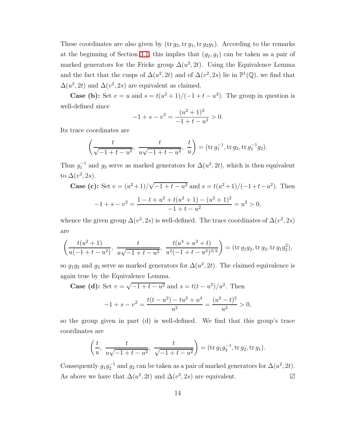These coordinates are also given by  $(\text{tr } g_2, \text{tr } g_1, \text{tr } g_2g_1)$ . According to the remarks at the beginning of Section [3.1,](#page-17-1) this implies that  $(g_2, g_1)$  can be taken as a pair of marked generators for the Fricke group  $\Delta(u^2, 2t)$ . Using the Equivalence Lemma and the fact that the cusps of  $\Delta(u^2, 2t)$  and of  $\Delta(v^2, 2s)$  lie in  $\mathbb{P}^1(\mathbb{Q})$ , we find that  $\Delta(u^2, 2t)$  and  $\Delta(v^2, 2s)$  are equivalent as claimed.

**Case (b):** Set  $v = u$  and  $s = t(u^2 + 1)/(-1 + t - u^2)$ . The group in question is well-defined since

$$
-1 + s - v^2 = \frac{(u^2 + 1)^2}{-1 + t - u^2} > 0.
$$

Its trace coordinates are

$$
\left(\frac{t}{\sqrt{-1+t-u^2}}, \frac{t}{u\sqrt{-1+t-u^2}}, \frac{t}{u}\right) = (\text{tr } g_1^{-1}, \text{tr } g_2, \text{tr } g_1^{-1}g_2).
$$

Thus  $g_1^{-1}$  and  $g_2$  serve as marked generators for  $\Delta(u^2, 2t)$ , which is then equivalent to  $\Delta(v^2, 2s)$ .

Case (c): Set 
$$
v = (u^2 + 1)/\sqrt{-1 + t - u^2}
$$
 and  $s = t(u^2 + 1)/(-1 + t - u^2)$ . Then  
\n
$$
-1 + s - v^2 = \frac{1 - t + u^2 + t(u^2 + 1) - (u^2 + 1)^2}{-1 + t - u^2} = u^2 > 0,
$$

whence the given group  $\Delta(v^2, 2s)$  is well-defined. The trace coordinates of  $\Delta(v^2, 2s)$ are

$$
\left(\frac{t(u^2+1)}{u(-1+t-u^2)}, \frac{t}{u\sqrt{-1+t-u^2}}, \frac{t(u^4+u^2+t)}{u^2(-1+t-u^2)^{3/2}}\right) = (\text{tr } g_1g_2, \text{tr } g_2, \text{tr } g_1g_2^2),
$$

so  $g_1g_2$  and  $g_2$  serve as marked generators for  $\Delta(u^2, 2t)$ . The claimed equivalence is again true by the Equivalence Lemma.

**Case (d):** Set  $v = \sqrt{-1 + t - u^2}$  and  $s = t(t - u^2)/u^2$ . Then

$$
-1 + s - v^{2} = \frac{t(t - u^{2}) - tu^{2} + u^{4}}{u^{2}} = \frac{(u^{2} - t)^{2}}{u^{2}} > 0,
$$

so the group given in part (d) is well-defined. We find that this group's trace coordinates are

$$
\left(\frac{t}{u}, \frac{t}{u\sqrt{-1+t-u^2}}, \frac{t}{\sqrt{-1+t-u^2}}\right) = (\text{tr } g_1g_2^{-1}, \text{tr } g_2, \text{tr } g_1).
$$

Consequently  $g_1 g_2^{-1}$  and  $g_2$  can be taken as a pair of marked generators for  $\Delta(u^2, 2t)$ . As above we have that  $\Delta(u^2, 2t)$  and  $\Delta(v^2, 2s)$  are equivalent.  $\Box$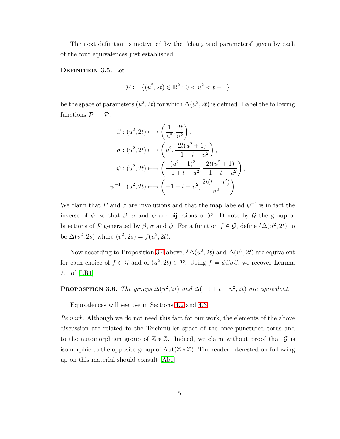The next definition is motivated by the "changes of parameters" given by each of the four equivalences just established.

#### DEFINITION 3.5. Let

$$
\mathcal{P} := \{(u^2, 2t) \in \mathbb{R}^2 : 0 < u^2 < t - 1\}
$$

be the space of parameters  $(u^2, 2t)$  for which  $\Delta(u^2, 2t)$  is defined. Label the following functions  $\mathcal{P} \rightarrow \mathcal{P}$ :

$$
\beta : (u^2, 2t) \longmapsto \left(\frac{1}{u^2}, \frac{2t}{u^2}\right), \n\sigma : (u^2, 2t) \longmapsto \left(u^2, \frac{2t(u^2+1)}{-1+t-u^2}\right), \n\psi : (u^2, 2t) \longmapsto \left(\frac{(u^2+1)^2}{-1+t-u^2}, \frac{2t(u^2+1)}{-1+t-u^2}\right), \n\psi^{-1} : (u^2, 2t) \longmapsto \left(-1+t-u^2, \frac{2t(t-u^2)}{u^2}\right).
$$

We claim that P and  $\sigma$  are involutions and that the map labeled  $\psi^{-1}$  is in fact the inverse of  $\psi$ , so that  $\beta$ ,  $\sigma$  and  $\psi$  are bijections of P. Denote by G the group of bijections of P generated by  $\beta$ ,  $\sigma$  and  $\psi$ . For a function  $f \in \mathcal{G}$ , define  $f\Delta(u^2, 2t)$  to be  $\Delta(v^2, 2s)$  where  $(v^2, 2s) = f(u^2, 2t)$ .

Now according to Proposition [3.4](#page-20-0) above,  ${}^f\Delta(u^2, 2t)$  and  $\Delta(u^2, 2t)$  are equivalent for each choice of  $f \in \mathcal{G}$  and of  $(u^2, 2t) \in \mathcal{P}$ . Using  $f = \psi \beta \sigma \beta$ , we recover Lemma 2.1 of [\[LR1\]](#page-80-2).

**PROPOSITION 3.6.** The groups  $\Delta(u^2, 2t)$  and  $\Delta(-1 + t - u^2, 2t)$  are equivalent.

Equivalences will see use in Sections [4.2](#page-26-0) and [4.3.](#page-46-0)

Remark. Although we do not need this fact for our work, the elements of the above discussion are related to the Teichmüller space of the once-punctured torus and to the automorphism group of  $\mathbb{Z} * \mathbb{Z}$ . Indeed, we claim without proof that  $\mathcal G$  is isomorphic to the opposite group of  $Aut(\mathbb{Z}*\mathbb{Z})$ . The reader interested on following up on this material should consult [\[Abe\]](#page-79-1).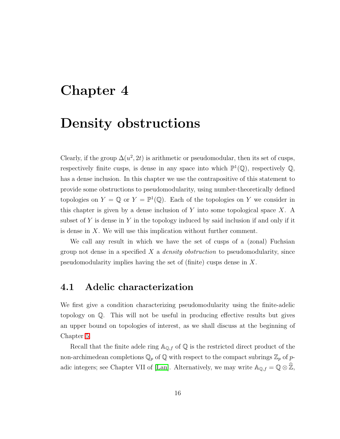### <span id="page-23-0"></span>Chapter 4

### Density obstructions

Clearly, if the group  $\Delta(u^2, 2t)$  is arithmetic or pseudomodular, then its set of cusps, respectively finite cusps, is dense in any space into which  $\mathbb{P}^1(\mathbb{Q})$ , respectively  $\mathbb{Q}$ , has a dense inclusion. In this chapter we use the contrapositive of this statement to provide some obstructions to pseudomodularity, using number-theoretically defined topologies on  $Y = \mathbb{Q}$  or  $Y = \mathbb{P}^1(\mathbb{Q})$ . Each of the topologies on Y we consider in this chapter is given by a dense inclusion of  $Y$  into some topological space  $X$ . A subset of Y is dense in Y in the topology induced by said inclusion if and only if it is dense in X. We will use this implication without further comment.

We call any result in which we have the set of cusps of a (zonal) Fuchsian group not dense in a specified  $X$  a *density obstruction* to pseudomodularity, since pseudomodularity implies having the set of (finite) cusps dense in X.

### <span id="page-23-1"></span>4.1 Adelic characterization

We first give a condition characterizing pseudomodularity using the finite-adelic topology on Q. This will not be useful in producing effective results but gives an upper bound on topologies of interest, as we shall discuss at the beginning of Chapter [5.](#page-53-0)

Recall that the finite adele ring  $A_{\mathbb{Q},f}$  of  $\mathbb Q$  is the restricted direct product of the non-archimedean completions  $\mathbb{Q}_p$  of  $\mathbb Q$  with respect to the compact subrings  $\mathbb{Z}_p$  of p-adic integers; see Chapter VII of [\[Lan\]](#page-80-5). Alternatively, we may write  $\mathbb{A}_{\mathbb{Q},f} = \mathbb{Q} \otimes \mathbb{Z}$ ,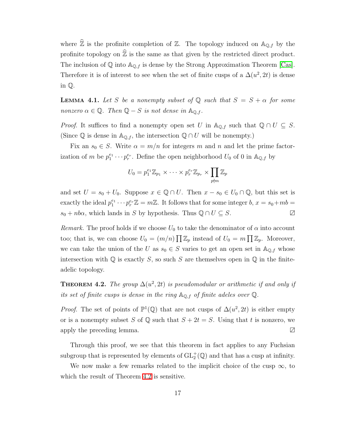where  $\widehat{\mathbb{Z}}$  is the profinite completion of  $\mathbb{Z}$ . The topology induced on  $\mathbb{A}_{\mathbb{Q},f}$  by the profinite topology on  $\hat{\mathbb{Z}}$  is the same as that given by the restricted direct product. The inclusion of  $\mathbb Q$  into  $\mathbb A_{\mathbb Q,f}$  is dense by the Strong Approximation Theorem [\[Cas\]](#page-79-6). Therefore it is of interest to see when the set of finite cusps of a  $\Delta(u^2, 2t)$  is dense in Q.

**LEMMA 4.1.** Let S be a nonempty subset of Q such that  $S = S + \alpha$  for some nonzero  $\alpha \in \mathbb{Q}$ . Then  $\mathbb{Q} - S$  is not dense in  $\mathbb{A}_{\mathbb{Q},f}$ .

*Proof.* It suffices to find a nonempty open set U in  $\mathbb{A}_{\mathbb{Q},f}$  such that  $\mathbb{Q} \cap U \subseteq S$ . (Since  $\mathbb Q$  is dense in  $\mathbb A_{\mathbb Q,f}$ , the intersection  $\mathbb Q \cap U$  will be nonempty.)

Fix an  $s_0 \in S$ . Write  $\alpha = m/n$  for integers m and n and let the prime factorization of m be  $p_1^{e_1}$  $i_1^{e_1} \cdots p_r^{e_r}$ . Define the open neighborhood  $U_0$  of 0 in  $\mathbb{A}_{\mathbb{Q},f}$  by

$$
U_0 = p_1^{e_1} \mathbb{Z}_{p_1} \times \cdots \times p_r^{e_r} \mathbb{Z}_{p_r} \times \prod_{p \nmid m} \mathbb{Z}_p
$$

and set  $U = s_0 + U_0$ . Suppose  $x \in \mathbb{Q} \cap U$ . Then  $x - s_0 \in U_0 \cap \mathbb{Q}$ , but this set is exactly the ideal  $p_1^{e_1}$  $i_1^{e_1} \cdots p_r^{e_r} \mathbb{Z} = m \mathbb{Z}$ . It follows that for some integer  $b, x = s_0 + mb =$  $s_0 + nb\alpha$ , which lands in S by hypothesis. Thus  $\mathbb{Q} \cap U \subseteq S$ .  $\Box$ 

Remark. The proof holds if we choose  $U_0$  to take the denominator of  $\alpha$  into account too; that is, we can choose  $U_0 = (m/n) \prod \mathbb{Z}_p$  instead of  $U_0 = m \prod \mathbb{Z}_p$ . Moreover, we can take the union of the U as  $s_0 \in S$  varies to get an open set in  $\mathbb{A}_{\mathbb{Q},f}$  whose intersection with  $\mathbb Q$  is exactly S, so such S are themselves open in  $\mathbb Q$  in the finiteadelic topology.

<span id="page-24-0"></span>**THEOREM 4.2.** The group  $\Delta(u^2, 2t)$  is pseudomodular or arithmetic if and only if its set of finite cusps is dense in the ring  $\mathbb{A}_{\mathbb{Q},f}$  of finite adeles over  $\mathbb{Q}$ .

*Proof.* The set of points of  $\mathbb{P}^1(\mathbb{Q})$  that are not cusps of  $\Delta(u^2, 2t)$  is either empty or is a nonempty subset S of Q such that  $S + 2t = S$ . Using that t is nonzero, we apply the preceding lemma.  $\Box$ 

Through this proof, we see that this theorem in fact applies to any Fuchsian subgroup that is represented by elements of  $GL_2^+(\mathbb{Q})$  and that has a cusp at infinity.

We now make a few remarks related to the implicit choice of the cusp  $\infty$ , to which the result of Theorem [4.2](#page-24-0) is sensitive.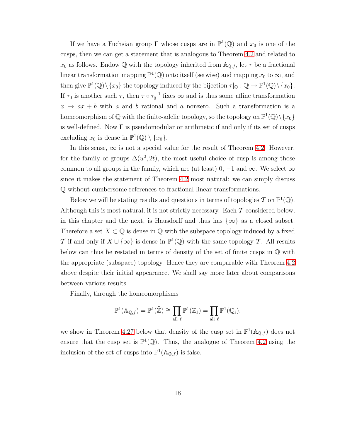If we have a Fuchsian group  $\Gamma$  whose cusps are in  $\mathbb{P}^1(\mathbb{Q})$  and  $x_0$  is one of the cusps, then we can get a statement that is analogous to Theorem [4.2](#page-24-0) and related to  $x_0$  as follows. Endow Q with the topology inherited from  $\mathbb{A}_{\mathbb{Q},f}$ , let  $\tau$  be a fractional linear transformation mapping  $\mathbb{P}^1(\mathbb{Q})$  onto itself (setwise) and mapping  $x_0$  to  $\infty$ , and then give  $\mathbb{P}^1(\mathbb{Q})\setminus\{x_0\}$  the topology induced by the bijection  $\tau|_{\mathbb{Q}}:\mathbb{Q}\to\mathbb{P}^1(\mathbb{Q})\setminus\{x_0\}.$ If  $\tau_0$  is another such  $\tau$ , then  $\tau \circ \tau_0^{-1}$  fixes  $\infty$  and is thus some affine transformation  $x \mapsto ax + b$  with a and b rational and a nonzero. Such a transformation is a homeomorphism of  $\mathbb Q$  with the finite-adelic topology, so the topology on  $\mathbb P^1(\mathbb Q)\backslash\{x_0\}$ is well-defined. Now  $\Gamma$  is pseudomodular or arithmetic if and only if its set of cusps excluding  $x_0$  is dense in  $\mathbb{P}^1(\mathbb{Q}) \setminus \{x_0\}.$ 

In this sense,  $\infty$  is not a special value for the result of Theorem [4.2.](#page-24-0) However, for the family of groups  $\Delta(u^2, 2t)$ , the most useful choice of cusp is among those common to all groups in the family, which are (at least) 0,  $-1$  and  $\infty$ . We select  $\infty$ since it makes the statement of Theorem [4.2](#page-24-0) most natural: we can simply discuss Q without cumbersome references to fractional linear transformations.

Below we will be stating results and questions in terms of topologies  $T$  on  $\mathbb{P}^1(\mathbb{Q})$ . Although this is most natural, it is not strictly necessary. Each  $\mathcal T$  considered below, in this chapter and the next, is Hausdorff and thus has  $\{\infty\}$  as a closed subset. Therefore a set  $X \subset \mathbb{Q}$  is dense in  $\mathbb Q$  with the subspace topology induced by a fixed T if and only if  $X \cup \{\infty\}$  is dense in  $\mathbb{P}^1(\mathbb{Q})$  with the same topology T. All results below can thus be restated in terms of density of the set of finite cusps in  $\mathbb Q$  with the appropriate (subspace) topology. Hence they are comparable with Theorem [4.2](#page-24-0) above despite their initial appearance. We shall say more later about comparisons between various results.

Finally, through the homeomorphisms

$$
\mathbb{P}^1(\mathbb{A}_{\mathbb{Q},f})=\mathbb{P}^1(\widehat{\mathbb{Z}})\cong \prod_{\text{all }\ell}\mathbb{P}^1(\mathbb{Z}_\ell)=\prod_{\text{all }\ell}\mathbb{P}^1(\mathbb{Q}_\ell),
$$

we show in Theorem [4.27](#page-52-0) below that density of the cusp set in  $\mathbb{P}^1(\mathbb{A}_{\mathbb{Q},f})$  does not ensure that the cusp set is  $\mathbb{P}^1(\mathbb{Q})$ . Thus, the analogue of Theorem [4.2](#page-24-0) using the inclusion of the set of cusps into  $\mathbb{P}^1(\mathbb{A}_{\mathbb{Q},f})$  is false.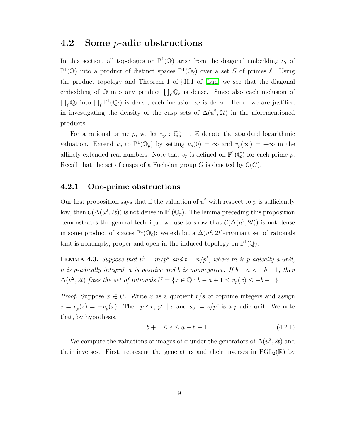#### <span id="page-26-0"></span>4.2 Some p-adic obstructions

In this section, all topologies on  $\mathbb{P}^1(\mathbb{Q})$  arise from the diagonal embedding  $\iota_S$  of  $\mathbb{P}^1(\mathbb{Q})$  into a product of distinct spaces  $\mathbb{P}^1(\mathbb{Q}_\ell)$  over a set S of primes  $\ell$ . Using the product topology and Theorem 1 of §II.1 of [\[Lan\]](#page-80-5) we see that the diagonal embedding of  $\mathbb Q$  into any product  $\prod_{\ell} \mathbb Q_{\ell}$  is dense. Since also each inclusion of  $\prod_{\ell} \mathbb{Q}_{\ell}$  into  $\prod_{\ell} \mathbb{P}^1(\mathbb{Q}_{\ell})$  is dense, each inclusion  $\iota_S$  is dense. Hence we are justified in investigating the density of the cusp sets of  $\Delta(u^2, 2t)$  in the aforementioned products.

For a rational prime p, we let  $v_p : \mathbb{Q}_p^{\times} \to \mathbb{Z}$  denote the standard logarithmic valuation. Extend  $v_p$  to  $\mathbb{P}^1(\mathbb{Q}_p)$  by setting  $v_p(0) = \infty$  and  $v_p(\infty) = -\infty$  in the affinely extended real numbers. Note that  $v_p$  is defined on  $\mathbb{P}^1(\mathbb{Q})$  for each prime p. Recall that the set of cusps of a Fuchsian group G is denoted by  $\mathcal{C}(G)$ .

#### <span id="page-26-1"></span>4.2.1 One-prime obstructions

Our first proposition says that if the valuation of  $u^2$  with respect to p is sufficiently low, then  $\mathcal{C}(\Delta(u^2, 2t))$  is not dense in  $\mathbb{P}^1(\mathbb{Q}_p)$ . The lemma preceding this proposition demonstrates the general technique we use to show that  $\mathcal{C}(\Delta(u^2, 2t))$  is not dense in some product of spaces  $\mathbb{P}^1(\mathbb{Q}_\ell)$ : we exhibit a  $\Delta(u^2, 2t)$ -invariant set of rationals that is nonempty, proper and open in the induced topology on  $\mathbb{P}^1(\mathbb{Q})$ .

<span id="page-26-3"></span>**LEMMA 4.3.** Suppose that  $u^2 = m/p^a$  and  $t = n/p^b$ , where m is p-adically a unit, n is p-adically integral, a is positive and b is nonnegative. If  $b - a < -b - 1$ , then  $\Delta(u^2, 2t)$  fixes the set of rationals  $U = \{x \in \mathbb{Q} : b - a + 1 \le v_p(x) \le -b - 1\}.$ 

*Proof.* Suppose  $x \in U$ . Write x as a quotient  $r/s$  of coprime integers and assign  $e = v_p(s) = -v_p(x)$ . Then  $p \nmid r, p^e \mid s$  and  $s_0 := s/p^e$  is a p-adic unit. We note that, by hypothesis,

<span id="page-26-2"></span>
$$
b + 1 \le e \le a - b - 1. \tag{4.2.1}
$$

We compute the valuations of images of x under the generators of  $\Delta(u^2, 2t)$  and their inverses. First, represent the generators and their inverses in  $PGL_2(\mathbb{R})$  by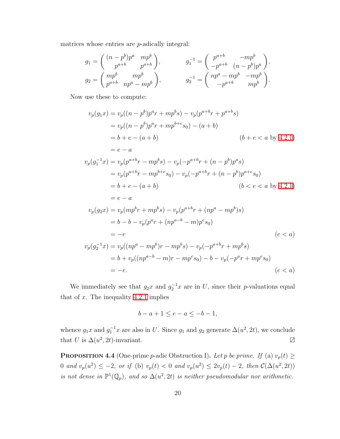matrices whose entries are p-adically integral:

$$
g_1 = \begin{pmatrix} (n-p^b)p^a & mp^b \\ p^{a+b} & p^{a+b} \end{pmatrix}, \qquad g_1^{-1} = \begin{pmatrix} p^{a+b} & -mp^b \\ -p^{a+b} & (n-p^b)p^a \end{pmatrix},
$$
  
\n
$$
g_2 = \begin{pmatrix} mp^b & mp^b \\ p^{a+b} & np^a - mp^b \end{pmatrix}, \qquad g_2^{-1} = \begin{pmatrix} np^a - mp^b & -mp^b \\ -p^{a+b} & mp^b \end{pmatrix}.
$$

Now use these to compute:

$$
v_p(g_1x) = v_p((n-p^b)p^a r + mp^b s) - v_p(p^{a+b}r + p^{a+b}s)
$$
  
\n
$$
= v_p((n-p^b)p^a r + mp^{b+c}s_0) - (a+b)
$$
  
\n
$$
= b + e - (a + b)
$$
  
\n
$$
= e - a
$$
  
\n
$$
v_p(g_1^{-1}x) = v_p(p^{a+b}r - mp^b s) - v_p(-p^{a+b}r + (n-p^b)p^a s)
$$
  
\n
$$
= v_p(p^{a+b}r - mp^{b+c}s_0) - v_p(-p^{a+b}r + (n-p^b)p^{a+c}s_0)
$$
  
\n
$$
= b + e - (a + b)
$$
  
\n
$$
= e - a
$$
  
\n
$$
v_p(g_2x) = v_p(mp^b r + mp^b s) - v_p(p^{a+b}r + (np^a - mp^b)s)
$$
  
\n
$$
= b - b - v_p(p^a r + (np^{a-b} - m)p^e s_0)
$$
  
\n
$$
= -e
$$
  
\n
$$
v_p(g_2^{-1}x) = v_p((np^a - mp^b)r - mp^b s) - v_p(-p^{a+b}r + mp^b s)
$$
  
\n
$$
= b + v_p((np^{a-b} - m)r - mp^e s_0) - b - v_p(-p^a r + mp^e s_0)
$$
  
\n
$$
= -e.
$$
  
\n
$$
(e < a)
$$

We immediately see that  $g_2x$  and  $g_2^{-1}x$  are in U, since their p-valuations equal that of  $x$ . The inequality [4.2.1](#page-26-2) implies

$$
b - a + 1 \le e - a \le -b - 1,
$$

whence  $g_1x$  and  $g_1^{-1}x$  are also in U. Since  $g_1$  and  $g_2$  generate  $\Delta(u^2, 2t)$ , we conclude that U is  $\Delta(u^2, 2t)$ -invariant.  $\Box$ 

<span id="page-27-0"></span>**PROPOSITION 4.4** (One-prime p-adic Obstruction I). Let p be prime. If (a)  $v_p(t) \ge$ 0 and  $v_p(u^2) \le -2$ , or if (b)  $v_p(t) < 0$  and  $v_p(u^2) \le 2v_p(t) - 2$ , then  $\mathcal{C}(\Delta(u^2, 2t))$ is not dense in  $\mathbb{P}^1(\mathbb{Q}_p)$ , and so  $\Delta(u^2, 2t)$  is neither pseudomodular nor arithmetic.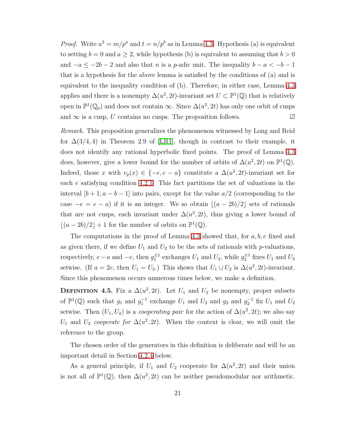*Proof.* Write  $u^2 = m/p^a$  and  $t = n/p^b$  as in Lemma [4.3.](#page-26-3) Hypothesis (a) is equivalent to setting  $b = 0$  and  $a \ge 2$ , while hypothesis (b) is equivalent to assuming that  $b > 0$ and  $-a \le -2b - 2$  and also that n is a p-adic unit. The inequality  $b - a < -b - 1$ that is a hypothesis for the above lemma is satisfied by the conditions of (a) and is equivalent to the inequality condition of (b). Therefore, in either case, Lemma [4.3](#page-26-3) applies and there is a nonempty  $\Delta(u^2, 2t)$ -invariant set  $U \subset \mathbb{P}^1(\mathbb{Q})$  that is relatively open in  $\mathbb{P}^1(\mathbb{Q}_p)$  and does not contain  $\infty$ . Since  $\Delta(u^2, 2t)$  has only one orbit of cusps and  $\infty$  is a cusp, U contains no cusps. The proposition follows.  $\boxtimes$ 

Remark. This proposition generalizes the phenomenon witnessed by Long and Reid for  $\Delta(3/4, 4)$  in Theorem 2.9 of [\[LR1\]](#page-80-2), though in contrast to their example, it does not identify any rational hyperbolic fixed points. The proof of Lemma [4.3](#page-26-3) does, however, give a lower bound for the number of orbits of  $\Delta(u^2, 2t)$  on  $\mathbb{P}^1(\mathbb{Q})$ . Indeed, those x with  $v_p(x) \in \{-e, e - a\}$  constitute a  $\Delta(u^2, 2t)$ -invariant set for each e satisfying condition [4.2.1.](#page-26-2) This fact partitions the set of valuations in the interval  $[b+1, a-b-1]$  into pairs, except for the value  $a/2$  (corresponding to the case  $-e = e - a$ ) if it is an integer. We so obtain  $\lfloor (a - 2b)/2 \rfloor$  sets of rationals that are not cusps, each invariant under  $\Delta(u^2, 2t)$ , thus giving a lower bound of  $\lfloor (a-2b)/2 \rfloor + 1$  for the number of orbits on  $\mathbb{P}^1(\mathbb{Q})$ .

The computations in the proof of Lemma [4.3](#page-26-3) showed that, for  $a, b, e$  fixed and as given there, if we define  $U_1$  and  $U_2$  to be the sets of rationals with p-valuations, respectively,  $e - a$  and  $-e$ , then  $g_1^{\pm 1}$  exchanges  $U_1$  and  $U_2$ , while  $g_2^{\pm 1}$  fixes  $U_1$  and  $U_2$ setwise. (If  $a = 2e$ , then  $U_1 = U_2$ .) This shows that  $U_1 \cup U_2$  is  $\Delta(u^2, 2t)$ -invariant. Since this phenomenon occurs numerous times below, we make a definition.

**DEFINITION** 4.5. Fix a  $\Delta(u^2, 2t)$ . Let  $U_1$  and  $U_2$  be nonempty, proper subsets of  $\mathbb{P}^1(\mathbb{Q})$  such that  $g_1$  and  $g_1^{-1}$  exchange  $U_1$  and  $U_2$  and  $g_2$  and  $g_2^{-1}$  fix  $U_1$  and  $U_2$ setwise. Then  $(U_1, U_2)$  is a *cooperating pair* for the action of  $\Delta(u^2, 2t)$ ; we also say U<sub>1</sub> and U<sub>2</sub> cooperate for  $\Delta(u^2, 2t)$ . When the context is clear, we will omit the reference to the group.

The chosen order of the generators in this definition is deliberate and will be an important detail in Section [4.2.4](#page-41-0) below.

As a general principle, if  $U_1$  and  $U_2$  cooperate for  $\Delta(u^2, 2t)$  and their union is not all of  $\mathbb{P}^1(\mathbb{Q})$ , then  $\Delta(u^2, 2t)$  can be neither pseudomodular nor arithmetic.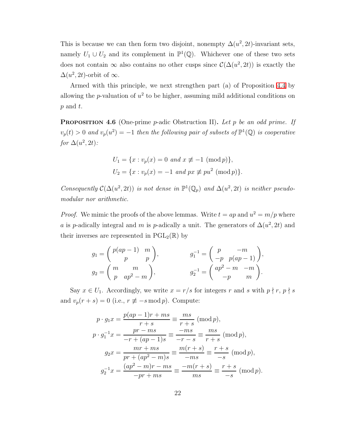This is because we can then form two disjoint, nonempty  $\Delta(u^2, 2t)$ -invariant sets, namely  $U_1 \cup U_2$  and its complement in  $\mathbb{P}^1(\mathbb{Q})$ . Whichever one of these two sets does not contain  $\infty$  also contains no other cusps since  $\mathcal{C}(\Delta(u^2, 2t))$  is exactly the  $\Delta(u^2, 2t)$ -orbit of  $\infty$ .

<span id="page-29-0"></span>Armed with this principle, we next strengthen part (a) of Proposition [4.4](#page-27-0) by allowing the *p*-valuation of  $u^2$  to be higher, assuming mild additional conditions on  $p$  and  $t$ .

**PROPOSITION 4.6** (One-prime p-adic Obstruction II). Let p be an odd prime. If  $v_p(t) > 0$  and  $v_p(u^2) = -1$  then the following pair of subsets of  $\mathbb{P}^1(\mathbb{Q})$  is cooperative for  $\Delta(u^2, 2t)$ :

$$
U_1 = \{x : v_p(x) = 0 \text{ and } x \not\equiv -1 \pmod{p}\},
$$
  

$$
U_2 = \{x : v_p(x) = -1 \text{ and } px \not\equiv pu^2 \pmod{p}\}.
$$

Consequently  $C(\Delta(u^2, 2t))$  is not dense in  $\mathbb{P}^1(\mathbb{Q}_p)$  and  $\Delta(u^2, 2t)$  is neither pseudomodular nor arithmetic.

*Proof.* We mimic the proofs of the above lemmas. Write  $t = ap$  and  $u^2 = m/p$  where a is p-adically integral and m is p-adically a unit. The generators of  $\Delta(u^2, 2t)$  and their inverses are represented in  $PGL_2(\mathbb{R})$  by

$$
g_1 = \begin{pmatrix} p(ap-1) & m \\ p & p \end{pmatrix}, \qquad g_1^{-1} = \begin{pmatrix} p & -m \\ -p & p(ap-1) \end{pmatrix}, g_2 = \begin{pmatrix} m & m \\ p & ap^2 - m \end{pmatrix}, \qquad g_2^{-1} = \begin{pmatrix} ap^2 - m & -m \\ -p & m \end{pmatrix}.
$$

Say  $x \in U_1$ . Accordingly, we write  $x = r/s$  for integers r and s with  $p \nmid r, p \nmid s$ and  $v_p(r + s) = 0$  (i.e.,  $r \not\equiv -s \mod p$ ). Compute:

$$
p \cdot g_1 x = \frac{p(ap-1)r + ms}{r+s} \equiv \frac{ms}{r+s} \pmod{p},
$$
  
\n
$$
p \cdot g_1^{-1} x = \frac{pr - ms}{-r + (ap - 1)s} \equiv \frac{-ms}{-r - s} \equiv \frac{ms}{r+s} \pmod{p},
$$
  
\n
$$
g_2 x = \frac{mr + ms}{pr + (ap^2 - m)s} \equiv \frac{m(r+s)}{-ms} \equiv \frac{r+s}{-s} \pmod{p},
$$
  
\n
$$
g_2^{-1} x = \frac{(ap^2 - m)r - ms}{-pr + ms} \equiv \frac{-m(r+s)}{ms} \equiv \frac{r+s}{-s} \pmod{p}.
$$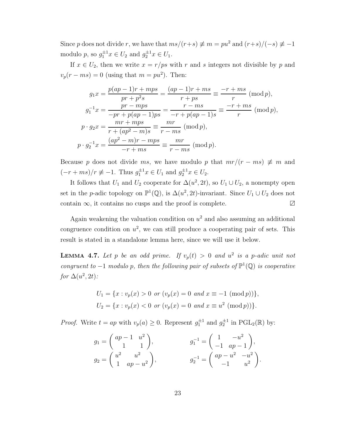Since p does not divide r, we have that  $ms/(r+s) \neq m = pu^2$  and  $(r+s)/(-s) \neq -1$ modulo p, so  $g_1^{\pm 1}x \in U_2$  and  $g_2^{\pm 1}x \in U_1$ .

If  $x \in U_2$ , then we write  $x = r/ps$  with r and s integers not divisible by p and  $v_p(r - ms) = 0$  (using that  $m = pu^2$ ). Then:

$$
g_1 x = \frac{p(ap-1)r + mps}{pr + p^2s} = \frac{(ap-1)r + ms}{r + ps} \equiv \frac{-r + ms}{r} \pmod{p},
$$
  
\n
$$
g_1^{-1} x = \frac{pr - mps}{-pr + p(ap-1)ps} = \frac{r - ms}{-r + p(ap-1)s} \equiv \frac{-r + ms}{r} \pmod{p},
$$
  
\n
$$
p \cdot g_2 x = \frac{mr + mps}{r + (ap^2 - m)s} \equiv \frac{mr}{r - ms} \pmod{p},
$$
  
\n
$$
p \cdot g_2^{-1} x = \frac{(ap^2 - m)r - mps}{-r + ms} \equiv \frac{mr}{r - ms} \pmod{p}.
$$

Because p does not divide ms, we have modulo p that  $mr/(r - ms) \neq m$  and  $(-r + ms)/r \neq -1$ . Thus  $g_1^{\pm 1}x \in U_1$  and  $g_2^{\pm 1}x \in U_2$ .

It follows that  $U_1$  and  $U_2$  cooperate for  $\Delta(u^2, 2t)$ , so  $U_1 \cup U_2$ , a nonempty open set in the p-adic topology on  $\mathbb{P}^1(\mathbb{Q})$ , is  $\Delta(u^2, 2t)$ -invariant. Since  $U_1 \cup U_2$  does not contain  $\infty$ , it contains no cusps and the proof is complete.  $\boxtimes$ 

Again weakening the valuation condition on  $u^2$  and also assuming an additional congruence condition on  $u^2$ , we can still produce a cooperating pair of sets. This result is stated in a standalone lemma here, since we will use it below.

**LEMMA 4.7.** Let p be an odd prime. If  $v_p(t) > 0$  and  $u^2$  is a p-adic unit not congruent to  $-1$  modulo p, then the following pair of subsets of  $\mathbb{P}^1(\mathbb{Q})$  is cooperative for  $\Delta(u^2, 2t)$ :

$$
U_1 = \{x : v_p(x) > 0 \text{ or } (v_p(x) = 0 \text{ and } x \equiv -1 \pmod{p})\},
$$
  

$$
U_2 = \{x : v_p(x) < 0 \text{ or } (v_p(x) = 0 \text{ and } x \equiv u^2 \pmod{p})\}.
$$

*Proof.* Write  $t = ap$  with  $v_p(a) \ge 0$ . Represent  $g_1^{\pm 1}$  and  $g_2^{\pm 1}$  in  $PGL_2(\mathbb{R})$  by:

$$
g_1 = \begin{pmatrix} ap-1 & u^2 \\ 1 & 1 \end{pmatrix}, \qquad g_1^{-1} = \begin{pmatrix} 1 & -u^2 \\ -1 & ap-1 \end{pmatrix},
$$
  
\n
$$
g_2 = \begin{pmatrix} u^2 & u^2 \\ 1 & ap-u^2 \end{pmatrix}, \qquad g_2^{-1} = \begin{pmatrix} ap-u^2 & -u^2 \\ -1 & u^2 \end{pmatrix}.
$$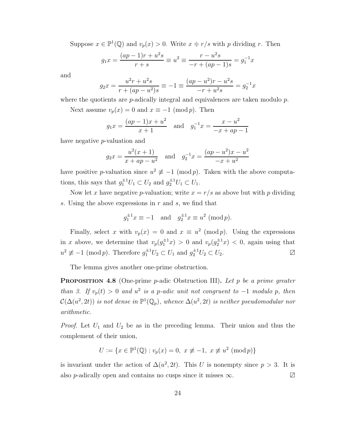Suppose  $x \in \mathbb{P}^1(\mathbb{Q})$  and  $v_p(x) > 0$ . Write  $x = r/s$  with p dividing r. Then

$$
g_1 x = \frac{(ap-1)r + u^2 s}{r + s} \equiv u^2 \equiv \frac{r - u^2 s}{-r + (ap - 1)s} = g_1^{-1} x
$$

and

$$
g_2 x = \frac{u^2 r + u^2 s}{r + (ap - u^2)s} \equiv -1 \equiv \frac{(ap - u^2)r - u^2 s}{-r + u^2 s} = g_2^{-1} x
$$

where the quotients are  $p$ -adically integral and equivalences are taken modulo  $p$ .

Next assume  $v_p(x) = 0$  and  $x \equiv -1 \pmod{p}$ . Then

$$
g_1 x = \frac{(ap-1)x + u^2}{x+1}
$$
 and  $g_1^{-1} x = \frac{x - u^2}{-x + ap - 1}$ 

have negative p-valuation and

$$
g_2 x = \frac{u^2(x+1)}{x+ap-u^2}
$$
 and  $g_2^{-1} x = \frac{(ap-u^2)x-u^2}{-x+u^2}$ 

have positive *p*-valuation since  $u^2 \not\equiv -1 \pmod{p}$ . Taken with the above computations, this says that  $g_1^{\pm 1}U_1 \subset U_2$  and  $g_2^{\pm 1}U_1 \subset U_1$ .

Now let x have negative p-valuation; write  $x = r/s$  as above but with p dividing s. Using the above expressions in r and s, we find that

$$
g_1^{\pm 1}x \equiv -1
$$
 and  $g_2^{\pm 1}x \equiv u^2 \pmod{p}$ .

Finally, select x with  $v_p(x) = 0$  and  $x \equiv u^2 \pmod{p}$ . Using the expressions in x above, we determine that  $v_p(g_1^{\pm 1}x) > 0$  and  $v_p(g_2^{\pm 1}x) < 0$ , again using that  $u^2 \not\equiv -1 \pmod{p}$ . Therefore  $g_1^{\pm 1}U_2 \subset U_1$  and  $g_2^{\pm 1}U_2 \subset U_2$ .

The lemma gives another one-prime obstruction.

<span id="page-31-0"></span>**PROPOSITION 4.8** (One-prime *p*-adic Obstruction III). Let *p* be a prime greater than 3. If  $v_p(t) > 0$  and  $u^2$  is a p-adic unit not congruent to  $-1$  modulo p, then  $\mathcal{C}(\Delta(u^2,2t))$  is not dense in  $\mathbb{P}^1(\mathbb{Q}_p)$ , whence  $\Delta(u^2,2t)$  is neither pseudomodular nor arithmetic.

*Proof.* Let  $U_1$  and  $U_2$  be as in the preceding lemma. Their union and thus the complement of their union,

$$
U := \{ x \in \mathbb{P}^1(\mathbb{Q}) : v_p(x) = 0, \ x \not\equiv -1, \ x \not\equiv u^2 \ (\text{mod } p) \}
$$

is invariant under the action of  $\Delta(u^2, 2t)$ . This U is nonempty since  $p > 3$ . It is also p-adically open and contains no cusps since it misses  $\infty$ . ∠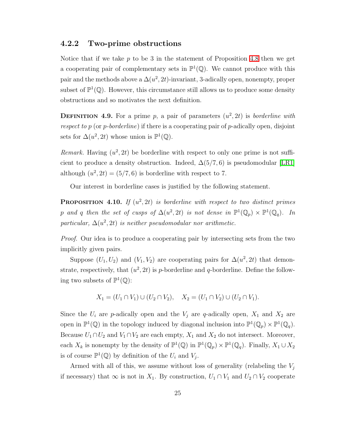#### <span id="page-32-0"></span>4.2.2 Two-prime obstructions

Notice that if we take  $p$  to be 3 in the statement of Proposition [4.8](#page-31-0) then we get a cooperating pair of complementary sets in  $\mathbb{P}^1(\mathbb{Q})$ . We cannot produce with this pair and the methods above a  $\Delta(u^2, 2t)$ -invariant, 3-adically open, nonempty, proper subset of  $\mathbb{P}^1(\mathbb{Q})$ . However, this circumstance still allows us to produce some density obstructions and so motivates the next definition.

**DEFINITION 4.9.** For a prime p, a pair of parameters  $(u^2, 2t)$  is borderline with respect to p (or p-borderline) if there is a cooperating pair of p-adically open, disjoint sets for  $\Delta(u^2, 2t)$  whose union is  $\mathbb{P}^1(\mathbb{Q})$ .

Remark. Having  $(u^2, 2t)$  be borderline with respect to only one prime is not sufficient to produce a density obstruction. Indeed,  $\Delta(5/7, 6)$  is pseudomodular [\[LR1\]](#page-80-2) although  $(u^2, 2t) = (5/7, 6)$  is borderline with respect to 7.

Our interest in borderline cases is justified by the following statement.

**PROPOSITION** 4.10. If  $(u^2, 2t)$  is borderline with respect to two distinct primes p and q then the set of cusps of  $\Delta(u^2, 2t)$  is not dense in  $\mathbb{P}^1(\mathbb{Q}_p) \times \mathbb{P}^1(\mathbb{Q}_q)$ . In particular,  $\Delta(u^2, 2t)$  is neither pseudomodular nor arithmetic.

Proof. Our idea is to produce a cooperating pair by intersecting sets from the two implicitly given pairs.

Suppose  $(U_1, U_2)$  and  $(V_1, V_2)$  are cooperating pairs for  $\Delta(u^2, 2t)$  that demonstrate, respectively, that  $(u^2, 2t)$  is p-borderline and q-borderline. Define the following two subsets of  $\mathbb{P}^1(\mathbb{Q})$ :

$$
X_1 = (U_1 \cap V_1) \cup (U_2 \cap V_2), \quad X_2 = (U_1 \cap V_2) \cup (U_2 \cap V_1).
$$

Since the  $U_i$  are p-adically open and the  $V_j$  are q-adically open,  $X_1$  and  $X_2$  are open in  $\mathbb{P}^1(\mathbb{Q})$  in the topology induced by diagonal inclusion into  $\mathbb{P}^1(\mathbb{Q}_p) \times \mathbb{P}^1(\mathbb{Q}_q)$ . Because  $U_1 \cap U_2$  and  $V_1 \cap V_2$  are each empty,  $X_1$  and  $X_2$  do not intersect. Moreover, each  $X_k$  is nonempty by the density of  $\mathbb{P}^1(\mathbb{Q})$  in  $\mathbb{P}^1(\mathbb{Q}_p) \times \mathbb{P}^1(\mathbb{Q}_q)$ . Finally,  $X_1 \cup X_2$ is of course  $\mathbb{P}^1(\mathbb{Q})$  by definition of the  $U_i$  and  $V_j$ .

Armed with all of this, we assume without loss of generality (relabeling the  $V_i$ if necessary) that  $\infty$  is not in  $X_1$ . By construction,  $U_1 \cap V_1$  and  $U_2 \cap V_2$  cooperate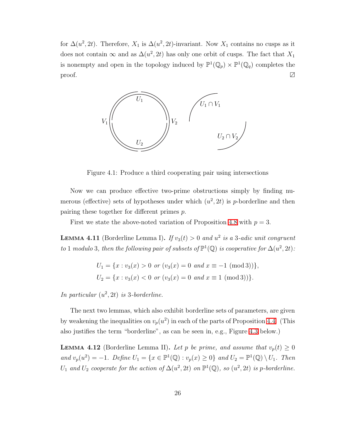for  $\Delta(u^2, 2t)$ . Therefore,  $X_1$  is  $\Delta(u^2, 2t)$ -invariant. Now  $X_1$  contains no cusps as it does not contain  $\infty$  and as  $\Delta(u^2, 2t)$  has only one orbit of cusps. The fact that  $X_1$ is nonempty and open in the topology induced by  $\mathbb{P}^1(\mathbb{Q}_p) \times \mathbb{P}^1(\mathbb{Q}_q)$  completes the proof.  $\Box$ 



<span id="page-33-0"></span>Figure 4.1: Produce a third cooperating pair using intersections

Now we can produce effective two-prime obstructions simply by finding numerous (effective) sets of hypotheses under which  $(u^2, 2t)$  is p-borderline and then pairing these together for different primes p.

First we state the above-noted variation of Proposition [4.8](#page-31-0) with  $p = 3$ .

**LEMMA 4.11** (Borderline Lemma I). If  $v_3(t) > 0$  and  $u^2$  is a 3-adic unit congruent to 1 modulo 3, then the following pair of subsets of  $\mathbb{P}^1(\mathbb{Q})$  is cooperative for  $\Delta(u^2, 2t)$ :

$$
U_1 = \{x : v_3(x) > 0 \text{ or } (v_3(x) = 0 \text{ and } x \equiv -1 \pmod{3})\},
$$
  

$$
U_2 = \{x : v_3(x) < 0 \text{ or } (v_3(x) = 0 \text{ and } x \equiv 1 \pmod{3})\}.
$$

In particular  $(u^2, 2t)$  is 3-borderline.

The next two lemmas, which also exhibit borderline sets of parameters, are given by weakening the inequalities on  $v_p(u^2)$  in each of the parts of Proposition [4.4.](#page-27-0) (This also justifies the term "borderline", as can be seen in, e.g., Figure [4.3](#page-38-1) below.)

**LEMMA 4.12** (Borderline Lemma II). Let p be prime, and assume that  $v_p(t) \geq 0$ and  $v_p(u^2) = -1$ . Define  $U_1 = \{x \in \mathbb{P}^1(\mathbb{Q}) : v_p(x) \ge 0\}$  and  $U_2 = \mathbb{P}^1(\mathbb{Q}) \setminus U_1$ . Then U<sub>1</sub> and U<sub>2</sub> cooperate for the action of  $\Delta(u^2, 2t)$  on  $\mathbb{P}^1(\mathbb{Q})$ , so  $(u^2, 2t)$  is p-borderline.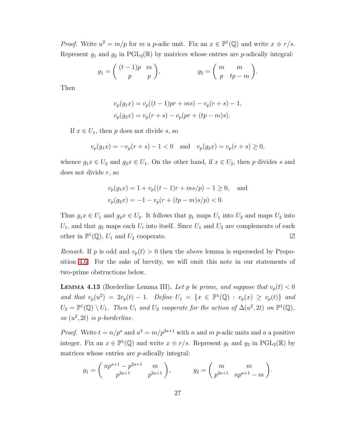*Proof.* Write  $u^2 = m/p$  for m a p-adic unit. Fix an  $x \in \mathbb{P}^1(\mathbb{Q})$  and write  $x \doteq r/s$ . Represent  $g_1$  and  $g_2$  in PGL<sub>2</sub>( $\mathbb{R}$ ) by matrices whose entries are p-adically integral:

$$
g_1 = \begin{pmatrix} (t-1)p & m \\ p & p \end{pmatrix}, \qquad \qquad g_2 = \begin{pmatrix} m & m \\ p & tp-m \end{pmatrix}.
$$

Then

$$
v_p(g_1x) = v_p((t-1)pr + ms) - v_p(r+s) - 1,
$$
  

$$
v_p(g_2x) = v_p(r+s) - v_p(pr + (tp - m)s).
$$

If  $x \in U_1$ , then p does not divide s, so

$$
v_p(g_1x) = -v_p(r+s) - 1 < 0
$$
 and  $v_p(g_2x) = v_p(r+s) \ge 0$ ,

whence  $g_1x \in U_2$  and  $g_2x \in U_1$ . On the other hand, if  $x \in U_2$ , then p divides s and does not divide r, so

$$
v_p(g_1x) = 1 + v_p((t - 1)r + ms/p) - 1 \ge 0, \text{ and}
$$
  

$$
v_p(g_2x) = -1 - v_p(r + (tp - m)s/p) < 0.
$$

Thus  $g_1x \in U_1$  and  $g_2x \in U_2$ . It follows that  $g_1$  maps  $U_1$  into  $U_2$  and maps  $U_2$  into  $U_1$ , and that  $g_2$  maps each  $U_i$  into itself. Since  $U_1$  and  $U_2$  are complements of each other in  $\mathbb{P}^1(\mathbb{Q})$ ,  $U_1$  and  $U_2$  cooperate.  $\Box$ 

*Remark.* If p is odd and  $v_p(t) > 0$  then the above lemma is superseded by Proposition [4.6.](#page-29-0) For the sake of brevity, we will omit this note in our statements of two-prime obstructions below.

**LEMMA 4.13** (Borderline Lemma III). Let p be prime, and suppose that  $v_p(t) < 0$ and that  $v_p(u^2) = 2v_p(t) - 1$ . Define  $U_1 = \{x \in \mathbb{P}^1(\mathbb{Q}) : v_p(x) \ge v_p(t)\}\$ and  $U_2 = \mathbb{P}^1(\mathbb{Q}) \setminus U_1$ . Then  $U_1$  and  $U_2$  cooperate for the action of  $\Delta(u^2, 2t)$  on  $\mathbb{P}^1(\mathbb{Q})$ , so  $(u^2, 2t)$  is p-borderline.

*Proof.* Write  $t = n/p^a$  and  $u^2 = m/p^{2a+1}$  with n and m p-adic units and a a positive integer. Fix an  $x \in \mathbb{P}^1(\mathbb{Q})$  and write  $x = r/s$ . Represent  $g_1$  and  $g_2$  in  $\text{PGL}_2(\mathbb{R})$  by matrices whose entries are p-adically integral:

$$
g_1 = {np^{a+1} - p^{2a+1} \over p^{2a+1}} \frac{m}{p^{2a+1}},
$$
  $g_2 = {m \over p^{2a+1}} \frac{m}{np^{a+1} - m}.$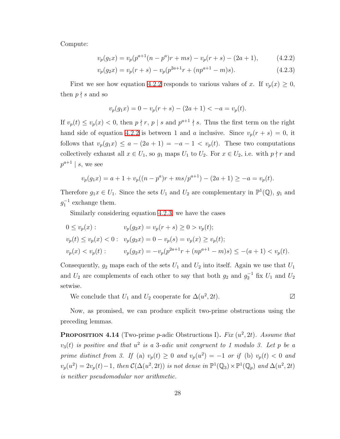Compute:

<span id="page-35-0"></span>
$$
v_p(g_1x) = v_p(p^{a+1}(n-p^a)r+ms) - v_p(r+s) - (2a+1), \qquad (4.2.2)
$$

$$
v_p(g_2x) = v_p(r+s) - v_p(p^{2a+1}r + (np^{a+1} - m)s).
$$
\n(4.2.3)

First we see how equation [4.2.2](#page-35-0) responds to various values of x. If  $v_p(x) \geq 0$ , then  $p \nmid s$  and so

<span id="page-35-1"></span>
$$
v_p(g_1x) = 0 - v_p(r+s) - (2a+1) < -a = v_p(t).
$$

If  $v_p(t) \le v_p(x) < 0$ , then  $p \nmid r, p \mid s$  and  $p^{a+1} \nmid s$ . Thus the first term on the right hand side of equation [4.2.2](#page-35-0) is between 1 and a inclusive. Since  $v_p(r + s) = 0$ , it follows that  $v_p(g_1x) \le a - (2a + 1) = -a - 1 < v_p(t)$ . These two computations collectively exhaust all  $x \in U_1$ , so  $g_1$  maps  $U_1$  to  $U_2$ . For  $x \in U_2$ , i.e. with  $p \nmid r$  and  $p^{a+1} \mid s$ , we see

$$
v_p(g_1x) = a + 1 + v_p((n - p^a)r + ms/p^{a+1}) - (2a + 1) \ge -a = v_p(t).
$$

Therefore  $g_1 x \in U_1$ . Since the sets  $U_1$  and  $U_2$  are complementary in  $\mathbb{P}^1(\mathbb{Q})$ ,  $g_1$  and  $g_1^{-1}$  exchange them.

Similarly considering equation [4.2.3,](#page-35-1) we have the cases

$$
0 \le v_p(x) : \t v_p(g_2x) = v_p(r+s) \ge 0 > v_p(t);
$$
  
\n
$$
v_p(t) \le v_p(x) < 0 : \t v_p(g_2x) = 0 - v_p(s) = v_p(x) \ge v_p(t);
$$
  
\n
$$
v_p(x) < v_p(t) : \t v_p(g_2x) = -v_p(p^{2a+1}r + (np^{a+1} - m)s) \le -(a+1) < v_p(t).
$$

Consequently,  $g_2$  maps each of the sets  $U_1$  and  $U_2$  into itself. Again we use that  $U_1$ and  $U_2$  are complements of each other to say that both  $g_2$  and  $g_2^{-1}$  fix  $U_1$  and  $U_2$ setwise.

We conclude that 
$$
U_1
$$
 and  $U_2$  cooperate for  $\Delta(u^2, 2t)$ .

Now, as promised, we can produce explicit two-prime obstructions using the preceding lemmas.

**PROPOSITION 4.14** (Two-prime *p*-adic Obstructions I). Fix  $(u^2, 2t)$ . Assume that  $v_3(t)$  is positive and that  $u^2$  is a 3-adic unit congruent to 1 modulo 3. Let p be a prime distinct from 3. If (a)  $v_p(t) \ge 0$  and  $v_p(u^2) = -1$  or if (b)  $v_p(t) < 0$  and  $v_p(u^2) = 2v_p(t) - 1$ , then  $\mathcal{C}(\Delta(u^2, 2t))$  is not dense in  $\mathbb{P}^1(\mathbb{Q}_3) \times \mathbb{P}^1(\mathbb{Q}_p)$  and  $\Delta(u^2, 2t)$ is neither pseudomodular nor arithmetic.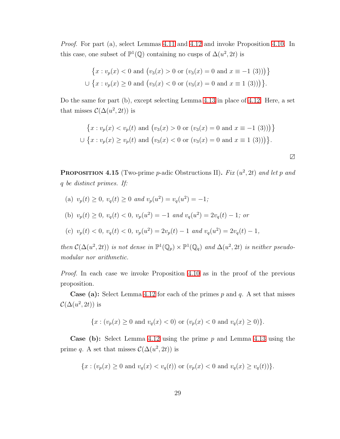Proof. For part (a), select Lemmas [4.11](#page-33-0) and [4.12](#page-33-1) and invoke Proposition [4.10.](#page-32-0) In this case, one subset of  $\mathbb{P}^1(\mathbb{Q})$  containing no cusps of  $\Delta(u^2, 2t)$  is

$$
\{x : v_p(x) < 0 \text{ and } \left(v_3(x) > 0 \text{ or } \left(v_3(x) = 0 \text{ and } x \equiv -1 \ (3)\right)\right)\}
$$
\n
$$
\cup \{x : v_p(x) \ge 0 \text{ and } \left(v_3(x) < 0 \text{ or } \left(v_3(x) = 0 \text{ and } x \equiv 1 \ (3)\right)\right)\}.
$$

Do the same for part (b), except selecting Lemma [4.13](#page-34-0) in place of [4.12.](#page-33-1) Here, a set that misses  $\mathcal{C}(\Delta(u^2, 2t))$  is

$$
\{x : v_p(x) < v_p(t) \text{ and } \left(v_3(x) > 0 \text{ or } (v_3(x) = 0 \text{ and } x \equiv -1 \text{ (3)})\right)\}
$$
\n
$$
\cup \{x : v_p(x) \ge v_p(t) \text{ and } \left(v_3(x) < 0 \text{ or } (v_3(x) = 0 \text{ and } x \equiv 1 \text{ (3)})\right)\}.
$$

∠

<span id="page-36-0"></span>**PROPOSITION 4.15** (Two-prime p-adic Obstructions II). Fix  $(u^2, 2t)$  and let p and q be distinct primes. If:

(a) 
$$
v_p(t) \ge 0
$$
,  $v_q(t) \ge 0$  and  $v_p(u^2) = v_q(u^2) = -1$ ;  
\n(b)  $v_p(t) \ge 0$ ,  $v_q(t) < 0$ ,  $v_p(u^2) = -1$  and  $v_q(u^2) = 2v_q(t) - 1$ ; or  
\n(c)  $v_p(t) < 0$ ,  $v_q(t) < 0$ ,  $v_p(u^2) = 2v_p(t) - 1$  and  $v_q(u^2) = 2v_q(t) - 1$ ,

then  $C(\Delta(u^2, 2t))$  is not dense in  $\mathbb{P}^1(\mathbb{Q}_p) \times \mathbb{P}^1(\mathbb{Q}_q)$  and  $\Delta(u^2, 2t)$  is neither pseudomodular nor arithmetic.

Proof. In each case we invoke Proposition [4.10](#page-32-0) as in the proof of the previous proposition.

**Case (a):** Select Lemma [4.12](#page-33-1) for each of the primes  $p$  and  $q$ . A set that misses  $\mathcal{C}(\Delta(u^2, 2t))$  is

$$
\{x : (v_p(x) \ge 0 \text{ and } v_q(x) < 0) \text{ or } (v_p(x) < 0 \text{ and } v_q(x) \ge 0)\}.
$$

**Case (b):** Select Lemma [4.12](#page-33-1) using the prime  $p$  and Lemma [4.13](#page-34-0) using the prime q. A set that misses  $\mathcal{C}(\Delta(u^2, 2t))$  is

$$
\{x : (v_p(x) \ge 0 \text{ and } v_q(x) < v_q(t)) \text{ or } (v_p(x) < 0 \text{ and } v_q(x) \ge v_q(t))\}.
$$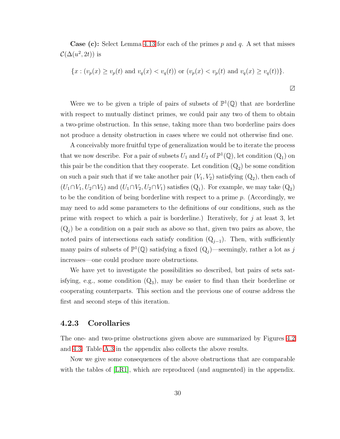**Case (c):** Select Lemma [4.13](#page-34-0) for each of the primes p and q. A set that misses  $\mathcal{C}(\Delta(u^2, 2t))$  is

{
$$
x : (v_p(x) \ge v_p(t)
$$
 and  $v_q(x) < v_q(t)$ ) or  $(v_p(x) < v_p(t)$  and  $v_q(x) \ge v_q(t)$  }.

Were we to be given a triple of pairs of subsets of  $\mathbb{P}^1(\mathbb{Q})$  that are borderline with respect to mutually distinct primes, we could pair any two of them to obtain a two-prime obstruction. In this sense, taking more than two borderline pairs does not produce a density obstruction in cases where we could not otherwise find one.

A conceivably more fruitful type of generalization would be to iterate the process that we now describe. For a pair of subsets  $U_1$  and  $U_2$  of  $\mathbb{P}^1(\mathbb{Q})$ , let condition  $(Q_1)$  on this pair be the condition that they cooperate. Let condition  $(Q_2)$  be some condition on such a pair such that if we take another pair  $(V_1, V_2)$  satisfying  $(Q_2)$ , then each of  $(U_1 \cap V_1, U_2 \cap V_2)$  and  $(U_1 \cap V_2, U_2 \cap V_1)$  satisfies  $(Q_1)$ . For example, we may take  $(Q_2)$ to be the condition of being borderline with respect to a prime p. (Accordingly, we may need to add some parameters to the definitions of our conditions, such as the prime with respect to which a pair is borderline.) Iteratively, for  $j$  at least 3, let  $(Q_j)$  be a condition on a pair such as above so that, given two pairs as above, the noted pairs of intersections each satisfy condition  $(Q_{j-1})$ . Then, with sufficiently many pairs of subsets of  $\mathbb{P}^1(\mathbb{Q})$  satisfying a fixed  $(Q_j)$ —seemingly, rather a lot as j increases—one could produce more obstructions.

We have yet to investigate the possibilities so described, but pairs of sets satisfying, e.g., some condition  $(Q_3)$ , may be easier to find than their borderline or cooperating counterparts. This section and the previous one of course address the first and second steps of this iteration.

#### <span id="page-37-0"></span>4.2.3 Corollaries

The one- and two-prime obstructions given above are summarized by Figures [4.2](#page-38-0) and [4.3.](#page-38-1) Table [A.3](#page-78-0) in the appendix also collects the above results.

Now we give some consequences of the above obstructions that are comparable with the tables of [\[LR1\]](#page-80-0), which are reproduced (and augmented) in the appendix.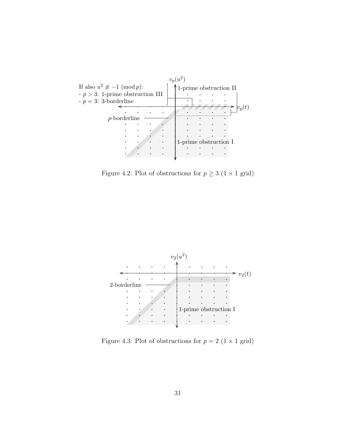

<span id="page-38-0"></span>Figure 4.2: Plot of obstructions for  $p\geq 3$   $(1\times 1$  grid)



<span id="page-38-1"></span>Figure 4.3: Plot of obstructions for  $p = 2$  (1 × 1 grid)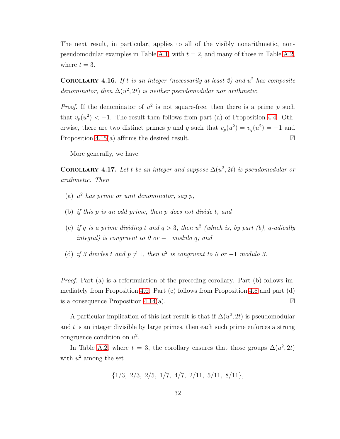<span id="page-39-0"></span>The next result, in particular, applies to all of the visibly nonarithmetic, non-pseudomodular examples in Table [A.1,](#page-75-0) with  $t = 2$ , and many of those in Table [A.2,](#page-76-0) where  $t = 3$ .

**COROLLARY 4.16.** If t is an integer (necessarily at least 2) and  $u^2$  has composite denominator, then  $\Delta(u^2, 2t)$  is neither pseudomodular nor arithmetic.

*Proof.* If the denominator of  $u^2$  is not square-free, then there is a prime p such that  $v_p(u^2) < -1$ . The result then follows from part (a) of Proposition [4.4.](#page-27-0) Otherwise, there are two distinct primes p and q such that  $v_p(u^2) = v_q(u^2) = -1$  and Proposition [4.15\(](#page-36-0)a) affirms the desired result.  $\boxtimes$ 

More generally, we have:

**COROLLARY** 4.17. Let t be an integer and suppose  $\Delta(u^2, 2t)$  is pseudomodular or arithmetic. Then

- (a)  $u^2$  has prime or unit denominator, say p,
- (b) if this p is an odd prime, then p does not divide t, and
- (c) if q is a prime dividing t and  $q > 3$ , then  $u^2$  (which is, by part (b), q-adically integral) is congruent to 0 or  $-1$  modulo q; and
- (d) if 3 divides t and  $p \neq 1$ , then  $u^2$  is congruent to 0 or -1 modulo 3.

Proof. Part (a) is a reformulation of the preceding corollary. Part (b) follows immediately from Proposition [4.6.](#page-29-0) Part (c) follows from Proposition [4.8](#page-31-0) and part (d) is a consequence Proposition [4.14\(](#page-35-0)a).  $\Box$ 

A particular implication of this last result is that if  $\Delta(u^2, 2t)$  is pseudomodular and  $t$  is an integer divisible by large primes, then each such prime enforces a strong congruence condition on  $u^2$ .

In Table [A.2,](#page-76-0) where  $t = 3$ , the corollary ensures that those groups  $\Delta(u^2, 2t)$ with  $u^2$  among the set

$$
\{1/3, 2/3, 2/5, 1/7, 4/7, 2/11, 5/11, 8/11\},\
$$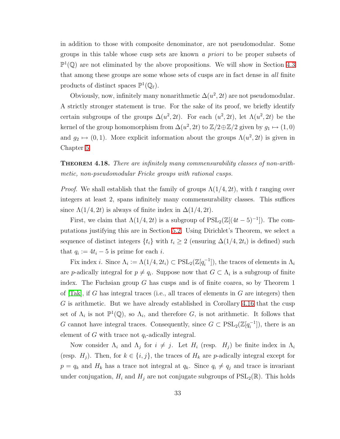in addition to those with composite denominator, are not pseudomodular. Some groups in this table whose cusp sets are known a priori to be proper subsets of  $\mathbb{P}^1(\mathbb{Q})$  are not eliminated by the above propositions. We will show in Section [4.3](#page-46-0) that among these groups are some whose sets of cusps are in fact dense in all finite products of distinct spaces  $\mathbb{P}^1(\mathbb{Q}_\ell)$ .

Obviously, now, infinitely many nonarithmetic  $\Delta(u^2, 2t)$  are not pseudomodular. A strictly stronger statement is true. For the sake of its proof, we briefly identify certain subgroups of the groups  $\Delta(u^2, 2t)$ . For each  $(u^2, 2t)$ , let  $\Lambda(u^2, 2t)$  be the kernel of the group homomorphism from  $\Delta(u^2, 2t)$  to  $\mathbb{Z}/2 \oplus \mathbb{Z}/2$  given by  $g_1 \mapsto (1, 0)$ and  $g_2 \mapsto (0, 1)$ . More explicit information about the groups  $\Lambda(u^2, 2t)$  is given in Chapter [5.](#page-53-0)

**THEOREM 4.18.** There are infinitely many commensurability classes of non-arithmetic, non-pseudomodular Fricke groups with rational cusps.

*Proof.* We shall establish that the family of groups  $\Lambda(1/4, 2t)$ , with t ranging over integers at least 2, spans infinitely many commensurability classes. This suffices since  $\Lambda(1/4, 2t)$  is always of finite index in  $\Delta(1/4, 2t)$ .

First, we claim that  $\Lambda(1/4, 2t)$  is a subgroup of  $PSL_2(\mathbb{Z}[(4t-5)^{-1}])$ . The computations justifying this are in Section [5.2.](#page-60-0) Using Dirichlet's Theorem, we select a sequence of distinct integers  $\{t_i\}$  with  $t_i \geq 2$  (ensuring  $\Delta(1/4, 2t_i)$  is defined) such that  $q_i := 4t_i - 5$  is prime for each *i*.

Fix index *i*. Since  $\Lambda_i := \Lambda(1/4, 2t_i) \subset \text{PSL}_2(\mathbb{Z}[q_i^{-1}])$  $[\overline{i}^{-1}]$ , the traces of elements in  $\Lambda_i$ are *p*-adically integral for  $p \neq q_i$ . Suppose now that  $G \subset \Lambda_i$  is a subgroup of finite index. The Fuchsian group G has cusps and is of finite coarea, so by Theorem 1 of  $[Tak]$ , if G has integral traces (i.e., all traces of elements in G are integers) then G is arithmetic. But we have already established in Corollary [4.16](#page-39-0) that the cusp set of  $\Lambda_i$  is not  $\mathbb{P}^1(\mathbb{Q})$ , so  $\Lambda_i$ , and therefore G, is not arithmetic. It follows that G cannot have integral traces. Consequently, since  $G \subset \mathrm{PSL}_2(\mathbb{Z}[q_i^{-1}])$  $\binom{-1}{i}$ , there is an element of G with trace not  $q_i$ -adically integral.

Now consider  $\Lambda_i$  and  $\Lambda_j$  for  $i \neq j$ . Let  $H_i$  (resp.  $H_j$ ) be finite index in  $\Lambda_i$ (resp.  $H_j$ ). Then, for  $k \in \{i, j\}$ , the traces of  $H_k$  are p-adically integral except for  $p = q_k$  and  $H_k$  has a trace not integral at  $q_k$ . Since  $q_i \neq q_j$  and trace is invariant under conjugation,  $H_i$  and  $H_j$  are not conjugate subgroups of  $PSL_2(\mathbb{R})$ . This holds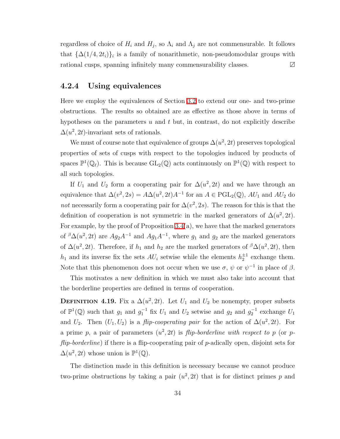regardless of choice of  $H_i$  and  $H_j$ , so  $\Lambda_i$  and  $\Lambda_j$  are not commensurable. It follows that  $\{\Delta(1/4, 2t_i)\}_i$  is a family of nonarithmetic, non-pseudomodular groups with rational cusps, spanning infinitely many commensurability classes. ∠

#### 4.2.4 Using equivalences

Here we employ the equivalences of Section [3.2](#page-18-0) to extend our one- and two-prime obstructions. The results so obtained are as effective as those above in terms of hypotheses on the parameters  $u$  and  $t$  but, in contrast, do not explicitly describe  $\Delta(u^2, 2t)$ -invariant sets of rationals.

We must of course note that equivalence of groups  $\Delta(u^2, 2t)$  preserves topological properties of sets of cusps with respect to the topologies induced by products of spaces  $\mathbb{P}^1(\mathbb{Q}_\ell)$ . This is because  $GL_2(\mathbb{Q})$  acts continuously on  $\mathbb{P}^1(\mathbb{Q})$  with respect to all such topologies.

If  $U_1$  and  $U_2$  form a cooperating pair for  $\Delta(u^2, 2t)$  and we have through an equivalence that  $\Delta(v^2, 2s) = A\Delta(u^2, 2t)A^{-1}$  for an  $A \in \text{PGL}_2(\mathbb{Q})$ ,  $AU_1$  and  $AU_2$  do not necessarily form a cooperating pair for  $\Delta(v^2, 2s)$ . The reason for this is that the definition of cooperation is not symmetric in the marked generators of  $\Delta(u^2, 2t)$ . For example, by the proof of Proposition  $3.4(a)$ , we have that the marked generators of  ${}^{\beta}\Delta(u^2, 2t)$  are  $Ag_2A^{-1}$  and  $Ag_1A^{-1}$ , where  $g_1$  and  $g_2$  are the marked generators of  $\Delta(u^2, 2t)$ . Therefore, if  $h_1$  and  $h_2$  are the marked generators of  $\beta \Delta(u^2, 2t)$ , then  $h_1$  and its inverse fix the sets  $AU_i$  setwise while the elements  $h_2^{\pm 1}$  exchange them. Note that this phenomenon does not occur when we use  $\sigma, \psi$  or  $\psi^{-1}$  in place of  $\beta$ .

This motivates a new definition in which we must also take into account that the borderline properties are defined in terms of cooperation.

**DEFINITION 4.19.** Fix a  $\Delta(u^2, 2t)$ . Let  $U_1$  and  $U_2$  be nonempty, proper subsets of  $\mathbb{P}^1(\mathbb{Q})$  such that  $g_1$  and  $g_1^{-1}$  fix  $U_1$  and  $U_2$  setwise and  $g_2$  and  $g_2^{-1}$  exchange  $U_1$ and  $U_2$ . Then  $(U_1, U_2)$  is a *flip-cooperating pair* for the action of  $\Delta(u^2, 2t)$ . For a prime p, a pair of parameters  $(u^2, 2t)$  is *flip-borderline with respect to p* (or pflip-borderline) if there is a flip-cooperating pair of p-adically open, disjoint sets for  $\Delta(u^2, 2t)$  whose union is  $\mathbb{P}^1(\mathbb{Q})$ .

The distinction made in this definition is necessary because we cannot produce two-prime obstructions by taking a pair  $(u^2, 2t)$  that is for distinct primes p and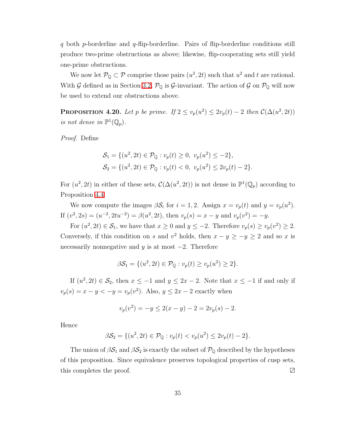q both p-borderline and q-flip-borderline. Pairs of flip-borderline conditions still produce two-prime obstructions as above; likewise, flip-cooperating sets still yield one-prime obstructions.

<span id="page-42-0"></span>We now let  $\mathcal{P}_{\mathbb{Q}} \subset \mathcal{P}$  comprise those pairs  $(u^2, 2t)$  such that  $u^2$  and t are rational. With G defined as in Section [3.2,](#page-18-0)  $\mathcal{P}_{\mathbb{Q}}$  is G-invariant. The action of G on  $\mathcal{P}_{\mathbb{Q}}$  will now be used to extend our obstructions above.

**PROPOSITION 4.20.** Let p be prime. If  $2 \le v_p(u^2) \le 2v_p(t) - 2$  then  $\mathcal{C}(\Delta(u^2, 2t))$ is not dense in  $\mathbb{P}^1(\mathbb{Q}_p)$ .

Proof. Define

$$
S_1 = \{ (u^2, 2t) \in \mathcal{P}_{\mathbb{Q}} : v_p(t) \ge 0, \ v_p(u^2) \le -2 \},
$$
  

$$
S_2 = \{ (u^2, 2t) \in \mathcal{P}_{\mathbb{Q}} : v_p(t) < 0, \ v_p(u^2) \le 2v_p(t) - 2 \}.
$$

For  $(u^2, 2t)$  in either of these sets,  $\mathcal{C}(\Delta(u^2, 2t))$  is not dense in  $\mathbb{P}^1(\mathbb{Q}_p)$  according to Proposition [4.4.](#page-27-0)

We now compute the images  $\beta \mathcal{S}_i$  for  $i = 1, 2$ . Assign  $x = v_p(t)$  and  $y = v_p(u^2)$ . If  $(v^2, 2s) = (u^{-2}, 2tu^{-2}) = \beta(u^2, 2t)$ , then  $v_p(s) = x - y$  and  $v_p(v^2) = -y$ .

For  $(u^2, 2t) \in S_1$ , we have that  $x \ge 0$  and  $y \le -2$ . Therefore  $v_p(s) \ge v_p(v^2) \ge 2$ . Conversely, if this condition on s and  $v^2$  holds, then  $x - y \ge -y \ge 2$  and so x is necessarily nonnegative and y is at most  $-2$ . Therefore

$$
\beta \mathcal{S}_1 = \{ (u^2, 2t) \in \mathcal{P}_{\mathbb{Q}} : v_p(t) \ge v_p(u^2) \ge 2 \}.
$$

If  $(u^2, 2t) \in S_2$ , then  $x \le -1$  and  $y \le 2x - 2$ . Note that  $x \le -1$  if and only if  $v_p(s) = x - y < -y = v_p(v^2)$ . Also,  $y \le 2x - 2$  exactly when

$$
v_p(v^2) = -y \le 2(x - y) - 2 = 2v_p(s) - 2.
$$

Hence

$$
\beta S_2 = \{ (u^2, 2t) \in \mathcal{P}_{\mathbb{Q}} : v_p(t) < v_p(u^2) \leq 2v_p(t) - 2 \}.
$$

<span id="page-42-1"></span>The union of  $\beta S_1$  and  $\beta S_2$  is exactly the subset of  $\mathcal{P}_{\mathbb{Q}}$  described by the hypotheses of this proposition. Since equivalence preserves topological properties of cusp sets, this completes the proof. ∠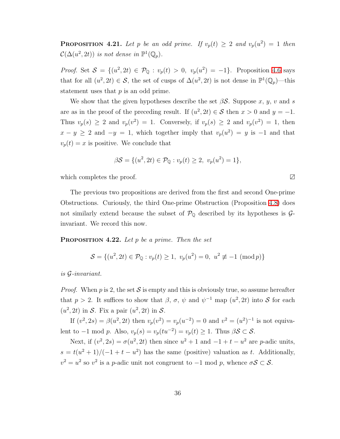**PROPOSITION** 4.21. Let p be an odd prime. If  $v_p(t) \geq 2$  and  $v_p(u^2) = 1$  then  $\mathcal{C}(\Delta(u^2, 2t))$  is not dense in  $\mathbb{P}^1(\mathbb{Q}_p)$ .

*Proof.* Set  $S = \{(u^2, 2t) \in \mathcal{P}_{\mathbb{Q}} : v_p(t) > 0, v_p(u^2) = -1\}$ . Proposition [4.6](#page-29-0) says that for all  $(u^2, 2t) \in S$ , the set of cusps of  $\Delta(u^2, 2t)$  is not dense in  $\mathbb{P}^1(\mathbb{Q}_p)$ —this statement uses that  $p$  is an odd prime.

We show that the given hypotheses describe the set  $\beta S$ . Suppose x, y, v and s are as in the proof of the preceding result. If  $(u^2, 2t) \in S$  then  $x > 0$  and  $y = -1$ . Thus  $v_p(s) \geq 2$  and  $v_p(v^2) = 1$ . Conversely, if  $v_p(s) \geq 2$  and  $v_p(v^2) = 1$ , then  $x - y \ge 2$  and  $-y = 1$ , which together imply that  $v_p(u^2) = y$  is -1 and that  $v_p(t) = x$  is positive. We conclude that

$$
\beta S = \{ (u^2, 2t) \in \mathcal{P}_{\mathbb{Q}} : v_p(t) \ge 2, \ v_p(u^2) = 1 \},\
$$

which completes the proof. ∠∠

The previous two propositions are derived from the first and second One-prime Obstructions. Curiously, the third One-prime Obstruction (Proposition [4.8\)](#page-31-0) does not similarly extend because the subset of  $\mathcal{P}_{\mathbb{Q}}$  described by its hypotheses is  $\mathcal{G}$ invariant. We record this now.

<span id="page-43-0"></span>**PROPOSITION 4.22.** Let  $p$  be a prime. Then the set

$$
S = \{(u^2, 2t) \in \mathcal{P}_\mathbb{Q} : v_p(t) \ge 1, \ v_p(u^2) = 0, \ u^2 \not\equiv -1 \ (\text{mod } p)\}\
$$

is G-invariant.

*Proof.* When p is 2, the set S is empty and this is obviously true, so assume hereafter that  $p > 2$ . It suffices to show that  $\beta$ ,  $\sigma$ ,  $\psi$  and  $\psi^{-1}$  map  $(u^2, 2t)$  into S for each  $(u^2, 2t)$  in S. Fix a pair  $(u^2, 2t)$  in S.

If  $(v^2, 2s) = \beta(u^2, 2t)$  then  $v_p(v^2) = v_p(u^{-2}) = 0$  and  $v^2 = (u^2)^{-1}$  is not equivalent to  $-1$  mod p. Also,  $v_p(s) = v_p(tu^{-2}) = v_p(t) \ge 1$ . Thus  $\beta S \subset S$ .

Next, if  $(v^2, 2s) = \sigma(u^2, 2t)$  then since  $u^2 + 1$  and  $-1 + t - u^2$  are *p*-adic units,  $s = t(u^2 + 1)/(-1 + t - u^2)$  has the same (positive) valuation as t. Additionally,  $v^2 = u^2$  so  $v^2$  is a *p*-adic unit not congruent to  $-1$  mod *p*, whence  $\sigma S \subset S$ .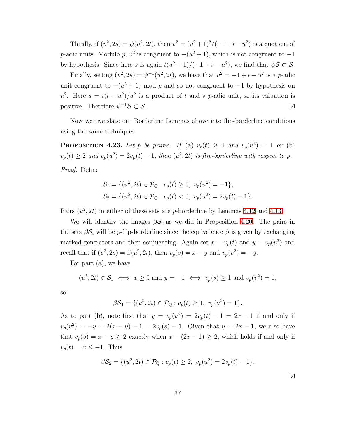Thirdly, if  $(v^2, 2s) = \psi(u^2, 2t)$ , then  $v^2 = (u^2 + 1)^2/(-1 + t - u^2)$  is a quotient of p-adic units. Modulo p,  $v^2$  is congruent to  $-(u^2+1)$ , which is not congruent to  $-1$ by hypothesis. Since here s is again  $t(u^2 + 1)/(-1 + t - u^2)$ , we find that  $\psi S \subset S$ .

Finally, setting  $(v^2, 2s) = \psi^{-1}(u^2, 2t)$ , we have that  $v^2 = -1 + t - u^2$  is a p-adic unit congruent to  $-(u^2 + 1)$  mod p and so not congruent to  $-1$  by hypothesis on  $u^2$ . Here  $s = t(t - u^2)/u^2$  is a product of t and a p-adic unit, so its valuation is positive. Therefore  $\psi^{-1}S \subset S$ .

Now we translate our Borderline Lemmas above into flip-borderline conditions using the same techniques.

**PROPOSITION** 4.23. Let p be prime. If (a)  $v_p(t) \ge 1$  and  $v_p(u^2) = 1$  or (b)  $v_p(t) \geq 2$  and  $v_p(u^2) = 2v_p(t) - 1$ , then  $(u^2, 2t)$  is flip-borderline with respect to p. Proof. Define

$$
\mathcal{S}_1 = \{ (u^2, 2t) \in \mathcal{P}_{\mathbb{Q}} : v_p(t) \ge 0, \ v_p(u^2) = -1 \},
$$
  

$$
\mathcal{S}_2 = \{ (u^2, 2t) \in \mathcal{P}_{\mathbb{Q}} : v_p(t) < 0, \ v_p(u^2) = 2v_p(t) - 1 \}.
$$

Pairs  $(u^2, 2t)$  in either of these sets are *p*-borderline by Lemmas [4.12](#page-33-1) and [4.13.](#page-34-0)

We will identify the images  $\beta \mathcal{S}_i$  as we did in Proposition [4.20.](#page-42-0) The pairs in the sets  $\beta S_i$  will be p-flip-borderline since the equivalence  $\beta$  is given by exchanging marked generators and then conjugating. Again set  $x = v_p(t)$  and  $y = v_p(u^2)$  and recall that if  $(v^2, 2s) = \beta(u^2, 2t)$ , then  $v_p(s) = x - y$  and  $v_p(v^2) = -y$ .

For part (a), we have

$$
(u^2, 2t) \in S_1 \iff x \ge 0
$$
 and  $y = -1 \iff v_p(s) \ge 1$  and  $v_p(v^2) = 1$ ,

so

$$
\beta S_1 = \{ (u^2, 2t) \in \mathcal{P}_{\mathbb{Q}} : v_p(t) \ge 1, \ v_p(u^2) = 1 \}.
$$

As to part (b), note first that  $y = v_p(u^2) = 2v_p(t) - 1 = 2x - 1$  if and only if  $v_p(v^2) = -y = 2(x - y) - 1 = 2v_p(s) - 1$ . Given that  $y = 2x - 1$ , we also have that  $v_p(s) = x - y \ge 2$  exactly when  $x - (2x - 1) \ge 2$ , which holds if and only if  $v_p(t) = x \leq -1$ . Thus

$$
\beta \mathcal{S}_2 = \{ (u^2, 2t) \in \mathcal{P}_{\mathbb{Q}} : v_p(t) \ge 2, \ v_p(u^2) = 2v_p(t) - 1 \}.
$$

∠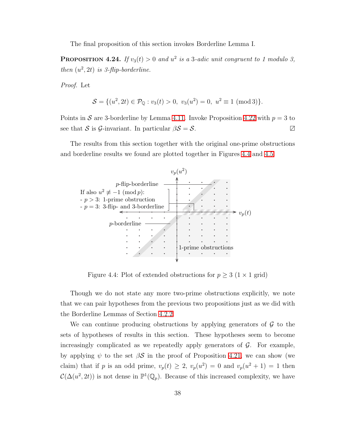The final proposition of this section invokes Borderline Lemma I.

**PROPOSITION 4.24.** If  $v_3(t) > 0$  and  $u^2$  is a 3-adic unit congruent to 1 modulo 3, then  $(u^2, 2t)$  is 3-flip-borderline.

Proof. Let

$$
S = \{(u^2, 2t) \in \mathcal{P}_{\mathbb{Q}} : v_3(t) > 0, v_3(u^2) = 0, u^2 \equiv 1 \pmod{3}\}.
$$

Points in S are 3-borderline by Lemma [4.11.](#page-33-0) Invoke Proposition [4.22](#page-43-0) with  $p = 3$  to see that S is G-invariant. In particular  $\beta S = S$ .

The results from this section together with the original one-prime obstructions and borderline results we found are plotted together in Figures [4.4](#page-45-0) and [4.5.](#page-46-1)



<span id="page-45-0"></span>Figure 4.4: Plot of extended obstructions for  $p \geq 3$  (1 × 1 grid)

Though we do not state any more two-prime obstructions explicitly, we note that we can pair hypotheses from the previous two propositions just as we did with the Borderline Lemmas of Section [4.2.2.](#page-32-1)

We can continue producing obstructions by applying generators of  $\mathcal G$  to the sets of hypotheses of results in this section. These hypotheses seem to become increasingly complicated as we repeatedly apply generators of  $\mathcal{G}$ . For example, by applying  $\psi$  to the set  $\beta S$  in the proof of Proposition [4.21,](#page-42-1) we can show (we claim) that if p is an odd prime,  $v_p(t) \geq 2$ ,  $v_p(u^2) = 0$  and  $v_p(u^2 + 1) = 1$  then  $\mathcal{C}(\Delta(u^2, 2t))$  is not dense in  $\mathbb{P}^1(\mathbb{Q}_p)$ . Because of this increased complexity, we have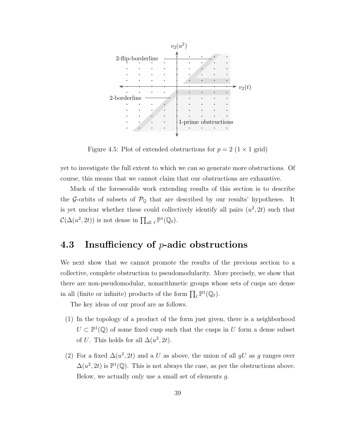

<span id="page-46-1"></span>Figure 4.5: Plot of extended obstructions for  $p = 2$  (1 × 1 grid)

yet to investigate the full extent to which we can so generate more obstructions. Of course, this means that we cannot claim that our obstructions are exhaustive.

Much of the foreseeable work extending results of this section is to describe the G-orbits of subsets of  $\mathcal{P}_{\mathbb{Q}}$  that are described by our results' hypotheses. It is yet unclear whether these could collectively identify all pairs  $(u^2, 2t)$  such that  $\mathcal{C}(\Delta(u^2, 2t))$  is not dense in  $\prod_{\text{all } \ell} \mathbb{P}^1(\mathbb{Q}_\ell)$ .

## <span id="page-46-0"></span>4.3 Insufficiency of p-adic obstructions

We next show that we cannot promote the results of the previous section to a collective, complete obstruction to pseudomodularity. More precisely, we show that there are non-pseudomodular, nonarithmetic groups whose sets of cusps are dense in all (finite or infinite) products of the form  $\prod_{\ell} \mathbb{P}^1(\mathbb{Q}_{\ell})$ .

The key ideas of our proof are as follows.

- (1) In the topology of a product of the form just given, there is a neighborhood  $U \subset \mathbb{P}^1(\mathbb{Q})$  of some fixed cusp such that the cusps in U form a dense subset of U. This holds for all  $\Delta(u^2, 2t)$ .
- (2) For a fixed  $\Delta(u^2, 2t)$  and a U as above, the union of all gU as g ranges over  $\Delta(u^2, 2t)$  is  $\mathbb{P}^1(\mathbb{Q})$ . This is not always the case, as per the obstructions above. Below, we actually only use a small set of elements g.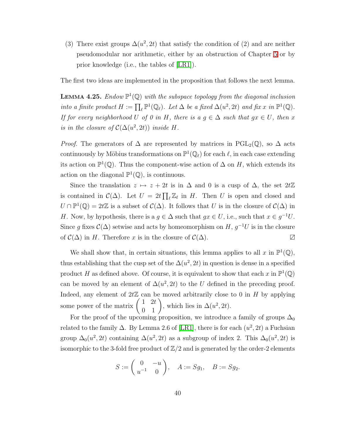(3) There exist groups  $\Delta(u^2, 2t)$  that satisfy the condition of (2) and are neither pseudomodular nor arithmetic, either by an obstruction of Chapter [5](#page-53-0) or by prior knowledge (i.e., the tables of [\[LR1\]](#page-80-0)).

The first two ideas are implemented in the proposition that follows the next lemma.

**LEMMA 4.25.** Endow  $\mathbb{P}^1(\mathbb{Q})$  with the subspace topology from the diagonal inclusion into a finite product  $H := \prod_{\ell} \mathbb{P}^1(\mathbb{Q}_{\ell})$ . Let  $\Delta$  be a fixed  $\Delta(u^2, 2t)$  and fix x in  $\mathbb{P}^1(\mathbb{Q})$ . If for every neighborhood U of 0 in H, there is a  $g \in \Delta$  such that  $gx \in U$ , then x is in the closure of  $\mathcal{C}(\Delta(u^2, 2t))$  inside H.

*Proof.* The generators of  $\Delta$  are represented by matrices in PGL<sub>2</sub>(Q), so  $\Delta$  acts continuously by Möbius transformations on  $\mathbb{P}^1(\mathbb{Q}_\ell)$  for each  $\ell$ , in each case extending its action on  $\mathbb{P}^1(\mathbb{Q})$ . Thus the component-wise action of  $\Delta$  on H, which extends its action on the diagonal  $\mathbb{P}^1(\mathbb{Q})$ , is continuous.

Since the translation  $z \mapsto z + 2t$  is in  $\Delta$  and 0 is a cusp of  $\Delta$ , the set  $2t\mathbb{Z}$ is contained in  $\mathcal{C}(\Delta)$ . Let  $U = 2t \prod_{\ell} \mathbb{Z}_{\ell}$  in H. Then U is open and closed and  $U \cap \mathbb{P}^1(\mathbb{Q}) = 2t\mathbb{Z}$  is a subset of  $\mathcal{C}(\Delta)$ . It follows that U is in the closure of  $\mathcal{C}(\Delta)$  in H. Now, by hypothesis, there is a  $g \in \Delta$  such that  $gx \in U$ , i.e., such that  $x \in g^{-1}U$ . Since g fixes  $\mathcal{C}(\Delta)$  setwise and acts by homeomorphism on  $H, g^{-1}U$  is in the closure of  $\mathcal{C}(\Delta)$  in H. Therefore x is in the closure of  $\mathcal{C}(\Delta)$ .  $\Box$ 

We shall show that, in certain situations, this lemma applies to all x in  $\mathbb{P}^1(\mathbb{Q})$ , thus establishing that the cusp set of the  $\Delta(u^2, 2t)$  in question is dense in a specified product H as defined above. Of course, it is equivalent to show that each x in  $\mathbb{P}^1(\mathbb{Q})$ can be moved by an element of  $\Delta(u^2, 2t)$  to the U defined in the preceding proof. Indeed, any element of  $2t\mathbb{Z}$  can be moved arbitrarily close to 0 in H by applying some power of the matrix  $\begin{pmatrix} 1 & 2t \\ 0 & 1 \end{pmatrix}$ , which lies in  $\Delta(u^2, 2t)$ .

For the proof of the upcoming proposition, we introduce a family of groups  $\Delta_0$ related to the family  $\Delta$ . By Lemma 2.6 of [\[LR1\]](#page-80-0), there is for each  $(u^2, 2t)$  a Fuchsian group  $\Delta_0(u^2, 2t)$  containing  $\Delta(u^2, 2t)$  as a subgroup of index 2. This  $\Delta_0(u^2, 2t)$  is isomorphic to the 3-fold free product of  $\mathbb{Z}/2$  and is generated by the order-2 elements

$$
S:=\begin{pmatrix} 0 & -u \\ u^{-1} & 0 \end{pmatrix}, \quad A:=Sg_1, \quad B:=Sg_2.
$$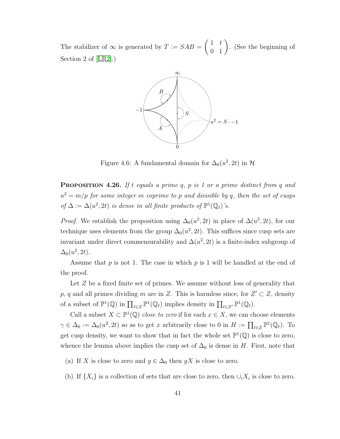The stabilizer of  $\infty$  is generated by  $T := SAB =$  $\left(\begin{array}{cc} 1 & t \\ 0 & 1 \end{array}\right)$ . (See the beginning of Section 2 of [\[LR2\]](#page-80-1).)



Figure 4.6: A fundamental domain for  $\Delta_0(u^2, 2t)$  in  $\mathcal{H}$ 

<span id="page-48-0"></span>**PROPOSITION 4.26.** If t equals a prime q, p is 1 or a prime distinct from q and  $u^2 = m/p$  for some integer m coprime to p and divisible by q, then the set of cusps of  $\Delta := \Delta(u^2, 2t)$  is dense in all finite products of  $\mathbb{P}^1(\mathbb{Q}_\ell)$ 's.

*Proof.* We establish the proposition using  $\Delta_0(u^2, 2t)$  in place of  $\Delta(u^2, 2t)$ , for our technique uses elements from the group  $\Delta_0(u^2, 2t)$ . This suffices since cusp sets are invariant under direct commensurability and  $\Delta(u^2, 2t)$  is a finite-index subgroup of  $\Delta_0(u^2, 2t)$ .

Assume that  $p$  is not 1. The case in which  $p$  is 1 will be handled at the end of the proof.

Let Z be a fixed finite set of primes. We assume without loss of generality that p, q and all primes dividing m are in Z. This is harmless since, for  $Z' \subset Z$ , density of a subset of  $\mathbb{P}^1(\mathbb{Q})$  in  $\prod_{\ell \in \mathbb{Z}} \mathbb{P}^1(\mathbb{Q}_\ell)$  implies density in  $\prod_{\ell \in \mathbb{Z}'} \mathbb{P}^1(\mathbb{Q}_\ell)$ .

Call a subset  $X \subset \mathbb{P}^1(\mathbb{Q})$  close to zero if for each  $x \in X$ , we can choose elements  $\gamma \in \Delta_0 := \Delta_0(u^2, 2t)$  so as to get x arbitrarily close to 0 in  $H := \prod_{\ell \in \mathbb{Z}} \mathbb{P}^1(\mathbb{Q}_\ell)$ . To get cusp density, we want to show that in fact the whole set  $\mathbb{P}^1(\mathbb{Q})$  is close to zero, whence the lemma above implies the cusp set of  $\Delta_0$  is dense in H. First, note that

- (a) If X is close to zero and  $g \in \Delta_0$  then  $gX$  is close to zero.
- (b) If  $\{X_i\}$  is a collection of sets that are close to zero, then  $\cup_i X_i$  is close to zero.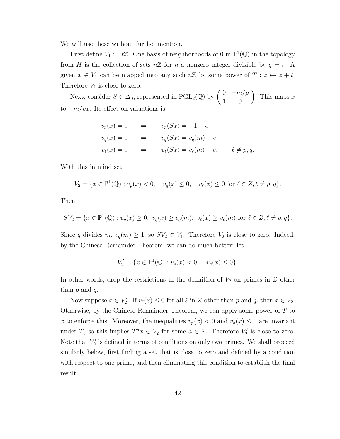We will use these without further mention.

First define  $V_1 := t\mathbb{Z}$ . One basis of neighborhoods of 0 in  $\mathbb{P}^1(\mathbb{Q})$  in the topology from H is the collection of sets  $n\mathbb{Z}$  for n a nonzero integer divisible by  $q = t$ . A given  $x \in V_1$  can be mapped into any such  $n\mathbb{Z}$  by some power of  $T : z \mapsto z + t$ . Therefore  $V_1$  is close to zero.

Next, consider  $S \in \Delta_0$ , represented in PGL<sub>2</sub>(Q) by  $\begin{pmatrix} 0 & -m/p \\ 1 & 0 \end{pmatrix}$ . This maps  $x$ to  $-m/px$ . Its effect on valuations is

$$
v_p(x) = e \Rightarrow v_p(Sx) = -1 - e
$$
  
\n
$$
v_q(x) = e \Rightarrow v_q(Sx) = v_q(m) - e
$$
  
\n
$$
v_\ell(x) = e \Rightarrow v_\ell(Sx) = v_\ell(m) - e, \quad \ell \neq p, q.
$$

With this in mind set

$$
V_2 = \{ x \in \mathbb{P}^1(\mathbb{Q}) : v_p(x) < 0, \quad v_q(x) \le 0, \quad v_\ell(x) \le 0 \text{ for } \ell \in \mathbb{Z}, \ell \ne p, q \}.
$$

Then

$$
SV_2 = \{ x \in \mathbb{P}^1(\mathbb{Q}) : v_p(x) \ge 0, \ v_q(x) \ge v_q(m), \ v_\ell(x) \ge v_\ell(m) \text{ for } \ell \in \mathbb{Z}, \ell \ne p, q \}.
$$

Since q divides  $m, v_q(m) \geq 1$ , so  $SV_2 \subset V_1$ . Therefore  $V_2$  is close to zero. Indeed, by the Chinese Remainder Theorem, we can do much better: let

$$
V_2' = \{ x \in \mathbb{P}^1(\mathbb{Q}) : v_p(x) < 0, \quad v_q(x) \le 0 \}.
$$

In other words, drop the restrictions in the definition of  $V_2$  on primes in  $Z$  other than  $p$  and  $q$ .

Now suppose  $x \in V'_2$ . If  $v_{\ell}(x) \leq 0$  for all  $\ell$  in Z other than p and q, then  $x \in V_2$ . Otherwise, by the Chinese Remainder Theorem, we can apply some power of  $T$  to x to enforce this. Moreover, the inequalities  $v_p(x) < 0$  and  $v_q(x) \leq 0$  are invariant under T, so this implies  $T^a x \in V_2$  for some  $a \in \mathbb{Z}$ . Therefore  $V_2'$  is close to zero. Note that  $V_2'$  is defined in terms of conditions on only two primes. We shall proceed similarly below, first finding a set that is close to zero and defined by a condition with respect to one prime, and then eliminating this condition to establish the final result.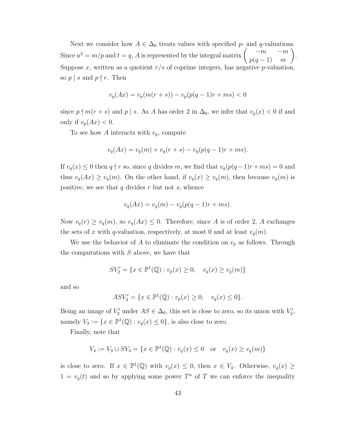Next we consider how  $A \in \Delta_0$  treats values with specified p- and q-valuations.<br> $\begin{pmatrix} -m & -m \end{pmatrix}$ Since  $u^2 = m/p$  and  $t = q$ , A is represented by the integral matrix  $\begin{pmatrix} -m & -m \\ m & 1 \end{pmatrix}$  $p(q-1)$  m . Suppose x, written as a quotient  $r/s$  of coprime integers, has negative p-valuation, so  $p \mid s$  and  $p \nmid r$ . Then

$$
v_p(Ax) = v_p(m(r+s)) - v_p(p(q-1)r + ms) < 0
$$

since  $p \nmid m(r + s)$  and  $p \mid s$ . As A has order 2 in  $\Delta_0$ , we infer that  $v_p(x) < 0$  if and only if  $v_p(Ax) < 0$ .

To see how A interacts with  $v_q$ , compute

$$
v_q(Ax) = v_q(m) + v_q(r+s) - v_q(p(q-1)r+ms).
$$

If  $v_q(x) \leq 0$  then  $q \nmid r$  so, since q divides m, we find that  $v_q(p(q-1)r+ms) = 0$  and thus  $v_q(Ax) \ge v_q(m)$ . On the other hand, if  $v_q(x) \ge v_q(m)$ , then because  $v_q(m)$  is positive, we see that  $q$  divides  $r$  but not  $s$ , whence

$$
v_q(Ax) = v_q(m) - v_q(p(q-1)r + ms).
$$

Now  $v_q(r) \ge v_q(m)$ , so  $v_q(Ax) \le 0$ . Therefore, since A is of order 2, A exchanges the sets of x with q-valuation, respectively, at most 0 and at least  $v_q(m)$ .

We use the behavior of A to eliminate the condition on  $v_p$  as follows. Through the computations with  $S$  above, we have that

$$
SV_2' = \{ x \in \mathbb{P}^1(\mathbb{Q}) : v_p(x) \ge 0, \quad v_q(x) \ge v_q(m) \}
$$

and so

$$
ASV_2' = \{ x \in \mathbb{P}^1(\mathbb{Q}) : v_p(x) \ge 0, \quad v_q(x) \le 0 \}.
$$

Being an image of  $V'_2$  under  $AS \in \Delta_0$ , this set is close to zero, so its union with  $V'_2$ , namely  $V_3 := \{x \in \mathbb{P}^1(\mathbb{Q}) : v_q(x) \leq 0\}$ , is also close to zero.

Finally, note that

$$
V_4 := V_3 \cup SV_3 = \{ x \in \mathbb{P}^1(\mathbb{Q}) : v_q(x) \le 0 \text{ or } v_q(x) \ge v_q(m) \}
$$

is close to zero. If  $x \in \mathbb{P}^1(\mathbb{Q})$  with  $v_q(x) \leq 0$ , then  $x \in V_4$ . Otherwise,  $v_q(x) \geq$  $1 = v_q(t)$  and so by applying some power  $T^a$  of T we can enforce the inequality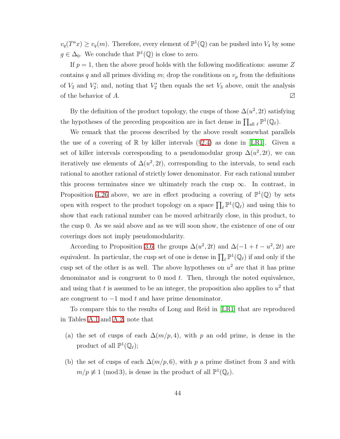$v_q(T^a x) \ge v_q(m)$ . Therefore, every element of  $\mathbb{P}^1(\mathbb{Q})$  can be pushed into  $V_4$  by some  $g \in \Delta_0$ . We conclude that  $\mathbb{P}^1(\mathbb{Q})$  is close to zero.

If  $p = 1$ , then the above proof holds with the following modifications: assume Z contains q and all primes dividing m; drop the conditions on  $v_p$  from the definitions of  $V_2$  and  $V_2'$ ; and, noting that  $V_2'$  then equals the set  $V_3$  above, omit the analysis of the behavior of A.  $\Box$ 

By the definition of the product topology, the cusps of those  $\Delta(u^2, 2t)$  satisfying the hypotheses of the preceding proposition are in fact dense in  $\prod_{\text{all } \ell} \mathbb{P}^1(\mathbb{Q}_{\ell})$ .

We remark that the process described by the above result somewhat parallels the use of a covering of  $\mathbb R$  by killer intervals (§[2.4\)](#page-14-0) as done in [\[LR1\]](#page-80-0). Given a set of killer intervals corresponding to a pseudomodular group  $\Delta(u^2, 2t)$ , we can iteratively use elements of  $\Delta(u^2, 2t)$ , corresponding to the intervals, to send each rational to another rational of strictly lower denominator. For each rational number this process terminates since we ultimately reach the cusp  $\infty$ . In contrast, in Proposition [4.26](#page-48-0) above, we are in effect producing a covering of  $\mathbb{P}^1(\mathbb{Q})$  by sets open with respect to the product topology on a space  $\prod_{\ell} \mathbb{P}^1(\mathbb{Q}_{\ell})$  and using this to show that each rational number can be moved arbitrarily close, in this product, to the cusp 0. As we said above and as we will soon show, the existence of one of our coverings does not imply pseudomodularity.

According to Proposition [3.6,](#page-22-0) the groups  $\Delta(u^2, 2t)$  and  $\Delta(-1 + t - u^2, 2t)$  are equivalent. In particular, the cusp set of one is dense in  $\prod_{\ell} \mathbb{P}^1(\mathbb{Q}_{\ell})$  if and only if the cusp set of the other is as well. The above hypotheses on  $u^2$  are that it has prime denominator and is congruent to  $0 \mod t$ . Then, through the noted equivalence, and using that t is assumed to be an integer, the proposition also applies to  $u^2$  that are congruent to  $-1$  mod t and have prime denominator.

To compare this to the results of Long and Reid in [\[LR1\]](#page-80-0) that are reproduced in Tables [A.1](#page-75-0) and [A.2,](#page-76-0) note that

- (a) the set of cusps of each  $\Delta(m/p, 4)$ , with p an odd prime, is dense in the product of all  $\mathbb{P}^1(\mathbb{Q}_\ell);$
- (b) the set of cusps of each  $\Delta(m/p, 6)$ , with p a prime distinct from 3 and with  $m/p \not\equiv 1 \pmod{3}$ , is dense in the product of all  $\mathbb{P}^1(\mathbb{Q}_\ell)$ .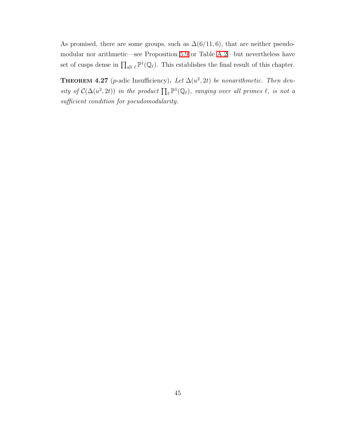<span id="page-52-0"></span>As promised, there are some groups, such as  $\Delta(6/11, 6)$ , that are neither pseudomodular nor arithmetic—see Proposition [5.9](#page-67-0) or Table [A.2—](#page-76-0)but nevertheless have set of cusps dense in  $\prod_{\text{all } \ell} \mathbb{P}^1(\mathbb{Q}_\ell)$ . This establishes the final result of this chapter.

**THEOREM 4.27** (p-adic Insufficiency). Let  $\Delta(u^2, 2t)$  be nonarithmetic. Then density of  $\mathcal{C}(\Delta(u^2, 2t))$  in the product  $\prod_{\ell} \mathbb{P}^1(\mathbb{Q}_{\ell})$ , ranging over all primes  $\ell$ , is not a sufficient condition for pseudomodularity.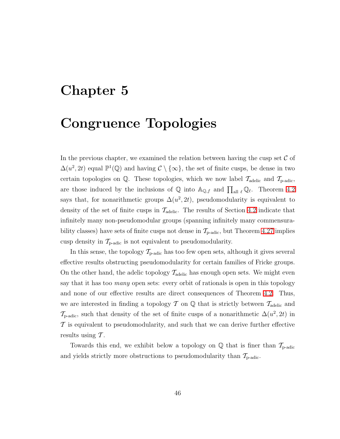# <span id="page-53-0"></span>Chapter 5

# Congruence Topologies

In the previous chapter, we examined the relation between having the cusp set  $\mathcal C$  of  $\Delta(u^2, 2t)$  equal  $\mathbb{P}^1(\mathbb{Q})$  and having  $\mathcal{C} \setminus \{\infty\}$ , the set of finite cusps, be dense in two certain topologies on  $\mathbb{Q}$ . These topologies, which we now label  $\mathcal{T}_{\text{adelic}}$  and  $\mathcal{T}_{\text{p-adic}}$ , are those induced by the inclusions of  $\mathbb Q$  into  $\mathbb A_{\mathbb Q,f}$  and  $\prod_{\text{all }\ell}\mathbb Q_\ell$ . Theorem [4.2](#page-24-0) says that, for nonarithmetic groups  $\Delta(u^2, 2t)$ , pseudomodularity is equivalent to density of the set of finite cusps in  $\mathcal{T}_{\text{adelic}}$ . The results of Section [4.2](#page-26-0) indicate that infinitely many non-pseudomodular groups (spanning infinitely many commensurability classes) have sets of finite cusps not dense in  $\mathcal{T}_{p\text{-adic}}$ , but Theorem [4.27](#page-52-0) implies cusp density in  $\mathcal{T}_{\text{p-adic}}$  is not equivalent to pseudomodularity.

In this sense, the topology  $T_{p\text{-adic}}$  has too few open sets, although it gives several effective results obstructing pseudomodularity for certain families of Fricke groups. On the other hand, the adelic topology  $\mathcal{T}_{\text{adelic}}$  has enough open sets. We might even say that it has too *many* open sets: every orbit of rationals is open in this topology and none of our effective results are direct consequences of Theorem [4.2.](#page-24-0) Thus, we are interested in finding a topology  $\mathcal T$  on  $\mathbb Q$  that is strictly between  $\mathcal T_{\text{adelic}}$  and  $\mathcal{T}_{\text{p-adic}}$ , such that density of the set of finite cusps of a nonarithmetic  $\Delta(u^2, 2t)$  in T is equivalent to pseudomodularity, and such that we can derive further effective results using  $\mathcal T$ .

Towards this end, we exhibit below a topology on  $\mathbb Q$  that is finer than  $\mathcal{T}_{\text{p-adic}}$ and yields strictly more obstructions to pseudomodularity than  $\mathcal{T}_{p\text{-adic}}$ .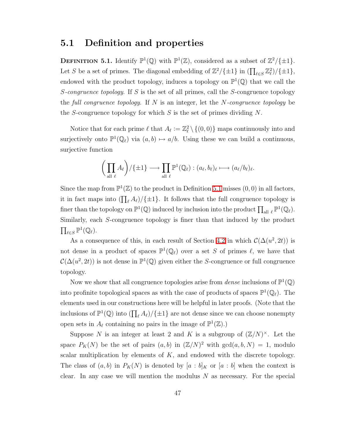#### <span id="page-54-0"></span>5.1 Definition and properties

**DEFINITION 5.1.** Identify  $\mathbb{P}^1(\mathbb{Q})$  with  $\mathbb{P}^1(\mathbb{Z})$ , considered as a subset of  $\mathbb{Z}^2/\{\pm 1\}$ . Let S be a set of primes. The diagonal embedding of  $\mathbb{Z}^2/\{\pm 1\}$  in  $(\prod_{\ell \in S} \mathbb{Z}_{\ell}^2)/\{\pm 1\}$ , endowed with the product topology, induces a topology on  $\mathbb{P}^1(\mathbb{Q})$  that we call the S-congruence topology. If S is the set of all primes, call the S-congruence topology the full congruence topology. If  $N$  is an integer, let the  $N$ -congruence topology be the S-congruence topology for which S is the set of primes dividing  $N$ .

Notice that for each prime  $\ell$  that  $A_{\ell} := \mathbb{Z}_{\ell}^2 \setminus \{(0,0)\}$  maps continuously into and surjectively onto  $\mathbb{P}^1(\mathbb{Q}_\ell)$  via  $(a, b) \mapsto a/b$ . Using these we can build a continuous, surjective function

$$
\bigg(\prod_{\text{all }\ell} A_{\ell}\bigg) / \{\pm 1\} \longrightarrow \prod_{\text{all }\ell} \mathbb{P}^1(\mathbb{Q}_{\ell}) : (a_{\ell}, b_{\ell})_{\ell} \longmapsto (a_{\ell}/b_{\ell})_{\ell}.
$$

Since the map from  $\mathbb{P}^1(\mathbb{Z})$  to the product in Definition [5.1](#page-54-0) misses  $(0,0)$  in all factors, it in fact maps into  $(\prod_{\ell} A_{\ell})/\{\pm 1\}$ . It follows that the full congruence topology is finer than the topology on  $\mathbb{P}^1(\mathbb{Q})$  induced by inclusion into the product  $\prod_{\text{all }\ell} \mathbb{P}^1(\mathbb{Q}_\ell)$ . Similarly, each S-congruence topology is finer than that induced by the product  $\prod_{\ell \in S} \mathbb{P}^1(\mathbb{Q}_\ell).$ 

As a consequence of this, in each result of Section [4.2](#page-26-0) in which  $\mathcal{C}(\Delta(u^2, 2t))$  is not dense in a product of spaces  $\mathbb{P}^1(\mathbb{Q}_\ell)$  over a set S of primes  $\ell$ , we have that  $\mathcal{C}(\Delta(u^2, 2t))$  is not dense in  $\mathbb{P}^1(\mathbb{Q})$  given either the S-congruence or full congruence topology.

Now we show that all congruence topologies arise from *dense* inclusions of  $\mathbb{P}^1(\mathbb{Q})$ into profinite topological spaces as with the case of products of spaces  $\mathbb{P}^1(\mathbb{Q}_\ell)$ . The elements used in our constructions here will be helpful in later proofs. (Note that the inclusions of  $\mathbb{P}^1(\mathbb{Q})$  into  $(\prod_{\ell} A_{\ell})/\{\pm 1\}$  are not dense since we can choose nonempty open sets in  $A_{\ell}$  containing no pairs in the image of  $\mathbb{P}^1(\mathbb{Z})$ .)

Suppose N is an integer at least 2 and K is a subgroup of  $(\mathbb{Z}/N)^{\times}$ . Let the space  $P_K(N)$  be the set of pairs  $(a, b)$  in  $(\mathbb{Z}/N)^2$  with  $gcd(a, b, N) = 1$ , modulo scalar multiplication by elements of  $K$ , and endowed with the discrete topology. The class of  $(a, b)$  in  $P_K(N)$  is denoted by  $[a : b]_K$  or  $[a : b]$  when the context is clear. In any case we will mention the modulus  $N$  as necessary. For the special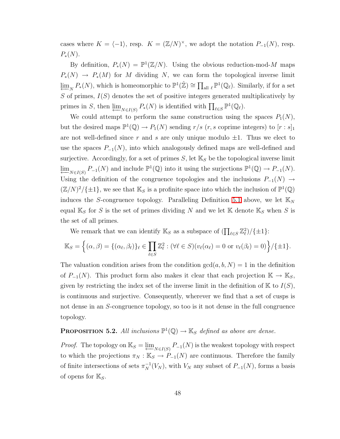cases where  $K = \langle -1 \rangle$ , resp.  $K = (\mathbb{Z}/N)^{\times}$ , we adopt the notation  $P_{-1}(N)$ , resp.  $P_*(N)$ .

By definition,  $P_*(N) = \mathbb{P}^1(\mathbb{Z}/N)$ . Using the obvious reduction-mod-M maps  $P_*(N) \to P_*(M)$  for M dividing N, we can form the topological inverse limit  $\varprojlim_{N} P_*(N)$ , which is homeomorphic to  $\mathbb{P}^1(\hat{\mathbb{Z}}) \cong \prod_{\text{all } \ell} \mathbb{P}^1(\mathbb{Q}_{\ell})$ . Similarly, if for a set  $S$  of primes,  $I(S)$  denotes the set of positive integers generated multiplicatively by primes in S, then  $\varprojlim_{N\in I(S)} P_*(N)$  is identified with  $\prod_{\ell\in S} \mathbb{P}^1(\mathbb{Q}_\ell)$ .

We could attempt to perform the same construction using the spaces  $P_1(N)$ , but the desired maps  $\mathbb{P}^1(\mathbb{Q}) \to P_1(N)$  sending  $r/s$   $(r, s$  coprime integers) to  $[r : s]_1$ are not well-defined since r and s are only unique modulo  $\pm 1$ . Thus we elect to use the spaces  $P_{-1}(N)$ , into which analogously defined maps are well-defined and surjective. Accordingly, for a set of primes  $S$ , let  $\mathbb{K}_{S}$  be the topological inverse limit  $\lim_{N \in I(S)} P_{-1}(N)$  and include  $\mathbb{P}^1(\mathbb{Q})$  into it using the surjections  $\mathbb{P}^1(\mathbb{Q}) \to P_{-1}(N)$ . Using the definition of the congruence topologies and the inclusions  $P_{-1}(N) \rightarrow$  $(\mathbb{Z}/N)^2/\{\pm 1\}$ , we see that  $\mathbb{K}_S$  is a profinite space into which the inclusion of  $\mathbb{P}^1(\mathbb{Q})$ induces the S-congruence topology. Paralleling Definition [5.1](#page-54-0) above, we let  $\mathbb{K}_N$ equal  $\mathbb{K}_{S}$  for S is the set of primes dividing N and we let  $\mathbb{K}$  denote  $\mathbb{K}_{S}$  when S is the set of all primes.

We remark that we can identify  $\mathbb{K}_S$  as a subspace of  $(\prod_{\ell \in S} \mathbb{Z}_{\ell}^2)/\{\pm 1\}$ :

$$
\mathbb{K}_S = \left\{ (\alpha, \beta) = \{ (\alpha_\ell, \beta_\ell) \}_\ell \in \prod_{\ell \in S} \mathbb{Z}_\ell^2 : (\forall \ell \in S)(v_\ell(\alpha_\ell) = 0 \text{ or } v_\ell(\beta_\ell) = 0) \right\} / \{\pm 1\}.
$$

The valuation condition arises from the condition  $gcd(a, b, N) = 1$  in the definition of  $P_{-1}(N)$ . This product form also makes it clear that each projection  $\mathbb{K} \to \mathbb{K}_S$ , given by restricting the index set of the inverse limit in the definition of  $\mathbb{K}$  to  $I(S)$ , is continuous and surjective. Consequently, wherever we find that a set of cusps is not dense in an S-congruence topology, so too is it not dense in the full congruence topology.

## **PROPOSITION 5.2.** All inclusions  $\mathbb{P}^1(\mathbb{Q}) \to \mathbb{K}_S$  defined as above are dense.

*Proof.* The topology on  $\mathbb{K}_S = \varprojlim_{N \in I(S)} P_{-1}(N)$  is the weakest topology with respect to which the projections  $\pi_N : \mathbb{K}_S \to P_{-1}(N)$  are continuous. Therefore the family of finite intersections of sets  $\pi_N^{-1}(V_N)$ , with  $V_N$  any subset of  $P_{-1}(N)$ , forms a basis of opens for  $\mathbb{K}_{S}$ .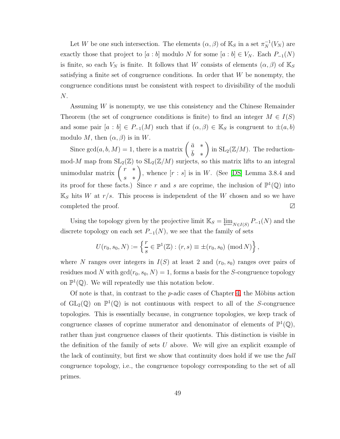Let W be one such intersection. The elements  $(\alpha, \beta)$  of  $\mathbb{K}_S$  in a set  $\pi_N^{-1}(V_N)$  are exactly those that project to [a : b] modulo N for some [a : b]  $\in V_N$ . Each  $P_{-1}(N)$ is finite, so each  $V_N$  is finite. It follows that W consists of elements  $(\alpha, \beta)$  of  $\mathbb{K}_S$ satisfying a finite set of congruence conditions. In order that  $W$  be nonempty, the congruence conditions must be consistent with respect to divisibility of the moduli N.

Assuming W is nonempty, we use this consistency and the Chinese Remainder Theorem (the set of congruence conditions is finite) to find an integer  $M \in I(S)$ and some pair  $[a : b] \in P_{-1}(M)$  such that if  $(\alpha, \beta) \in \mathbb{K}_S$  is congruent to  $\pm(a, b)$ modulo M, then  $(\alpha, \beta)$  is in W.

Since  $gcd(a, b, M) = 1$ , there is a matrix  $\begin{pmatrix} \bar{a} & * \\ \bar{b} & \bar{c} \end{pmatrix}$  $\bar{b}$  \*  $\overline{ }$ in  $SL_2(\mathbb{Z}/M)$ . The reductionmod-M map from  $SL_2(\mathbb{Z})$  to  $SL_2(\mathbb{Z}/M)$  surjects, so this matrix lifts to an integral unimodular matrix  $\begin{pmatrix} r & * \\ * & r \end{pmatrix}$ s ∗  $\overline{ }$ , whence  $[r : s]$  is in W. (See [\[DS\]](#page-79-0) Lemma 3.8.4 and its proof for these facts.) Since r and s are coprime, the inclusion of  $\mathbb{P}^1(\mathbb{Q})$  into  $\mathbb{K}_{S}$  hits W at  $r/s$ . This process is independent of the W chosen and so we have completed the proof. ∠

Using the topology given by the projective limit  $\mathbb{K}_S = \varprojlim_{N \in I(S)} P_{-1}(N)$  and the discrete topology on each set  $P_{-1}(N)$ , we see that the family of sets

$$
U(r_0, s_0, N) := \left\{ \frac{r}{s} \in \mathbb{P}^1(\mathbb{Z}) : (r, s) \equiv \pm(r_0, s_0) \pmod{N} \right\},\,
$$

where N ranges over integers in  $I(S)$  at least 2 and  $(r_0, s_0)$  ranges over pairs of residues mod N with  $gcd(r_0, s_0, N) = 1$ , forms a basis for the S-congruence topology on  $\mathbb{P}^1(\mathbb{Q})$ . We will repeatedly use this notation below.

Of note is that, in contrast to the  $p$ -adic cases of Chapter [4,](#page-23-0) the Möbius action of  $GL_2(\mathbb{Q})$  on  $\mathbb{P}^1(\mathbb{Q})$  is not continuous with respect to all of the S-congruence topologies. This is essentially because, in congruence topologies, we keep track of congruence classes of coprime numerator and denominator of elements of  $\mathbb{P}^1(\mathbb{Q})$ , rather than just congruence classes of their quotients. This distinction is visible in the definition of the family of sets  $U$  above. We will give an explicit example of the lack of continuity, but first we show that continuity does hold if we use the full congruence topology, i.e., the congruence topology corresponding to the set of all primes.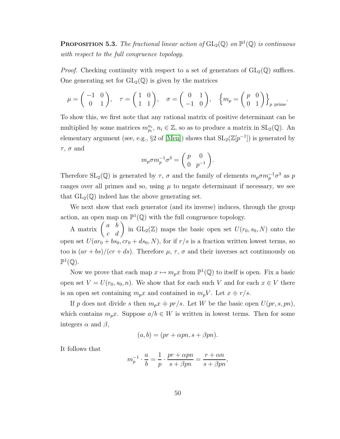**PROPOSITION 5.3.** The fractional linear action of  $GL_2(\mathbb{Q})$  on  $\mathbb{P}^1(\mathbb{Q})$  is continuous with respect to the full congruence topology.

*Proof.* Checking continuity with respect to a set of generators of  $GL_2(\mathbb{Q})$  suffices. One generating set for  $GL_2(\mathbb{Q})$  is given by the matrices

$$
\mu = \begin{pmatrix} -1 & 0 \\ 0 & 1 \end{pmatrix}, \quad \tau = \begin{pmatrix} 1 & 0 \\ 1 & 1 \end{pmatrix}, \quad \sigma = \begin{pmatrix} 0 & 1 \\ -1 & 0 \end{pmatrix}, \quad \left\{ m_p = \begin{pmatrix} p & 0 \\ 0 & 1 \end{pmatrix} \right\}_{p \text{ prime}}.
$$

To show this, we first note that any rational matrix of positive determinant can be multiplied by some matrices  $m_{p_i}^{n_i}$ ,  $n_i \in \mathbb{Z}$ , so as to produce a matrix in  $SL_2(\mathbb{Q})$ . An elementary argument (see, e.g., §2 of [\[Men\]](#page-80-2)) shows that  $SL_2(\mathbb{Z}[p^{-1}])$  is generated by  $\tau$ ,  $\sigma$  and

$$
m_p \sigma m_p^{-1} \sigma^3 = \left(\begin{array}{cc} p & 0 \\ 0 & p^{-1} \end{array}\right).
$$

Therefore SL<sub>2</sub>( $\mathbb{Q}$ ) is generated by  $\tau$ ,  $\sigma$  and the family of elements  $m_p \sigma m_p^{-1} \sigma^3$  as p ranges over all primes and so, using  $\mu$  to negate determinant if necessary, we see that  $GL_2(\mathbb{Q})$  indeed has the above generating set.

We next show that each generator (and its inverse) induces, through the group action, an open map on  $\mathbb{P}^1(\mathbb{Q})$  with the full congruence topology.

A matrix  $\begin{pmatrix} a & b \\ c & d \end{pmatrix}$  in  $GL_2(\mathbb{Z})$  maps the basic open set  $U(r_0, s_0, N)$  onto the open set  $U(ar_0 + bs_0, cr_0 + ds_0, N)$ , for if  $r/s$  is a fraction written lowest terms, so too is  $(ar + bs)/(cr + ds)$ . Therefore  $\mu$ ,  $\tau$ ,  $\sigma$  and their inverses act continuously on  $\mathbb{P}^1(\mathbb{Q})$ .

Now we prove that each map  $x \mapsto m_p x$  from  $\mathbb{P}^1(\mathbb{Q})$  to itself is open. Fix a basic open set  $V = U(r_0, s_0, n)$ . We show that for each such V and for each  $x \in V$  there is an open set containing  $m_p x$  and contained in  $m_p V$ . Let  $x = r/s$ .

If p does not divide s then  $m_p x \doteq p r/s$ . Let W be the basic open  $U(pr, s, pn)$ , which contains  $m_p x$ . Suppose  $a/b \in W$  is written in lowest terms. Then for some integers  $\alpha$  and  $\beta$ ,

$$
(a, b) = (pr + \alpha pn, s + \beta pn).
$$

It follows that

$$
m_p^{-1} \cdot \frac{a}{b} = \frac{1}{p} \cdot \frac{pr + \alpha pn}{s + \beta pn} = \frac{r + \alpha n}{s + \beta pn},
$$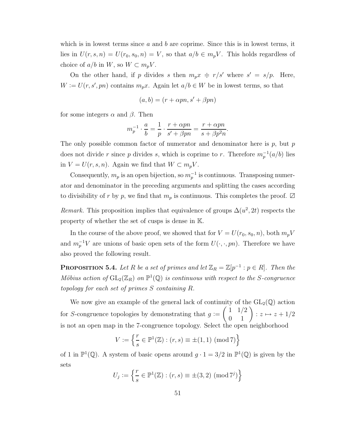which is in lowest terms since  $a$  and  $b$  are coprime. Since this is in lowest terms, it lies in  $U(r, s, n) = U(r_0, s_0, n) = V$ , so that  $a/b \in m_pV$ . This holds regardless of choice of  $a/b$  in  $W$ , so  $W \subset m_pV$ .

On the other hand, if p divides s then  $m_p x \doteq r/s'$  where  $s' = s/p$ . Here,  $W := U(r, s', pn)$  contains  $m_p x$ . Again let  $a/b \in W$  be in lowest terms, so that

$$
(a, b) = (r + \alpha pn, s' + \beta pn)
$$

for some integers  $\alpha$  and  $\beta$ . Then

$$
m_p^{-1} \cdot \frac{a}{b} = \frac{1}{p} \cdot \frac{r + \alpha pn}{s' + \beta pn} = \frac{r + \alpha pn}{s + \beta p^2 n}.
$$

The only possible common factor of numerator and denominator here is  $p$ , but  $p$ does not divide r since p divides s, which is coprime to r. Therefore  $m_p^{-1}(a/b)$  lies in  $V = U(r, s, n)$ . Again we find that  $W \subset m_p V$ .

Consequently,  $m_p$  is an open bijection, so  $m_p^{-1}$  is continuous. Transposing numerator and denominator in the preceding arguments and splitting the cases according to divisibility of r by p, we find that  $m_p$  is continuous. This completes the proof.  $\boxtimes$ 

Remark. This proposition implies that equivalence of groups  $\Delta(u^2, 2t)$  respects the property of whether the set of cusps is dense in K.

In the course of the above proof, we showed that for  $V = U(r_0, s_0, n)$ , both  $m_pV$ and  $m_p^{-1}V$  are unions of basic open sets of the form  $U(\cdot, \cdot, pn)$ . Therefore we have also proved the following result.

**PROPOSITION 5.4.** Let R be a set of primes and let  $\mathbb{Z}_R = \mathbb{Z}[p^{-1} : p \in R]$ . Then the Möbius action of  $\mathrm{GL}_2(\mathbb{Z}_R)$  on  $\mathbb{P}^1(\mathbb{Q})$  is continuous with respect to the S-congruence topology for each set of primes S containing R.

We now give an example of the general lack of continuity of the  $GL_2(\mathbb{Q})$  action for S-congruence topologies by demonstrating that  $g :=$  $\begin{pmatrix} 1 & 1/2 \\ 0 & 1 \end{pmatrix} : z \mapsto z + 1/2$ is not an open map in the 7-congruence topology. Select the open neighborhood

$$
V:=\left\{\frac{r}{s}\in\mathbb{P}^1(\mathbb{Z}) : (r,s)\equiv\pm(1,1)\ (\mathrm{mod}\ 7)\right\}
$$

of 1 in  $\mathbb{P}^1(\mathbb{Q})$ . A system of basic opens around  $g \cdot 1 = 3/2$  in  $\mathbb{P}^1(\mathbb{Q})$  is given by the sets

$$
U_j := \left\{ \frac{r}{s} \in \mathbb{P}^1(\mathbb{Z}) : (r, s) \equiv \pm(3, 2) \pmod{7^j} \right\}
$$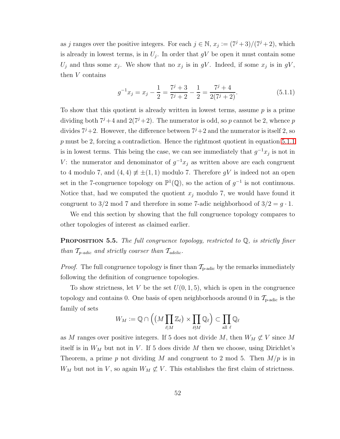as j ranges over the positive integers. For each  $j \in \mathbb{N}$ ,  $x_j := (7^j + 3)/(7^j + 2)$ , which is already in lowest terms, is in  $U_j$ . In order that  $gV$  be open it must contain some  $U_j$  and thus some  $x_j$ . We show that no  $x_j$  is in gV. Indeed, if some  $x_j$  is in gV, then V contains

$$
g^{-1}x_j = x_j - \frac{1}{2} = \frac{7^j + 3}{7^j + 2} - \frac{1}{2} = \frac{7^j + 4}{2(7^j + 2)}.
$$
 (5.1.1)

<span id="page-59-0"></span>To show that this quotient is already written in lowest terms, assume  $p$  is a prime dividing both  $7^{j}+4$  and  $2(7^{j}+2)$ . The numerator is odd, so p cannot be 2, whence p divides  $7^{j}+2$ . However, the difference between  $7^{j}+2$  and the numerator is itself 2, so p must be 2, forcing a contradiction. Hence the rightmost quotient in equation [5.1.1](#page-59-0) is in lowest terms. This being the case, we can see immediately that  $g^{-1}x_j$  is not in V: the numerator and denominator of  $g^{-1}x_j$  as written above are each congruent to 4 modulo 7, and  $(4, 4) \neq \pm (1, 1)$  modulo 7. Therefore gV is indeed not an open set in the 7-congruence topology on  $\mathbb{P}^1(\mathbb{Q})$ , so the action of  $g^{-1}$  is not continuous. Notice that, had we computed the quotient  $x_j$  modulo 7, we would have found it congruent to 3/2 mod 7 and therefore in some 7-adic neighborhood of  $3/2 = g \cdot 1$ .

We end this section by showing that the full congruence topology compares to other topologies of interest as claimed earlier.

**PROPOSITION 5.5.** The full congruence topology, restricted to  $\mathbb{Q}$ , is strictly finer than  $T_{p\text{-}adic}$  and strictly coarser than  $T_{\text{adelic}}$ .

*Proof.* The full congruence topology is finer than  $\mathcal{T}_{\text{p-adic}}$  by the remarks immediately following the definition of congruence topologies.

To show strictness, let V be the set  $U(0, 1, 5)$ , which is open in the congruence topology and contains 0. One basis of open neighborhoods around 0 in  $\mathcal{T}_{\text{p-adic}}$  is the family of sets

$$
W_M:=\mathbb{Q}\cap\Big(\big(M\prod_{\ell\mid M}\mathbb{Z}_\ell\big)\times\prod_{\ell\nmid M}\mathbb{Q}_\ell\Big)\subset\prod_{\text{all }\ell}\mathbb{Q}_\ell
$$

as M ranges over positive integers. If 5 does not divide M, then  $W_M \not\subset V$  since M itself is in  $W_M$  but not in V. If 5 does divide M then we choose, using Dirichlet's Theorem, a prime p not dividing M and congruent to 2 mod 5. Then  $M/p$  is in  $W_M$  but not in V, so again  $W_M \not\subset V$ . This establishes the first claim of strictness.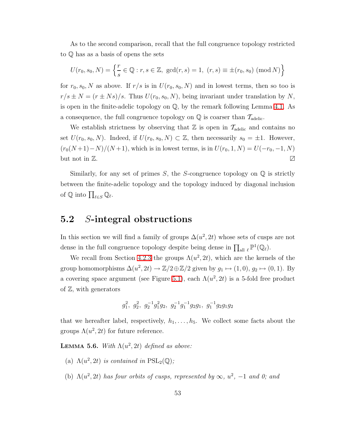As to the second comparison, recall that the full congruence topology restricted to Q has as a basis of opens the sets

$$
U(r_0, s_0, N) = \left\{ \frac{r}{s} \in \mathbb{Q} : r, s \in \mathbb{Z}, \, \gcd(r, s) = 1, \, (r, s) \equiv \pm(r_0, s_0) \, (\text{mod } N) \right\}
$$

for  $r_0$ ,  $s_0$ , N as above. If  $r/s$  is in  $U(r_0, s_0, N)$  and in lowest terms, then so too is  $r/s \pm N = (r \pm Ns)/s$ . Thus  $U(r_0, s_0, N)$ , being invariant under translation by N, is open in the finite-adelic topology on  $\mathbb{Q}$ , by the remark following Lemma [4.1.](#page-24-1) As a consequence, the full congruence topology on  $\mathbb Q$  is coarser than  $T_{\text{adelic}}$ .

We establish strictness by observing that  $\mathbb Z$  is open in  $\mathcal T_{\text{adelic}}$  and contains no set  $U(r_0, s_0, N)$ . Indeed, if  $U(r_0, s_0, N) \subset \mathbb{Z}$ , then necessarily  $s_0 = \pm 1$ . However,  $(r_0(N+1)-N)/(N+1)$ , which is in lowest terms, is in  $U(r_0, 1, N) = U(-r_0, -1, N)$ but not in  $\mathbb{Z}$ .

Similarly, for any set of primes  $S$ , the S-congruence topology on  $\mathbb Q$  is strictly between the finite-adelic topology and the topology induced by diagonal inclusion of  $\mathbb Q$  into  $\prod_{\ell \in S} \mathbb Q_\ell$ .

#### <span id="page-60-0"></span>5.2 S-integral obstructions

In this section we will find a family of groups  $\Delta(u^2, 2t)$  whose sets of cusps are not dense in the full congruence topology despite being dense in  $\prod_{\text{all } \ell} \mathbb{P}^1(\mathbb{Q}_\ell)$ .

We recall from Section [4.2.3](#page-37-0) the groups  $\Lambda(u^2, 2t)$ , which are the kernels of the group homomorphisms  $\Delta(u^2, 2t) \to \mathbb{Z}/2 \oplus \mathbb{Z}/2$  given by  $g_1 \mapsto (1, 0), g_2 \mapsto (0, 1)$ . By a covering space argument (see Figure [5.1\)](#page-61-0), each  $\Lambda(u^2, 2t)$  is a 5-fold free product of  $\mathbb{Z}$ , with generators

$$
g_1^2
$$
,  $g_2^2$ ,  $g_2^{-1}g_1^2g_2$ ,  $g_2^{-1}g_1^{-1}g_2g_1$ ,  $g_1^{-1}g_2g_1g_2$ 

<span id="page-60-1"></span>that we hereafter label, respectively,  $h_1, \ldots, h_5$ . We collect some facts about the groups  $\Lambda(u^2, 2t)$  for future reference.

**LEMMA 5.6.** With  $\Lambda(u^2, 2t)$  defined as above:

- (a)  $\Lambda(u^2, 2t)$  is contained in  $PSL_2(\mathbb{Q})$ ;
- (b)  $\Lambda(u^2, 2t)$  has four orbits of cusps, represented by  $\infty$ ,  $u^2$ ,  $-1$  and 0; and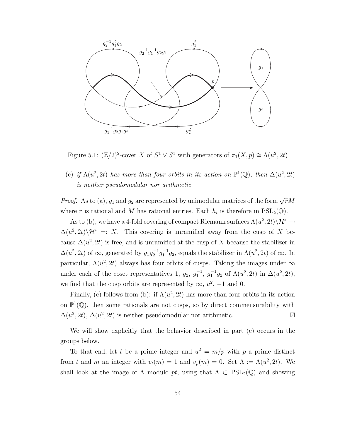

<span id="page-61-0"></span>Figure 5.1:  $(\mathbb{Z}/2)^2$ -cover X of  $S^1 \vee S^1$  with generators of  $\pi_1(X, p) \cong \Lambda(u^2, 2t)$ 

(c) if  $\Lambda(u^2, 2t)$  has more than four orbits in its action on  $\mathbb{P}^1(\mathbb{Q})$ , then  $\Delta(u^2, 2t)$ is neither pseudomodular nor arithmetic.

*Proof.* As to (a),  $g_1$  and  $g_2$  are represented by unimodular matrices of the form  $\sqrt{r}M$ where r is rational and M has rational entries. Each  $h_i$  is therefore in  $PSL_2(\mathbb{Q})$ .

As to (b), we have a 4-fold covering of compact Riemann surfaces  $\Lambda(u^2, 2t)\backslash \mathcal{H}^* \to$  $\Delta(u^2, 2t) \backslash \mathcal{H}^* =: X$ . This covering is unramified away from the cusp of X because  $\Delta(u^2, 2t)$  is free, and is unramified at the cusp of X because the stabilizer in  $\Delta(u^2, 2t)$  of  $\infty$ , generated by  $g_1 g_2^{-1} g_1^{-1} g_2$ , equals the stabilizer in  $\Lambda(u^2, 2t)$  of  $\infty$ . In particular,  $\Lambda(u^2, 2t)$  always has four orbits of cusps. Taking the images under  $\infty$ under each of the coset representatives 1,  $g_2$ ,  $g_1^{-1}$ ,  $g_1^{-1}g_2$  of  $\Lambda(u^2, 2t)$  in  $\Delta(u^2, 2t)$ , we find that the cusp orbits are represented by  $\infty$ ,  $u^2$ ,  $-1$  and 0.

Finally, (c) follows from (b): if  $\Lambda(u^2, 2t)$  has more than four orbits in its action on  $\mathbb{P}^1(\mathbb{Q})$ , then some rationals are not cusps, so by direct commensurability with  $\Delta(u^2, 2t)$ ,  $\Delta(u^2, 2t)$  is neither pseudomodular nor arithmetic.  $\Box$ 

We will show explicitly that the behavior described in part (c) occurs in the groups below.

To that end, let t be a prime integer and  $u^2 = m/p$  with p a prime distinct from t and m an integer with  $v_t(m) = 1$  and  $v_p(m) = 0$ . Set  $\Lambda := \Lambda(u^2, 2t)$ . We shall look at the image of  $\Lambda$  modulo pt, using that  $\Lambda \subset \text{PSL}_2(\mathbb{Q})$  and showing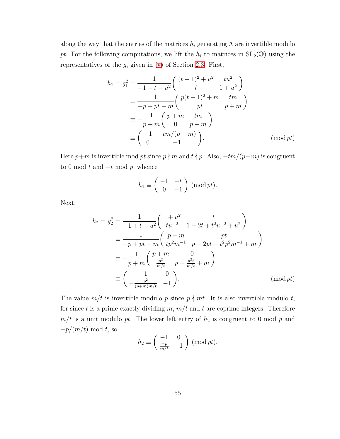along the way that the entries of the matrices  $h_i$  generating  $\Lambda$  are invertible modulo pt. For the following computations, we lift the  $h_i$  to matrices in  $SL_2(\mathbb{Q})$  using the representatives of the  $g_i$  given in  $(*)$  of Section [2.3.](#page-13-0) First,

$$
h_1 = g_1^2 = \frac{1}{-1+t-u^2} \begin{pmatrix} (t-1)^2 + u^2 & tu^2 \\ t & 1+u^2 \end{pmatrix}
$$
  
= 
$$
\frac{1}{-p+pt-m} \begin{pmatrix} p(t-1)^2 + m & tm \\ pt & p+m \end{pmatrix}
$$
  
= 
$$
-\frac{1}{p+m} \begin{pmatrix} p+m & tm \\ 0 & p+m \end{pmatrix}
$$
  
= 
$$
\begin{pmatrix} -1 & -tm/(p+m) \\ 0 & -1 \end{pmatrix}.
$$
 (mod *pt*)

Here  $p+m$  is invertible mod pt since  $p\nmid m$  and  $t\nmid p$ . Also,  $-tm/(p+m)$  is congruent to 0 mod t and  $-t$  mod p, whence

$$
h_1 \equiv \begin{pmatrix} -1 & -t \\ 0 & -1 \end{pmatrix} \text{ (mod } pt).
$$

Next,

$$
h_2 = g_2^2 = \frac{1}{-1+t-u^2} \begin{pmatrix} 1+u^2 & t \\ tu^{-2} & 1-2t+t^2u^{-2}+u^2 \end{pmatrix}
$$
  
= 
$$
\frac{1}{-p+pt-m} \begin{pmatrix} p+m & pt \\ tp^2m^{-1} & p-2pt+t^2p^2m^{-1}+m \end{pmatrix}
$$
  
= 
$$
-\frac{1}{p+m} \begin{pmatrix} p+m & 0 \\ \frac{p^2}{m/t} & p+\frac{p^2t}{m/t}+m \end{pmatrix}
$$
  
= 
$$
\begin{pmatrix} -1 & 0 \\ -\frac{p^2}{(p+m)m/t} & -1 \end{pmatrix}.
$$
 (mod pt)

The value  $m/t$  is invertible modulo p since  $p \nmid mt$ . It is also invertible modulo t, for since t is a prime exactly dividing  $m$ ,  $m/t$  and t are coprime integers. Therefore  $m/t$  is a unit modulo pt. The lower left entry of  $h_2$  is congruent to 0 mod p and  $-p/(m/t) \mod t$ , so

$$
h_2 \equiv \begin{pmatrix} -1 & 0 \\ \frac{-p}{m/t} & -1 \end{pmatrix} \pmod{pt}.
$$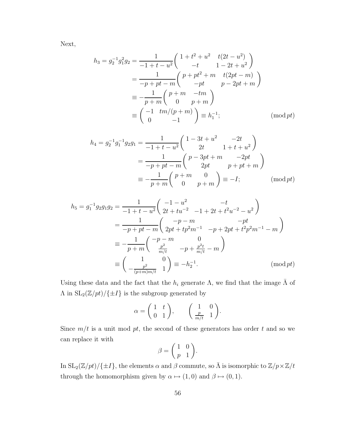Next,

$$
h_3 = g_2^{-1}g_1^2g_2 = \frac{1}{-1+t-u^2} \begin{pmatrix} 1+t^2+u^2 & t(2t-u^2) \\ -t & 1-2t+u^2 \end{pmatrix}
$$
  
= 
$$
\frac{1}{-p+pt-m} \begin{pmatrix} p+pt^2+m & t(2pt-m) \\ -pt & p-2pt+m \end{pmatrix}
$$
  
= 
$$
-\frac{1}{p+m} \begin{pmatrix} p+m & -tm \\ 0 & p+m \end{pmatrix}
$$
  
= 
$$
\begin{pmatrix} -1 & tm/(p+m) \\ 0 & -1 \end{pmatrix} \equiv h_1^{-1};
$$
 (mod *pt*)

$$
h_4 = g_2^{-1}g_1^{-1}g_2g_1 = \frac{1}{-1+t-u^2} \begin{pmatrix} 1-3t+u^2 & -2t \\ 2t & 1+t+u^2 \end{pmatrix}
$$
  
= 
$$
\frac{1}{-p+pt-m} \begin{pmatrix} p-3pt+m & -2pt \\ 2pt & p+pt+m \end{pmatrix}
$$
  
= 
$$
-\frac{1}{p+m} \begin{pmatrix} p+m & 0 \\ 0 & p+m \end{pmatrix} \equiv -I;
$$
 (mod *pt*)

$$
h_5 = g_1^{-1} g_2 g_1 g_2 = \frac{1}{-1+t-u^2} \begin{pmatrix} -1-u^2 & -t \\ 2t+tu^{-2} & -1+2t+t^2u^{-2}-u^2 \end{pmatrix}
$$
  
= 
$$
\frac{1}{-p+pt-m} \begin{pmatrix} -p-m & -pt \\ 2pt+tp^2m^{-1} & -p+2pt+t^2p^2m^{-1}-m \end{pmatrix}
$$
  
= 
$$
-\frac{1}{p+m} \begin{pmatrix} -p-m & 0 \\ \frac{p^2}{m/t} & -p+\frac{p^2t}{m/t}-m \end{pmatrix}
$$
  
= 
$$
\begin{pmatrix} 1 & 0 \\ -\frac{p^2}{(p+m)m/t} & 1 \end{pmatrix} \equiv -h_2^{-1}.
$$
 (mod pt)

Using these data and the fact that the  $h_i$  generate  $\Lambda$ , we find that the image  $\bar{\Lambda}$  of  $\Lambda$  in  $\mathrm{SL}_2(\mathbb{Z}/pt)/\{\pm I\}$  is the subgroup generated by

$$
\alpha = \begin{pmatrix} 1 & t \\ 0 & 1 \end{pmatrix}, \qquad \begin{pmatrix} 1 & 0 \\ \frac{p}{m/t} & 1 \end{pmatrix}.
$$

Since  $m/t$  is a unit mod pt, the second of these generators has order t and so we can replace it with  $\overline{ }$  $\overline{\phantom{a}}$ 

$$
\beta = \left(\begin{array}{cc} 1 & 0 \\ p & 1 \end{array}\right).
$$

In  $\mathrm{SL}_2(\mathbb{Z}/pt)/\{\pm I\}$ , the elements  $\alpha$  and  $\beta$  commute, so  $\bar{\Lambda}$  is isomorphic to  $\mathbb{Z}/p\times \mathbb{Z}/t$ through the homomorphism given by  $\alpha \mapsto (1,0)$  and  $\beta \mapsto (0,1)$ .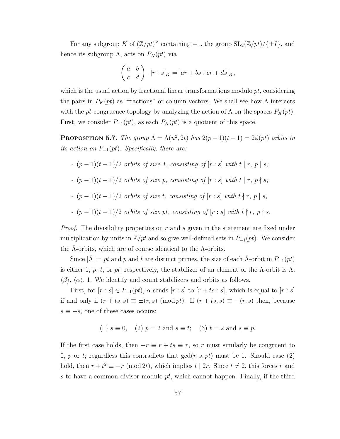For any subgroup K of  $(\mathbb{Z}/pt)^{\times}$  containing  $-1$ , the group  $SL_2(\mathbb{Z}/pt)/\{\pm I\}$ , and hence its subgroup  $\bar{\Lambda}$ , acts on  $P_K(pt)$  via

$$
\begin{pmatrix} a & b \ c & d \end{pmatrix} \cdot [r:s]_K = [ar+bs:cr+ds]_K,
$$

which is the usual action by fractional linear transformations modulo  $pt$ , considering the pairs in  $P_K(pt)$  as "fractions" or column vectors. We shall see how  $\Lambda$  interacts with the pt-congruence topology by analyzing the action of  $\overline{\Lambda}$  on the spaces  $P_K(pt)$ . First, we consider  $P_{-1}(pt)$ , as each  $P_K(pt)$  is a quotient of this space.

<span id="page-64-0"></span>**PROPOSITION 5.7.** The group  $\Lambda = \Lambda(u^2, 2t)$  has  $2(p-1)(t-1) = 2\phi(pt)$  orbits in its action on  $P_{-1}(pt)$ . Specifically, there are:

$$
- (p-1)(t-1)/2 \text{ orbits of size 1, consisting of } [r:s] \text{ with } t \mid r, p \mid s;
$$

$$
- (p-1)(t-1)/2 \text{ orbits of size } p, \text{ consisting of } [r:s] \text{ with } t \mid r, \ p \nmid s;
$$

-  $(p-1)(t-1)/2$  orbits of size t, consisting of  $[r:s]$  with  $t \nmid r, p \mid s$ ;

$$
- (p-1)(t-1)/2 \text{ orbits of size pt, consisting of } [r:s] \text{ with } t \nmid r, p \nmid s.
$$

*Proof.* The divisibility properties on  $r$  and  $s$  given in the statement are fixed under multiplication by units in  $\mathbb{Z}/pt$  and so give well-defined sets in  $P_{-1}(pt)$ . We consider the  $\Lambda$ -orbits, which are of course identical to the  $\Lambda$ -orbits.

Since  $|\bar{\Lambda}| = pt$  and p and t are distinct primes, the size of each  $\bar{\Lambda}$ -orbit in  $P_{-1}(pt)$ is either 1, p, t, or pt; respectively, the stabilizer of an element of the  $\Lambda$ -orbit is  $\Lambda$ ,  $\langle \beta \rangle$ ,  $\langle \alpha \rangle$ , 1. We identify and count stabilizers and orbits as follows.

First, for  $[r : s] \in P_{-1}(pt)$ ,  $\alpha$  sends  $[r : s]$  to  $[r + ts : s]$ , which is equal to  $[r : s]$ if and only if  $(r + ts, s) \equiv \pm (r, s) \pmod{pt}$ . If  $(r + ts, s) \equiv -(r, s)$  then, because  $s \equiv -s$ , one of these cases occurs:

(1) 
$$
s \equiv 0
$$
, (2)  $p = 2$  and  $s \equiv t$ ; (3)  $t = 2$  and  $s \equiv p$ .

If the first case holds, then  $-r \equiv r + ts \equiv r$ , so r must similarly be congruent to 0, p or t; regardless this contradicts that  $gcd(r, s, pt)$  must be 1. Should case (2) hold, then  $r + t^2 \equiv -r \pmod{2t}$ , which implies  $t \mid 2r$ . Since  $t \neq 2$ , this forces r and s to have a common divisor modulo  $pt$ , which cannot happen. Finally, if the third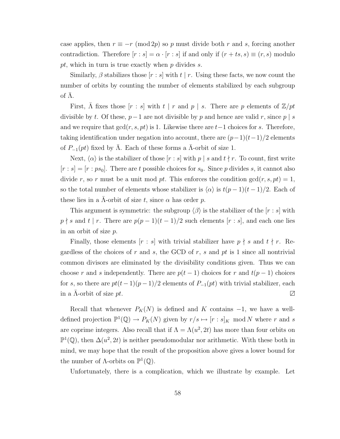case applies, then  $r \equiv -r \pmod{2p}$  so p must divide both r and s, forcing another contradiction. Therefore  $[r : s] = \alpha \cdot [r : s]$  if and only if  $(r + ts, s) \equiv (r, s)$  modulo pt, which in turn is true exactly when  $p$  divides  $s$ .

Similarly,  $\beta$  stabilizes those  $[r : s]$  with  $t \mid r$ . Using these facts, we now count the number of orbits by counting the number of elements stabilized by each subgroup of  $Λ$ .

First,  $\bar{\Lambda}$  fixes those  $[r : s]$  with  $t | r$  and  $p | s$ . There are p elements of  $\mathbb{Z}/pt$ divisible by t. Of these,  $p-1$  are not divisible by p and hence are valid r, since p | s and we require that  $gcd(r, s, pt)$  is 1. Likewise there are  $t-1$  choices for s. Therefore, taking identification under negation into account, there are  $(p-1)(t-1)/2$  elements of  $P_{-1}(pt)$  fixed by  $\Lambda$ . Each of these forms a  $\Lambda$ -orbit of size 1.

Next,  $\langle \alpha \rangle$  is the stabilizer of those  $[r : s]$  with p | s and  $t \nmid r$ . To count, first write  $[r : s] = [r : ps_0]$ . There are t possible choices for  $s_0$ . Since p divides s, it cannot also divide r, so r must be a unit mod pt. This enforces the condition  $gcd(r, s, pt) = 1$ , so the total number of elements whose stabilizer is  $\langle \alpha \rangle$  is  $t(p - 1)(t - 1)/2$ . Each of these lies in a  $\Lambda$ -orbit of size t, since  $\alpha$  has order p.

This argument is symmetric: the subgroup  $\langle \beta \rangle$  is the stabilizer of the [r : s] with  $p \nmid s$  and  $t \mid r$ . There are  $p(p-1)(t-1)/2$  such elements  $[r : s]$ , and each one lies in an orbit of size p.

Finally, those elements  $[r : s]$  with trivial stabilizer have  $p \nmid s$  and  $t \nmid r$ . Regardless of the choices of r and s, the GCD of r, s and pt is 1 since all nontrivial common divisors are eliminated by the divisibility conditions given. Thus we can choose r and s independently. There are  $p(t-1)$  choices for r and  $t(p-1)$  choices for s, so there are  $pt(t-1)(p-1)/2$  elements of  $P_{-1}(pt)$  with trivial stabilizer, each in a  $\Lambda$ -orbit of size  $pt$ .  $\Box$ 

Recall that whenever  $P_K(N)$  is defined and K contains  $-1$ , we have a welldefined projection  $\mathbb{P}^1(\mathbb{Q}) \to P_K(N)$  given by  $r/s \mapsto [r:s]_K \mod N$  where r and s are coprime integers. Also recall that if  $\Lambda = \Lambda(u^2, 2t)$  has more than four orbits on  $\mathbb{P}^1(\mathbb{Q})$ , then  $\Delta(u^2, 2t)$  is neither pseudomodular nor arithmetic. With these both in mind, we may hope that the result of the proposition above gives a lower bound for the number of  $\Lambda$ -orbits on  $\mathbb{P}^1(\mathbb{Q})$ .

Unfortunately, there is a complication, which we illustrate by example. Let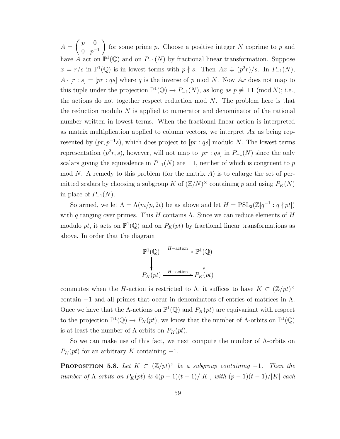$A =$  $\begin{pmatrix} p & 0 \\ 0 & 0 \end{pmatrix}$  $0 \quad p^{-1}$  $\overline{ }$ for some prime  $p$ . Choose a positive integer  $N$  coprime to  $p$  and have A act on  $\mathbb{P}^1(\mathbb{Q})$  and on  $P_{-1}(N)$  by fractional linear transformation. Suppose  $x = r/s$  in  $\mathbb{P}^1(\mathbb{Q})$  is in lowest terms with  $p \nmid s$ . Then  $Ax = (p^2r)/s$ . In  $P_{-1}(N)$ ,  $A \cdot [r : s] = [pr : qs]$  where q is the inverse of p mod N. Now Ax does not map to this tuple under the projection  $\mathbb{P}^1(\mathbb{Q}) \to P_{-1}(N)$ , as long as  $p \not\equiv \pm 1 \pmod{N}$ ; i.e., the actions do not together respect reduction mod  $N$ . The problem here is that the reduction modulo  $N$  is applied to numerator and denominator of the rational number written in lowest terms. When the fractional linear action is interpreted as matrix multiplication applied to column vectors, we interpret  $Ax$  as being represented by  $(pr, p^{-1}s)$ , which does project to  $[pr: qs]$  modulo N. The lowest terms representation  $(p^2r, s)$ , however, will not map to  $[pr: qs]$  in  $P_{-1}(N)$  since the only scalars giving the equivalence in  $P_{-1}(N)$  are  $\pm 1$ , neither of which is congruent to p mod N. A remedy to this problem (for the matrix  $A$ ) is to enlarge the set of permitted scalars by choosing a subgroup K of  $(\mathbb{Z}/N)^{\times}$  containing  $\bar{p}$  and using  $P_K(N)$ in place of  $P_{-1}(N)$ .

So armed, we let  $\Lambda = \Lambda(m/p, 2t)$  be as above and let  $H = \mathrm{PSL}_2(\mathbb{Z}[q^{-1}:q \nmid pt])$ with q ranging over primes. This H contains  $\Lambda$ . Since we can reduce elements of H modulo pt, it acts on  $\mathbb{P}^1(\mathbb{Q})$  and on  $P_K(pt)$  by fractional linear transformations as above. In order that the diagram

$$
\mathbb{P}^1(\mathbb{Q}) \xrightarrow{H-\text{action}} \mathbb{P}^1(\mathbb{Q})
$$
\n
$$
\downarrow \qquad \qquad \downarrow
$$
\n
$$
P_K(pt) \xrightarrow{H-\text{action}} P_K(pt)
$$

commutes when the H-action is restricted to  $\Lambda$ , it suffices to have  $K \subset (\mathbb{Z}/pt)^{\times}$ contain  $-1$  and all primes that occur in denominators of entries of matrices in  $\Lambda$ . Once we have that the  $\Lambda$ -actions on  $\mathbb{P}^1(\mathbb{Q})$  and  $P_K(pt)$  are equivariant with respect to the projection  $\mathbb{P}^1(\mathbb{Q}) \to P_K(pt)$ , we know that the number of  $\Lambda$ -orbits on  $\mathbb{P}^1(\mathbb{Q})$ is at least the number of  $\Lambda$ -orbits on  $P_K(pt)$ .

<span id="page-66-0"></span>So we can make use of this fact, we next compute the number of Λ-orbits on  $P_K(pt)$  for an arbitrary K containing  $-1$ .

**PROPOSITION** 5.8. Let  $K \subset (\mathbb{Z}/pt)^{\times}$  be a subgroup containing -1. Then the number of  $\Lambda$ -orbits on  $P_K(pt)$  is  $4(p-1)(t-1)/|K|$ , with  $(p-1)(t-1)/|K|$  each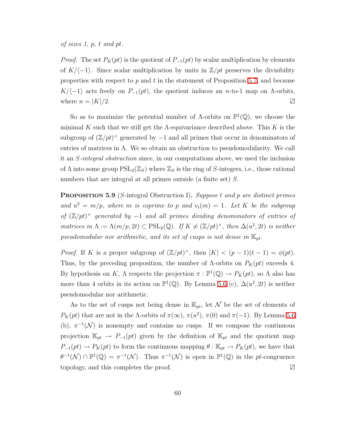#### of sizes 1, p, t and pt.

*Proof.* The set  $P_K(pt)$  is the quotient of  $P_{-1}(pt)$  by scalar multiplication by elements of  $K/\langle -1\rangle$ . Since scalar multiplication by units in  $\mathbb{Z}/pt$  preserves the divisibility properties with respect to  $p$  and  $t$  in the statement of Proposition [5.7,](#page-64-0) and because  $K/\langle -1 \rangle$  acts freely on  $P_{-1}(pt)$ , the quotient induces an n-to-1 map on  $\Lambda$ -orbits, where  $n = |K|/2$ .

So as to maximize the potential number of  $\Lambda$ -orbits on  $\mathbb{P}^1(\mathbb{Q})$ , we choose the minimal K such that we still get the  $\Lambda$ -equivariance described above. This K is the subgroup of  $(\mathbb{Z}/pt)^{\times}$  generated by  $-1$  and all primes that occur in denominators of entries of matrices in Λ. We so obtain an obstruction to pseudomodularity. We call it an S-integral obstruction since, in our computations above, we used the inclusion of  $\Lambda$  into some group  $PSL_2(\mathbb{Z}_S)$  where  $\mathbb{Z}_S$  is the ring of S-integers, i.e., those rational numbers that are integral at all primes outside (a finite set) S.

<span id="page-67-0"></span>PROPOSITION 5.9 (S-integral Obstruction I). Suppose t and p are distinct primes and  $u^2 = m/p$ , where m is coprime to p and  $v_t(m) = 1$ . Let K be the subgroup of  $(\mathbb{Z}/pt)^{\times}$  generated by -1 and all primes dividing denominators of entries of matrices in  $\Lambda := \Lambda(m/p, 2t) \subset \text{PSL}_2(\mathbb{Q})$ . If  $K \neq (\mathbb{Z}/pt)^{\times}$ , then  $\Delta(u^2, 2t)$  is neither pseudomodular nor arithmetic, and its set of cusps is not dense in  $\mathbb{K}_{pt}$ .

*Proof.* If K is a proper subgroup of  $(\mathbb{Z}/pt)^{\times}$ , then  $|K| < (p-1)(t-1) = \phi(pt)$ . Thus, by the preceding proposition, the number of  $\Lambda$ -orbits on  $P_K(pt)$  exceeds 4. By hypothesis on K,  $\Lambda$  respects the projection  $\pi : \mathbb{P}^1(\mathbb{Q}) \to P_K(pt)$ , so  $\Lambda$  also has more than 4 orbits in its action on  $\mathbb{P}^1(\mathbb{Q})$ . By Lemma [5.6](#page-60-1) (c),  $\Delta(u^2, 2t)$  is neither pseudomodular nor arithmetic.

As to the set of cusps not being dense in  $\mathbb{K}_{pt}$ , let N be the set of elements of  $P_K(pt)$  that are not in the  $\Lambda$ -orbits of  $\pi(\infty)$ ,  $\pi(u^2)$ ,  $\pi(0)$  and  $\pi(-1)$ . By Lemma [5.6](#page-60-1) (b),  $\pi^{-1}(\mathcal{N})$  is nonempty and contains no cusps. If we compose the continuous projection  $\mathbb{K}_{pt} \to P_{-1}(pt)$  given by the definition of  $\mathbb{K}_{pt}$  and the quotient map  $P_{-1}(pt) \to P_K(pt)$  to form the continuous mapping  $\theta : \mathbb{K}_{pt} \to P_K(pt)$ , we have that  $\theta^{-1}(\mathcal{N}) \cap \mathbb{P}^1(\mathbb{Q}) = \pi^{-1}(\mathcal{N}).$  Thus  $\pi^{-1}(\mathcal{N})$  is open in  $\mathbb{P}^1(\mathbb{Q})$  in the pt-congruence topology, and this completes the proof. ∠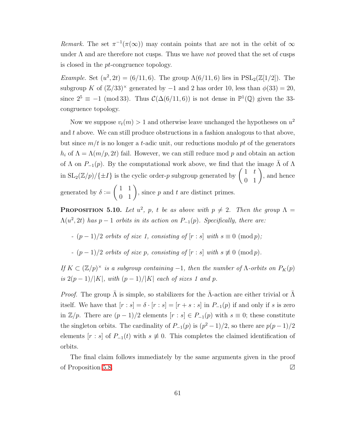Remark. The set  $\pi^{-1}(\pi(\infty))$  may contain points that are not in the orbit of  $\infty$ under  $\Lambda$  and are therefore not cusps. Thus we have not proved that the set of cusps is closed in the pt-congruence topology.

*Example.* Set  $(u^2, 2t) = (6/11, 6)$ . The group  $\Lambda(6/11, 6)$  lies in  $PSL_2(\mathbb{Z}[1/2])$ . The subgroup K of  $(\mathbb{Z}/33)^{\times}$  generated by -1 and 2 has order 10, less than  $\phi(33) = 20$ , since  $2^5 \equiv -1 \pmod{33}$ . Thus  $\mathcal{C}(\Delta(6/11, 6))$  is not dense in  $\mathbb{P}^1(\mathbb{Q})$  given the 33congruence topology.

Now we suppose  $v_t(m) > 1$  and otherwise leave unchanged the hypotheses on  $u^2$ and  $t$  above. We can still produce obstructions in a fashion analogous to that above, but since  $m/t$  is no longer a t-adic unit, our reductions modulo pt of the generators  $h_i$  of  $\Lambda = \Lambda(m/p, 2t)$  fail. However, we can still reduce mod p and obtain an action of  $\Lambda$  on  $P_{-1}(p)$ . By the computational work above, we find that the image  $\bar{\Lambda}$  of  $\Lambda$ in  $SL_2(\mathbb{Z}/p)/\{\pm I\}$  is the cyclic order-p subgroup generated by  $\begin{pmatrix} 1 & t \\ 0 & 1 \end{pmatrix}$ , and hence generated by  $\delta :=$  $\left(\begin{array}{cc} 1 & 1 \\ 0 & 1 \end{array}\right)$ , since  $p$  and  $t$  are distinct primes.

**PROPOSITION** 5.10. Let  $u^2$ , p, t be as above with  $p \neq 2$ . Then the group  $\Lambda =$  $\Lambda(u^2, 2t)$  has  $p-1$  orbits in its action on  $P_{-1}(p)$ . Specifically, there are:

-  $(p-1)/2$  orbits of size 1, consisting of  $[r:s]$  with  $s \equiv 0 \pmod{p}$ ;

-  $(p-1)/2$  orbits of size p, consisting of  $[r:s]$  with  $s \not\equiv 0 \pmod{p}$ .

If  $K \subset (\mathbb{Z}/p)^{\times}$  is a subgroup containing -1, then the number of  $\Lambda$ -orbits on  $P_K(p)$ is  $2(p-1)/|K|$ , with  $(p-1)/|K|$  each of sizes 1 and p.

*Proof.* The group  $\Lambda$  is simple, so stabilizers for the  $\Lambda$ -action are either trivial or  $\Lambda$ itself. We have that  $[r : s] = \delta \cdot [r : s] = [r + s : s]$  in  $P_{-1}(p)$  if and only if s is zero in  $\mathbb{Z}/p$ . There are  $(p-1)/2$  elements  $[r:s] \in P_{-1}(p)$  with  $s \equiv 0$ ; these constitute the singleton orbits. The cardinality of  $P_{-1}(p)$  is  $(p^2-1)/2$ , so there are  $p(p-1)/2$ elements  $[r : s]$  of  $P_{-1}(t)$  with  $s \neq 0$ . This completes the claimed identification of orbits.

The final claim follows immediately by the same arguments given in the proof of Proposition [5.8.](#page-66-0) ∠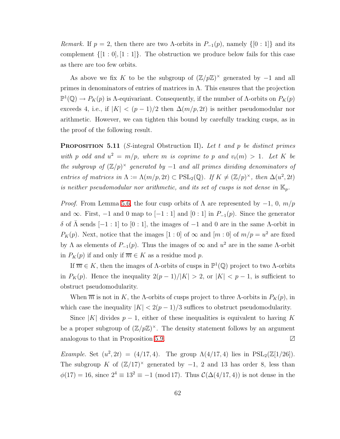Remark. If  $p = 2$ , then there are two  $\Lambda$ -orbits in  $P_{-1}(p)$ , namely  $\{[0:1]\}$  and its complement  $\{[1:0], [1:1]\}$ . The obstruction we produce below fails for this case as there are too few orbits.

As above we fix K to be the subgroup of  $(\mathbb{Z}/p\mathbb{Z})^{\times}$  generated by -1 and all primes in denominators of entries of matrices in  $\Lambda$ . This ensures that the projection  $\mathbb{P}^1(\mathbb{Q}) \to P_K(p)$  is  $\Lambda$ -equivariant. Consequently, if the number of  $\Lambda$ -orbits on  $P_K(p)$ exceeds 4, i.e., if  $|K| < (p-1)/2$  then  $\Delta(m/p, 2t)$  is neither pseudomodular nor arithmetic. However, we can tighten this bound by carefully tracking cusps, as in the proof of the following result.

<span id="page-69-0"></span>**PROPOSITION 5.11** (S-integral Obstruction II). Let t and p be distinct primes with p odd and  $u^2 = m/p$ , where m is coprime to p and  $v_t(m) > 1$ . Let K be the subgroup of  $(\mathbb{Z}/p)^\times$  generated by  $-1$  and all primes dividing denominators of entries of matrices in  $\Lambda := \Lambda(m/p, 2t) \subset \text{PSL}_2(\mathbb{Q})$ . If  $K \neq (\mathbb{Z}/p)^{\times}$ , then  $\Delta(u^2, 2t)$ is neither pseudomodular nor arithmetic, and its set of cusps is not dense in  $\mathbb{K}_p$ .

*Proof.* From Lemma [5.6,](#page-60-1) the four cusp orbits of  $\Lambda$  are represented by  $-1$ , 0,  $m/p$ and ∞. First,  $-1$  and 0 map to  $[-1:1]$  and  $[0:1]$  in  $P_{-1}(p)$ . Since the generator δ of  $Λ$  sends  $[-1:1]$  to  $[0:1]$ , the images of  $-1$  and 0 are in the same  $Λ$ -orbit in  $P_K(p)$ . Next, notice that the images  $[1:0]$  of  $\infty$  and  $[m:0]$  of  $m/p = u^2$  are fixed by  $\Lambda$  as elements of  $P_{-1}(p)$ . Thus the images of  $\infty$  and  $u^2$  are in the same  $\Lambda$ -orbit in  $P_K(p)$  if and only if  $\overline{m} \in K$  as a residue mod p.

If  $\overline{m} \in K$ , then the images of  $\Lambda$ -orbits of cusps in  $\mathbb{P}^1(\mathbb{Q})$  project to two  $\Lambda$ -orbits in  $P_K(p)$ . Hence the inequality  $2(p-1)/|K| > 2$ , or  $|K| < p-1$ , is sufficient to obstruct pseudomodularity.

When  $\overline{m}$  is not in K, the A-orbits of cusps project to three A-orbits in  $P_K(p)$ , in which case the inequality  $|K| < 2(p-1)/3$  suffices to obstruct pseudomodularity.

Since |K| divides  $p-1$ , either of these inequalities is equivalent to having K be a proper subgroup of  $(\mathbb{Z}/p\mathbb{Z})^{\times}$ . The density statement follows by an argument analogous to that in Proposition [5.9.](#page-67-0) ∠

Example. Set  $(u^2, 2t) = (4/17, 4)$ . The group  $\Lambda(4/17, 4)$  lies in  $PSL_2(\mathbb{Z}[1/26])$ . The subgroup K of  $(\mathbb{Z}/17)^{\times}$  generated by -1, 2 and 13 has order 8, less than  $\phi(17) = 16$ , since  $2^4 \equiv 13^2 \equiv -1 \pmod{17}$ . Thus  $\mathcal{C}(\Delta(4/17, 4))$  is not dense in the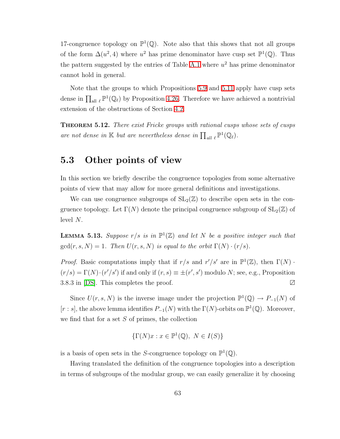17-congruence topology on  $\mathbb{P}^1(\mathbb{Q})$ . Note also that this shows that not all groups of the form  $\Delta(u^2, 4)$  where  $u^2$  has prime denominator have cusp set  $\mathbb{P}^1(\mathbb{Q})$ . Thus the pattern suggested by the entries of Table [A.1](#page-75-0) where  $u^2$  has prime denominator cannot hold in general.

Note that the groups to which Propositions [5.9](#page-67-0) and [5.11](#page-69-0) apply have cusp sets dense in  $\prod_{\text{all } \ell} \mathbb{P}^1(\mathbb{Q}_\ell)$  by Proposition [4.26.](#page-48-0) Therefore we have achieved a nontrivial extension of the obstructions of Section [4.2.](#page-26-0)

THEOREM 5.12. There exist Fricke groups with rational cusps whose sets of cusps are not dense in K but are nevertheless dense in  $\prod_{\text{all }\ell} \mathbb{P}^1(\mathbb{Q}_\ell)$ .

## 5.3 Other points of view

In this section we briefly describe the congruence topologies from some alternative points of view that may allow for more general definitions and investigations.

We can use congruence subgroups of  $SL_2(\mathbb{Z})$  to describe open sets in the congruence topology. Let  $\Gamma(N)$  denote the principal congruence subgroup of  $SL_2(\mathbb{Z})$  of level N.

**LEMMA 5.13.** Suppose  $r/s$  is in  $\mathbb{P}^1(\mathbb{Z})$  and let N be a positive integer such that  $gcd(r, s, N) = 1$ . Then  $U(r, s, N)$  is equal to the orbit  $\Gamma(N) \cdot (r/s)$ .

*Proof.* Basic computations imply that if  $r/s$  and  $r'/s'$  are in  $\mathbb{P}^1(\mathbb{Z})$ , then  $\Gamma(N)$ .  $(r/s) = \Gamma(N) \cdot (r'/s')$  if and only if  $(r, s) \equiv \pm (r', s')$  modulo N; see, e.g., Proposition 3.8.3 in [\[DS\]](#page-79-0). This completes the proof. ∠

Since  $U(r, s, N)$  is the inverse image under the projection  $\mathbb{P}^1(\mathbb{Q}) \to P_{-1}(N)$  of  $[r : s]$ , the above lemma identifies  $P_{-1}(N)$  with the  $\Gamma(N)$ -orbits on  $\mathbb{P}^1(\mathbb{Q})$ . Moreover, we find that for a set  $S$  of primes, the collection

$$
\{\Gamma(N)x : x \in \mathbb{P}^1(\mathbb{Q}), \ N \in I(S)\}
$$

is a basis of open sets in the S-congruence topology on  $\mathbb{P}^1(\mathbb{Q})$ .

Having translated the definition of the congruence topologies into a description in terms of subgroups of the modular group, we can easily generalize it by choosing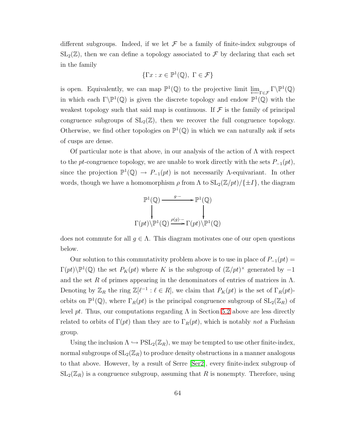different subgroups. Indeed, if we let  $\mathcal F$  be a family of finite-index subgroups of  $SL_2(\mathbb{Z})$ , then we can define a topology associated to  $\mathcal F$  by declaring that each set in the family

$$
\{\Gamma x : x \in \mathbb{P}^1(\mathbb{Q}), \ \Gamma \in \mathcal{F}\}
$$

is open. Equivalently, we can map  $\mathbb{P}^1(\mathbb{Q})$  to the projective limit  $\underline{\lim}_{\Gamma \in \mathcal{F}} \Gamma \backslash \mathbb{P}^1(\mathbb{Q})$ in which each  $\Gamma \backslash \mathbb{P}^1(\mathbb{Q})$  is given the discrete topology and endow  $\mathbb{P}^1(\mathbb{Q})$  with the weakest topology such that said map is continuous. If  $\mathcal F$  is the family of principal congruence subgroups of  $SL_2(\mathbb{Z})$ , then we recover the full congruence topology. Otherwise, we find other topologies on  $\mathbb{P}^1(\mathbb{Q})$  in which we can naturally ask if sets of cusps are dense.

Of particular note is that above, in our analysis of the action of  $\Lambda$  with respect to the pt-congruence topology, we are unable to work directly with the sets  $P_{-1}(pt)$ , since the projection  $\mathbb{P}^1(\mathbb{Q}) \to P_{-1}(pt)$  is not necessarily  $\Lambda$ -equivariant. In other words, though we have a homomorphism  $\rho$  from  $\Lambda$  to  $SL_2(\mathbb{Z}/pt)/\{\pm I\}$ , the diagram

$$
\mathbb{P}^{1}(\mathbb{Q}) \xrightarrow{g^{-}} \mathbb{P}^{1}(\mathbb{Q})
$$
\n
$$
\downarrow \qquad \qquad \downarrow
$$
\n
$$
\Gamma(pt) \backslash \mathbb{P}^{1}(\mathbb{Q}) \xrightarrow{\rho(g)^{-}} \Gamma(pt) \backslash \mathbb{P}^{1}(\mathbb{Q})
$$

does not commute for all  $g \in \Lambda$ . This diagram motivates one of our open questions below.

Our solution to this commutativity problem above is to use in place of  $P_{-1}(pt)$  =  $\Gamma(pt)\backslash \mathbb{P}^1(\mathbb{Q})$  the set  $P_K(pt)$  where K is the subgroup of  $(\mathbb{Z}/pt)^\times$  generated by  $-1$ and the set R of primes appearing in the denominators of entries of matrices in  $\Lambda$ . Denoting by  $\mathbb{Z}_R$  the ring  $\mathbb{Z}[\ell^{-1} : \ell \in R]$ , we claim that  $P_K(pt)$  is the set of  $\Gamma_R(pt)$ orbits on  $\mathbb{P}^1(\mathbb{Q})$ , where  $\Gamma_R(pt)$  is the principal congruence subgroup of  $SL_2(\mathbb{Z}_R)$  of level pt. Thus, our computations regarding  $\Lambda$  in Section [5.2](#page-60-0) above are less directly related to orbits of  $\Gamma(pt)$  than they are to  $\Gamma_R(pt)$ , which is notably not a Fuchsian group.

Using the inclusion  $\Lambda \hookrightarrow \mathrm{PSL}_2(\mathbb{Z}_R)$ , we may be tempted to use other finite-index, normal subgroups of  $SL_2(\mathbb{Z}_R)$  to produce density obstructions in a manner analogous to that above. However, by a result of Serre [\[Ser2\]](#page-80-3), every finite-index subgroup of  $SL_2(\mathbb{Z}_R)$  is a congruence subgroup, assuming that R is nonempty. Therefore, using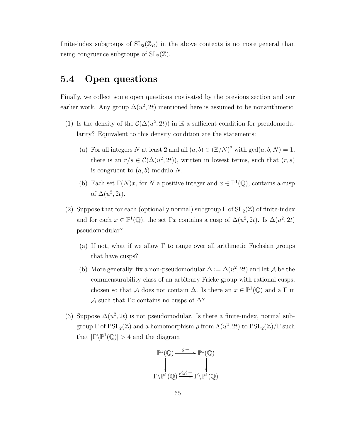finite-index subgroups of  $SL_2(\mathbb{Z}_R)$  in the above contexts is no more general than using congruence subgroups of  $SL_2(\mathbb{Z})$ .

## 5.4 Open questions

Finally, we collect some open questions motivated by the previous section and our earlier work. Any group  $\Delta(u^2, 2t)$  mentioned here is assumed to be nonarithmetic.

- (1) Is the density of the  $\mathcal{C}(\Delta(u^2, 2t))$  in K a sufficient condition for pseudomodularity? Equivalent to this density condition are the statements:
	- (a) For all integers N at least 2 and all  $(a, b) \in (\mathbb{Z}/N)^2$  with  $gcd(a, b, N) = 1$ , there is an  $r/s \in \mathcal{C}(\Delta(u^2, 2t))$ , written in lowest terms, such that  $(r, s)$ is congruent to  $(a, b)$  modulo N.
	- (b) Each set  $\Gamma(N)x$ , for N a positive integer and  $x \in \mathbb{P}^1(\mathbb{Q})$ , contains a cusp of  $\Delta(u^2, 2t)$ .
- (2) Suppose that for each (optionally normal) subgroup  $\Gamma$  of  $SL_2(\mathbb{Z})$  of finite-index and for each  $x \in \mathbb{P}^1(\mathbb{Q})$ , the set  $\Gamma x$  contains a cusp of  $\Delta(u^2, 2t)$ . Is  $\Delta(u^2, 2t)$ pseudomodular?
	- (a) If not, what if we allow  $\Gamma$  to range over all arithmetic Fuchsian groups that have cusps?
	- (b) More generally, fix a non-pseudomodular  $\Delta := \Delta(u^2, 2t)$  and let A be the commensurability class of an arbitrary Fricke group with rational cusps, chosen so that A does not contain  $\Delta$ . Is there an  $x \in \mathbb{P}^1(\mathbb{Q})$  and a  $\Gamma$  in A such that  $\Gamma x$  contains no cusps of  $\Delta$ ?
- (3) Suppose  $\Delta(u^2, 2t)$  is not pseudomodular. Is there a finite-index, normal subgroup  $\Gamma$  of  $\mathrm{PSL}_2(\mathbb{Z})$  and a homomorphism  $\rho$  from  $\Lambda(u^2, 2t)$  to  $\mathrm{PSL}_2(\mathbb{Z})/\Gamma$  such that  $|\Gamma \backslash \mathbb{P}^1(\mathbb{Q})| > 4$  and the diagram

$$
\mathbb{P}^1(\mathbb{Q}) \xrightarrow{g \cdot -} \mathbb{P}^1(\mathbb{Q})
$$
  

$$
\downarrow \qquad \qquad \downarrow
$$
  

$$
\Gamma \backslash \mathbb{P}^1(\mathbb{Q}) \xrightarrow{\rho(g) \cdot -} \Gamma \backslash \mathbb{P}^1(\mathbb{Q})
$$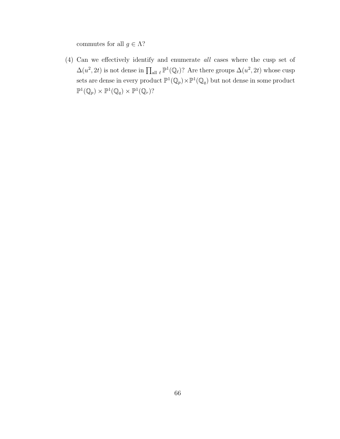commutes for all  $g\in \Lambda?$ 

(4) Can we effectively identify and enumerate all cases where the cusp set of  $\Delta(u^2, 2t)$  is not dense in  $\prod_{\text{all }\ell} \mathbb{P}^1(\mathbb{Q}_\ell)$ ? Are there groups  $\Delta(u^2, 2t)$  whose cusp sets are dense in every product  $\mathbb{P}^1(\mathbb{Q}_p) \times \mathbb{P}^1(\mathbb{Q}_q)$  but not dense in some product  $\mathbb{P}^1(\mathbb{Q}_p)\times \mathbb{P}^1(\mathbb{Q}_q)\times \mathbb{P}^1(\mathbb{Q}_r)$ ?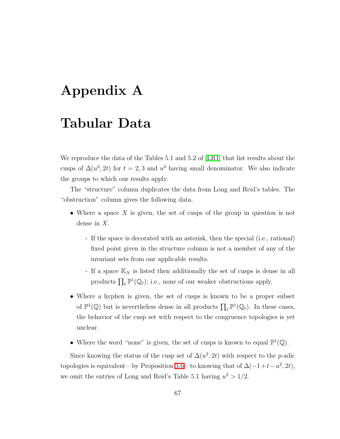## Appendix A

## Tabular Data

We reproduce the data of the Tables 5.1 and 5.2 of [\[LR1\]](#page-80-0) that list results about the cusps of  $\Delta(u^2, 2t)$  for  $t = 2, 3$  and  $u^2$  having small denominator. We also indicate the groups to which our results apply.

The "structure" column duplicates the data from Long and Reid's tables. The "obstruction" column gives the following data.

- Where a space X is given, the set of cusps of the group in question is not dense in X.
	- If the space is decorated with an asterisk, then the special (i.e., rational) fixed point given in the structure column is not a member of any of the invariant sets from our applicable results.
	- If a space  $\mathbb{K}_N$  is listed then additionally the set of cusps is dense in all products  $\prod_{\ell} \mathbb{P}^1(\mathbb{Q}_{\ell})$ ; i.e., none of our weaker obstructions apply.
- Where a hyphen is given, the set of cusps is known to be a proper subset of  $\mathbb{P}^1(\mathbb{Q})$  but is nevertheless dense in all products  $\prod_{\ell} \mathbb{P}^1(\mathbb{Q}_{\ell})$ . In these cases, the behavior of the cusp set with respect to the congruence topologies is yet unclear.
- Where the word "none" is given, the set of cusps is known to equal  $\mathbb{P}^1(\mathbb{Q})$ .

Since knowing the status of the cusp set of  $\Delta(u^2, 2t)$  with respect to the p-adic topologies is equivalent—by Proposition [3.6—](#page-22-0)to knowing that of  $\Delta(-1+t-u^2, 2t)$ , we omit the entries of Long and Reid's Table 5.1 having  $u^2 > 1/2$ .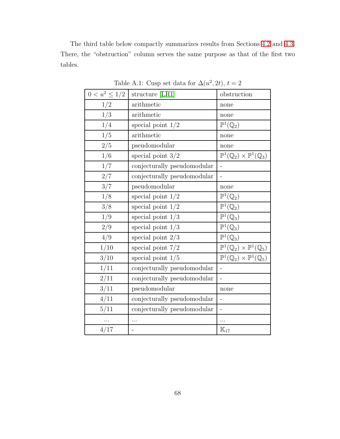The third table below compactly summarizes results from Sections [4.2](#page-26-0) and [4.3.](#page-46-0) There, the "obstruction" column serves the same purpose as that of the first two tables.

| $0 < u^2 \leq 1/2$ | structure [LR1]             | obstruction                                                   |
|--------------------|-----------------------------|---------------------------------------------------------------|
| 1/2                | arithmetic                  | none                                                          |
| 1/3                | arithmetic                  | none                                                          |
| 1/4                | special point $1/2$         | $\mathbb{P}^1(\mathbb{Q}_2)$                                  |
| 1/5                | arithmetic                  | none                                                          |
| $2/5$              | pseudomodular               | none                                                          |
| 1/6                | special point $3/2$         | $\mathbb{P}^1(\mathbb{Q}_2)\times \mathbb{P}^1(\mathbb{Q}_3)$ |
| 1/7                | conjecturally pseudomodular |                                                               |
| $2/7\,$            | conjecturally pseudomodular | $\overline{a}$                                                |
| 3/7                | pseudomodular               | none                                                          |
| 1/8                | special point $1/2$         | $\mathbb{P}^1(\mathbb{Q}_2)$                                  |
| 3/8                | special point $1/2$         | $\mathbb{P}^1(\mathbb{Q}_2)$                                  |
| 1/9                | special point $1/3$         | $\mathbb{P}^1(\mathbb{Q}_3)$                                  |
| 2/9                | special point $1/3$         | $\mathbb{P}^1(\mathbb{Q}_3)$                                  |
| 4/9                | special point $2/3$         | $\mathbb{P}^1(\mathbb{Q}_3)$                                  |
| 1/10               | special point $7/2$         | $\mathbb{P}^1(\mathbb{Q}_2)\times \mathbb{P}^1(\mathbb{Q}_5)$ |
| 3/10               | special point $1/5$         | $\mathbb{P}^1(\mathbb{Q}_2)\times\mathbb{P}^1(\mathbb{Q}_5)$  |
| 1/11               | conjecturally pseudomodular | $\overline{a}$                                                |
| 2/11               | conjecturally pseudomodular |                                                               |
| 3/11               | pseudomodular               | none                                                          |
| 4/11               | conjecturally pseudomodular |                                                               |
| 5/11               | conjecturally pseudomodular |                                                               |
| $\cdots$           | $\cdots$                    | .                                                             |
| 4/17               |                             | $\mathbb{K}_{17}$                                             |

Table A.1: Cusp set data for  $\Delta(u^2, 2t)$ ,  $t = 2$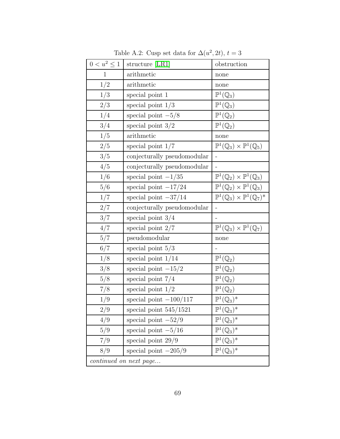| $0 < u^2 \leq 1$       | structure [LR1]             | obstruction                                                    |  |  |
|------------------------|-----------------------------|----------------------------------------------------------------|--|--|
| $\mathbf{1}$           | arithmetic                  | none                                                           |  |  |
| 1/2                    | arithmetic                  | none                                                           |  |  |
| 1/3                    | special point 1             | $\mathbb{P}^1(\mathbb{Q}_3)$                                   |  |  |
| 2/3                    | special point $1/3$         | $\mathbb{P}^1(\mathbb{Q}_3)$                                   |  |  |
| 1/4                    | special point $-5/8$        | $\mathbb{P}^1(\mathbb{Q}_2)$                                   |  |  |
| 3/4                    | special point $3/2$         | $\mathbb{P}^1(\mathbb{Q}_2)$                                   |  |  |
| 1/5                    | arithmetic                  | none                                                           |  |  |
| 2/5                    | special point $1/7$         | $\mathbb{P}^1(\mathbb{Q}_3)\times \mathbb{P}^1(\mathbb{Q}_5)$  |  |  |
| 3/5                    | conjecturally pseudomodular | $\frac{1}{2}$                                                  |  |  |
| 4/5                    | conjecturally pseudomodular | $\overline{a}$                                                 |  |  |
| 1/6                    | special point $-1/35$       | $\mathbb{P}^1(\mathbb{Q}_2)\times \mathbb{P}^1(\mathbb{Q}_3)$  |  |  |
| 5/6                    | special point $-17/24$      | $\mathbb{P}^1(\mathbb{Q}_2)\times \mathbb{P}^1(\mathbb{Q}_3)$  |  |  |
| 1/7                    | special point $-37/14$      | $\mathbb{P}^1(\mathbb{Q}_3)\times\mathbb{P}^1(\mathbb{Q}_7)^*$ |  |  |
| 2/7                    | conjecturally pseudomodular |                                                                |  |  |
| 3/7                    | special point $3/4$         |                                                                |  |  |
| 4/7                    | special point $2/7$         | $\mathbb{P}^1(\mathbb{Q}_3)\times \mathbb{P}^1(\mathbb{Q}_7)$  |  |  |
| 5/7                    | pseudomodular               | none                                                           |  |  |
| 6/7                    | special point $5/3$         |                                                                |  |  |
| 1/8                    | special point $1/14$        | $\mathbb{P}^1(\mathbb{Q}_2)$                                   |  |  |
| 3/8                    | special point $-15/2$       | $\mathbb{P}^1(\mathbb{Q}_2)$                                   |  |  |
| 5/8                    | special point $7/4$         | $\mathbb{P}^1(\mathbb{Q}_2)$                                   |  |  |
| 7/8                    | special point $1/2$         | $\mathbb{P}^1(\mathbb{Q}_2)$                                   |  |  |
| 1/9                    | special point $-100/117$    | $\mathbb{P}^1(\mathbb{Q}_3)^*$                                 |  |  |
| 2/9                    | special point $545/1521$    | $\mathbb{P}^1(\mathbb{Q}_3)^*$                                 |  |  |
| 4/9                    | special point $-52/9$       | $\mathbb{P}^1(\mathbb{Q}_3)^*$                                 |  |  |
| 5/9                    | special point $-5/16$       | $\mathbb{P}^1(\mathbb{Q}_3)^*$                                 |  |  |
| 7/9                    | special point $29/9$        | $\mathbb{P}^1(\mathbb{Q}_3)^*$                                 |  |  |
| 8/9                    | special point $-205/9$      | $\mathbb{P}^1(\mathbb{Q}_3)^*$                                 |  |  |
| continued on next page |                             |                                                                |  |  |

Table A.2: Cusp set data for  $\Delta(u^2, 2t)$ ,  $t = 3$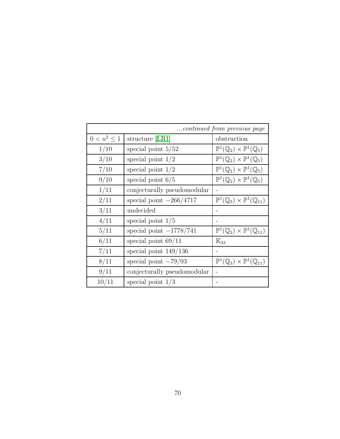| continued from previous page |                             |                                                                  |  |  |
|------------------------------|-----------------------------|------------------------------------------------------------------|--|--|
| $0 < u^2 \leq 1$             | structure [LR1]             | obstruction                                                      |  |  |
| 1/10                         | special point $5/52$        | $\mathbb{P}^1(\mathbb{Q}_2)\times \mathbb{P}^1(\mathbb{Q}_5)$    |  |  |
| 3/10                         | special point $1/2$         | $\mathbb{P}^1(\mathbb{Q}_2)\times\mathbb{P}^1(\mathbb{Q}_5)$     |  |  |
| 7/10                         | special point $1/2$         | $\mathbb{P}^1(\mathbb{Q}_2)\times \mathbb{P}^1(\mathbb{Q}_5)$    |  |  |
| 9/10                         | special point $6/5$         | $\mathbb{P}^1(\mathbb{Q}_2)\times \mathbb{P}^1(\mathbb{Q}_5)$    |  |  |
| 1/11                         | conjecturally pseudomodular |                                                                  |  |  |
| 2/11                         | special point $-266/4717$   | $\mathbb{P}^1(\mathbb{Q}_3)\times \mathbb{P}^1(\mathbb{Q}_{11})$ |  |  |
| 3/11                         | undecided                   |                                                                  |  |  |
| 4/11                         | special point $1/5$         |                                                                  |  |  |
| 5/11                         | special point $-1778/741$   | $\mathbb{P}^1(\mathbb{Q}_3)\times \mathbb{P}^1(\mathbb{Q}_{11})$ |  |  |
| 6/11                         | special point $69/11$       | $\mathbb{K}_{33}$                                                |  |  |
| 7/11                         | special point $149/136$     |                                                                  |  |  |
| 8/11                         | special point $-79/93$      | $\mathbb{P}^1(\mathbb{Q}_3)\times \mathbb{P}^1(\mathbb{Q}_{11})$ |  |  |
| 9/11                         | conjecturally pseudomodular |                                                                  |  |  |
| 10/11                        | special point $1/3$         |                                                                  |  |  |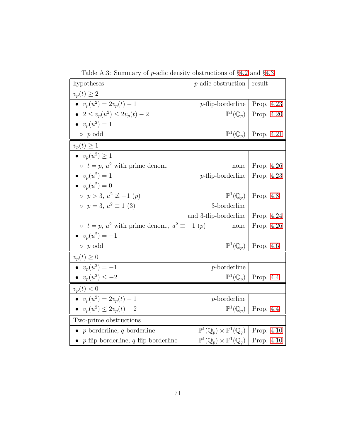| hypotheses                                                                                                                | $p$ -adic obstruction             | result                                  |
|---------------------------------------------------------------------------------------------------------------------------|-----------------------------------|-----------------------------------------|
| $v_p(t) \geq 2$                                                                                                           |                                   |                                         |
| • $v_p(u^2) = 2v_p(t) - 1$                                                                                                | $p$ -flip-borderline   Prop. 4.23 |                                         |
| • $2 \le v_n(u^2) \le 2v_n(t) - 2$                                                                                        |                                   | $\mathbb{P}^1(\mathbb{Q}_p)$ Prop. 4.20 |
| • $v_p(u^2) = 1$                                                                                                          |                                   |                                         |
| $\circ$ p odd                                                                                                             | $\mathbb{P}^1(\mathbb{Q}_p)$      | Prop. 4.21                              |
| $v_p(t) \geq 1$                                                                                                           |                                   |                                         |
| $\bullet \ \ v_n(u^2) \geq 1$                                                                                             |                                   |                                         |
| $\circ$ $t = p$ , $u^2$ with prime denom.                                                                                 | none                              | Prop. 4.26                              |
| • $v_n(u^2) = 1$                                                                                                          | $p$ -flip-borderline              | Prop. 4.23                              |
| • $v_n(u^2) = 0$                                                                                                          |                                   |                                         |
| $p > 3, u^2 \not\equiv -1 (p)$                                                                                            |                                   | $\mathbb{P}^1(\mathbb{Q}_p)$ Prop. 4.8  |
| $p = 3, u^2 \equiv 1$ (3)                                                                                                 | 3-borderline                      |                                         |
|                                                                                                                           | and 3-flip-borderline             | Prop. 4.24                              |
| $\circ$ $t = p$ , $u^2$ with prime denom., $u^2 \equiv -1$ (p)                                                            | none                              | Prop. 4.26                              |
| • $v_p(u^2) = -1$                                                                                                         |                                   |                                         |
| $\circ$ p odd                                                                                                             | $\mathbb{P}^1(\mathbb{Q}_p)$      | Prop. $4.6$                             |
| $v_p(t) \geq 0$                                                                                                           |                                   |                                         |
| • $v_p(u^2) = -1$                                                                                                         | $p$ -borderline                   |                                         |
| • $v_p(u^2) \leq -2$                                                                                                      | $\mathbb{P}^1(\mathbb{Q}_p)$      | Prop. 4.4                               |
| $v_p(t) < 0$                                                                                                              |                                   |                                         |
| • $v_n(u^2) = 2v_n(t) - 1$                                                                                                | $p$ -borderline                   |                                         |
| • $v_p(u^2) \leq 2v_p(t) - 2$                                                                                             | $\mathbb{P}^1(\mathbb{Q}_p)$      | Prop. $4.4$                             |
| Two-prime obstructions                                                                                                    |                                   |                                         |
| $\mathbb{P}^1(\mathbb{Q}_p)\times \mathbb{P}^1(\mathbb{Q}_q)$ Prop. 4.10<br>• <i>p</i> -borderline, <i>q</i> -borderline  |                                   |                                         |
| $\mathbb{P}^1(\mathbb{Q}_p)\times\mathbb{P}^1(\mathbb{Q}_q)$   Prop. 4.10<br>• $p$ -flip-borderline, $q$ -flip-borderline |                                   |                                         |

Table A.3: Summary of p-adic density obstructions of §[4.2](#page-26-0) and §[4.3](#page-46-0)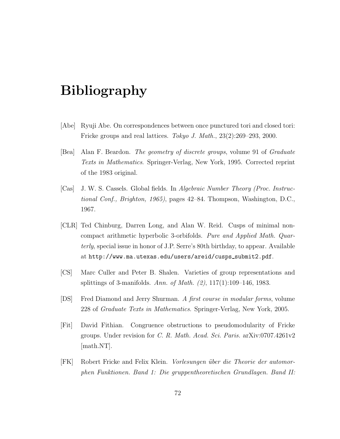## Bibliography

- [Abe] Ryuji Abe. On correspondences between once punctured tori and closed tori: Fricke groups and real lattices. Tokyo J. Math., 23(2):269–293, 2000.
- [Bea] Alan F. Beardon. The geometry of discrete groups, volume 91 of Graduate Texts in Mathematics. Springer-Verlag, New York, 1995. Corrected reprint of the 1983 original.
- [Cas] J. W. S. Cassels. Global fields. In Algebraic Number Theory (Proc. Instructional Conf., Brighton, 1965), pages 42–84. Thompson, Washington, D.C., 1967.
- [CLR] Ted Chinburg, Darren Long, and Alan W. Reid. Cusps of minimal noncompact arithmetic hyperbolic 3-orbifolds. Pure and Applied Math. Quarterly, special issue in honor of J.P. Serre's 80th birthday, to appear. Available at http://www.ma.utexas.edu/users/areid/cusps\_submit2.pdf.
- [CS] Marc Culler and Peter B. Shalen. Varieties of group representations and splittings of 3-manifolds. Ann. of Math. (2), 117(1):109–146, 1983.
- [DS] Fred Diamond and Jerry Shurman. A first course in modular forms, volume 228 of Graduate Texts in Mathematics. Springer-Verlag, New York, 2005.
- [Fit] David Fithian. Congruence obstructions to pseudomodularity of Fricke groups. Under revision for C. R. Math. Acad. Sci. Paris. arXiv:0707.4261v2 [math.NT].
- [FK] Robert Fricke and Felix Klein. *Vorlesungen über die Theorie der automor*phen Funktionen. Band 1: Die gruppentheoretischen Grundlagen. Band II: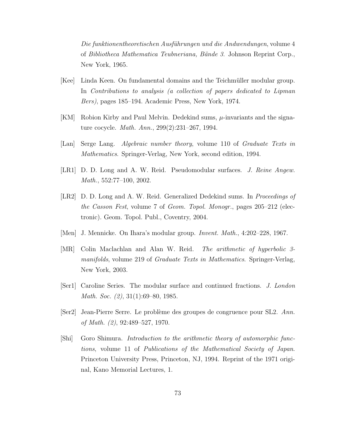Die funktionentheoretischen Ausführungen und die Andwendungen, volume 4 of Bibliotheca Mathematica Teubneriana, Bände 3. Johnson Reprint Corp., New York, 1965.

- [Kee] Linda Keen. On fundamental domains and the Teichmüller modular group. In Contributions to analysis (a collection of papers dedicated to Lipman Bers), pages 185–194. Academic Press, New York, 1974.
- [KM] Robion Kirby and Paul Melvin. Dedekind sums,  $\mu$ -invariants and the signature cocycle. Math. Ann., 299(2):231–267, 1994.
- [Lan] Serge Lang. Algebraic number theory, volume 110 of Graduate Texts in Mathematics. Springer-Verlag, New York, second edition, 1994.
- <span id="page-80-0"></span>[LR1] D. D. Long and A. W. Reid. Pseudomodular surfaces. J. Reine Angew. Math., 552:77–100, 2002.
- [LR2] D. D. Long and A. W. Reid. Generalized Dedekind sums. In *Proceedings of* the Casson Fest, volume 7 of Geom. Topol. Monogr., pages 205–212 (electronic). Geom. Topol. Publ., Coventry, 2004.
- [Men] J. Mennicke. On Ihara's modular group. Invent. Math., 4:202–228, 1967.
- [MR] Colin Maclachlan and Alan W. Reid. The arithmetic of hyperbolic 3 manifolds, volume 219 of Graduate Texts in Mathematics. Springer-Verlag, New York, 2003.
- [Ser1] Caroline Series. The modular surface and continued fractions. J. London Math. Soc. (2), 31(1):69–80, 1985.
- [Ser2] Jean-Pierre Serre. Le probl`eme des groupes de congruence pour SL2. Ann. of Math. (2), 92:489–527, 1970.
- [Shi] Goro Shimura. Introduction to the arithmetic theory of automorphic functions, volume 11 of Publications of the Mathematical Society of Japan. Princeton University Press, Princeton, NJ, 1994. Reprint of the 1971 original, Kano Memorial Lectures, 1.